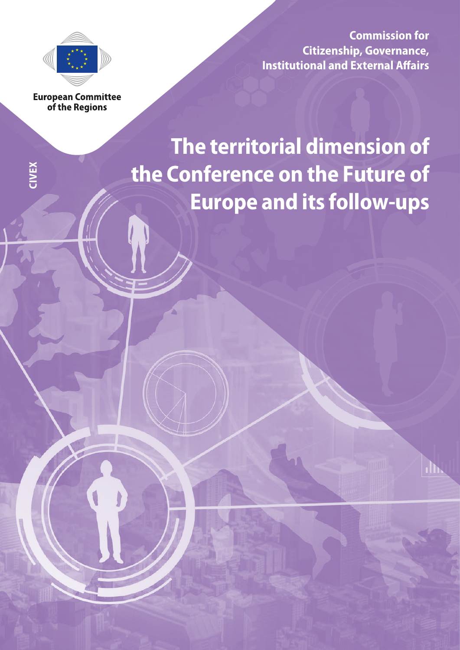

**Commission for Citizenship, Governance, Institutional and External Affairs**

**European Committee** of the Regions

**CIVEX**

# **The territorial dimension of the Conference on the Future of Europe and its follow-ups**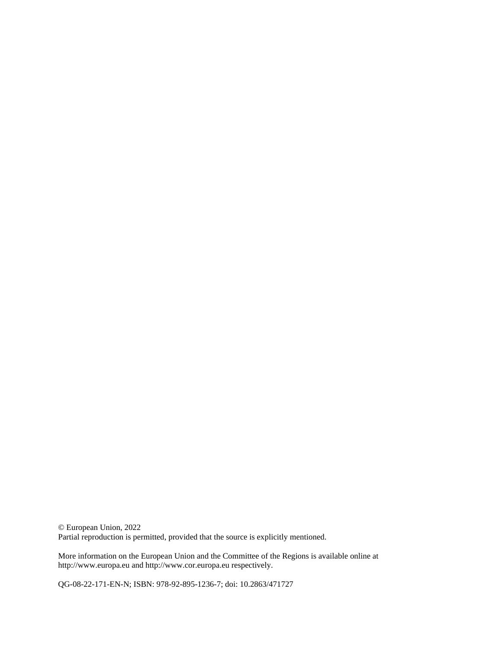© European Union, 2022 Partial reproduction is permitted, provided that the source is explicitly mentioned.

More information on the European Union and the Committee of the Regions is available online at http://www.europa.eu and http://www.cor.europa.eu respectively.

QG-08-22-171-EN-N; ISBN: 978-92-895-1236-7; doi: 10.2863/471727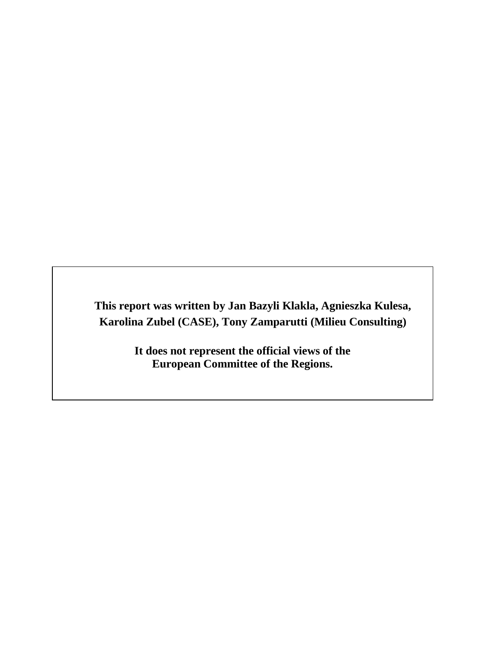**This report was written by Jan Bazyli Klakla, Agnieszka Kulesa, Karolina Zubel (CASE), Tony Zamparutti (Milieu Consulting)**

> **It does not represent the official views of the European Committee of the Regions.**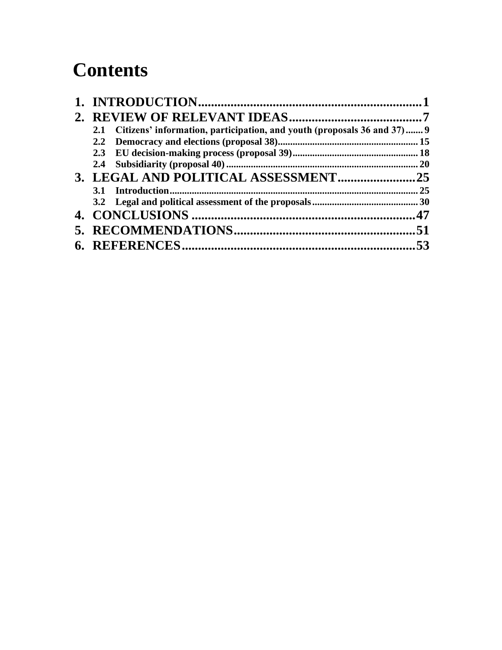### **Contents**

| Citizens' information, participation, and youth (proposals 36 and 37) 9<br>2.1 |     |
|--------------------------------------------------------------------------------|-----|
|                                                                                |     |
|                                                                                |     |
|                                                                                |     |
|                                                                                |     |
|                                                                                |     |
|                                                                                |     |
|                                                                                |     |
|                                                                                |     |
|                                                                                | .53 |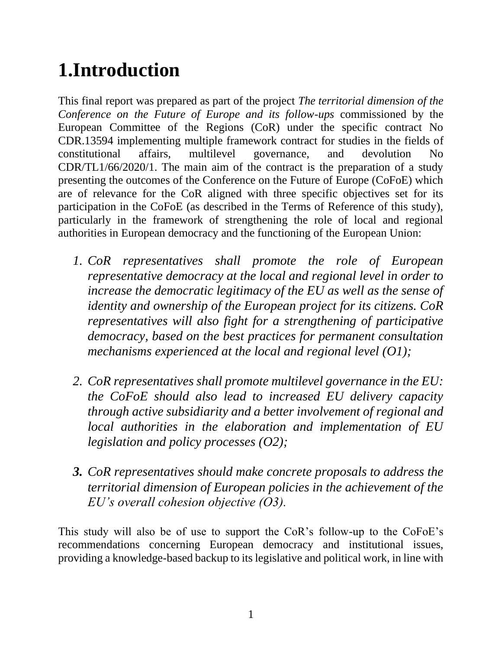# <span id="page-5-0"></span>**1.Introduction**

This final report was prepared as part of the project *The territorial dimension of the Conference on the Future of Europe and its follow-ups* commissioned by the European Committee of the Regions (CoR) under the specific contract No CDR.13594 implementing multiple framework contract for studies in the fields of constitutional affairs, multilevel governance, and devolution No CDR/TL1/66/2020/1. The main aim of the contract is the preparation of a study presenting the outcomes of the Conference on the Future of Europe (CoFoE) which are of relevance for the CoR aligned with three specific objectives set for its participation in the CoFoE (as described in the Terms of Reference of this study), particularly in the framework of strengthening the role of local and regional authorities in European democracy and the functioning of the European Union:

- *1. CoR representatives shall promote the role of European representative democracy at the local and regional level in order to increase the democratic legitimacy of the EU as well as the sense of identity and ownership of the European project for its citizens. CoR representatives will also fight for a strengthening of participative democracy, based on the best practices for permanent consultation mechanisms experienced at the local and regional level (O1);*
- *2. CoR representatives shall promote multilevel governance in the EU: the CoFoE should also lead to increased EU delivery capacity through active subsidiarity and a better involvement of regional and local authorities in the elaboration and implementation of EU legislation and policy processes (O2);*
- *3. CoR representatives should make concrete proposals to address the territorial dimension of European policies in the achievement of the EU's overall cohesion objective (O3).*

This study will also be of use to support the CoR's follow-up to the CoFoE's recommendations concerning European democracy and institutional issues, providing a knowledge-based backup to its legislative and political work, in line with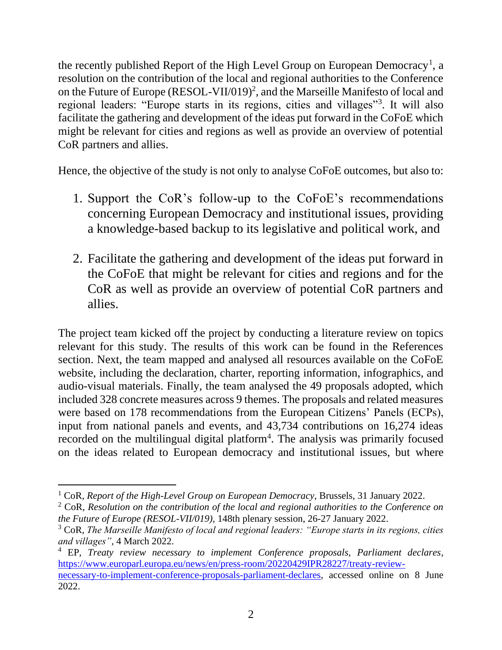the recently published Report of the High Level Group on European Democracy<sup>1</sup>, a resolution on the contribution of the local and regional authorities to the Conference on the Future of Europe (RESOL-VII/019)<sup>2</sup>, and the Marseille Manifesto of local and regional leaders: "Europe starts in its regions, cities and villages"<sup>3</sup>. It will also facilitate the gathering and development of the ideas put forward in the CoFoE which might be relevant for cities and regions as well as provide an overview of potential CoR partners and allies.

Hence, the objective of the study is not only to analyse CoFoE outcomes, but also to:

- 1. Support the CoR's follow-up to the CoFoE's recommendations concerning European Democracy and institutional issues, providing a knowledge-based backup to its legislative and political work, and
- 2. Facilitate the gathering and development of the ideas put forward in the CoFoE that might be relevant for cities and regions and for the CoR as well as provide an overview of potential CoR partners and allies.

The project team kicked off the project by conducting a literature review on topics relevant for this study. The results of this work can be found in the References section. Next, the team mapped and analysed all resources available on the CoFoE website, including the declaration, charter, reporting information, infographics, and audio-visual materials. Finally, the team analysed the 49 proposals adopted, which included 328 concrete measures across 9 themes. The proposals and related measures were based on 178 recommendations from the European Citizens' Panels (ECPs), input from national panels and events, and 43,734 contributions on 16,274 ideas recorded on the multilingual digital platform<sup>4</sup>. The analysis was primarily focused on the ideas related to European democracy and institutional issues, but where

<sup>&</sup>lt;sup>1</sup> CoR, *Report of the High-Level Group on European Democracy*, Brussels, 31 January 2022.

<sup>2</sup> CoR, *Resolution on the contribution of the local and regional authorities to the Conference on the Future of Europe (RESOL-VII/019),* 148th plenary session, 26-27 January 2022.

<sup>3</sup> CoR, *The Marseille Manifesto of local and regional leaders: "Europe starts in its regions, cities and villages",* 4 March 2022.

<sup>4</sup> EP, *Treaty review necessary to implement Conference proposals, Parliament declares,*  [https://www.europarl.europa.eu/news/en/press-room/20220429IPR28227/treaty-review](https://www.europarl.europa.eu/news/en/press-room/20220429IPR28227/treaty-review-necessary-to-implement-conference-proposals-parliament-declares)[necessary-to-implement-conference-proposals-parliament-declares,](https://www.europarl.europa.eu/news/en/press-room/20220429IPR28227/treaty-review-necessary-to-implement-conference-proposals-parliament-declares) accessed online on 8 June 2022.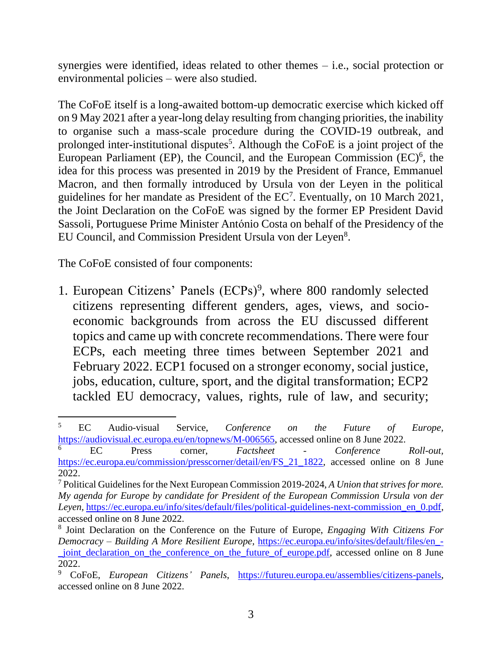synergies were identified, ideas related to other themes – i.e., social protection or environmental policies – were also studied.

The CoFoE itself is a long-awaited bottom-up democratic exercise which kicked off on 9 May 2021 after a year-long delay resulting from changing priorities, the inability to organise such a mass-scale procedure during the COVID-19 outbreak, and prolonged inter-institutional disputes<sup>5</sup>. Although the CoFoE is a joint project of the European Parliament (EP), the Council, and the European Commission  $(EC)^6$ , the idea for this process was presented in 2019 by the President of France, Emmanuel Macron, and then formally introduced by Ursula von der Leyen in the political guidelines for her mandate as President of the  $EC<sup>7</sup>$ . Eventually, on 10 March 2021, the Joint Declaration on the CoFoE was signed by the former EP President David Sassoli, Portuguese Prime Minister António Costa on behalf of the Presidency of the EU Council, and Commission President Ursula von der Leyen<sup>8</sup>.

The CoFoE consisted of four components:

1. European Citizens' Panels (ECPs)<sup>9</sup>, where 800 randomly selected citizens representing different genders, ages, views, and socioeconomic backgrounds from across the EU discussed different topics and came up with concrete recommendations. There were four ECPs, each meeting three times between September 2021 and February 2022. ECP1 focused on a stronger economy, social justice, jobs, education, culture, sport, and the digital transformation; ECP2 tackled EU democracy, values, rights, rule of law, and security;

<sup>5</sup> EC Audio-visual Service, *Conference on the Future of Europe,*  [https://audiovisual.ec.europa.eu/en/topnews/M-006565,](https://audiovisual.ec.europa.eu/en/topnews/M-006565) accessed online on 8 June 2022.

<sup>6</sup> EC Press corner, *Factsheet - Conference Roll-out,*  [https://ec.europa.eu/commission/presscorner/detail/en/FS\\_21\\_1822,](https://ec.europa.eu/commission/presscorner/detail/en/FS_21_1822) accessed online on 8 June 2022.

<sup>7</sup> Political Guidelines for the Next European Commission 2019-2024, *A Union that strives for more. My agenda for Europe by candidate for President of the European Commission Ursula von der Leyen*, https://ec.europa.eu/info/sites/default/files/political-guidelines-next-commission en 0.pdf. accessed online on 8 June 2022.

<sup>8</sup> Joint Declaration on the Conference on the Future of Europe, *Engaging With Citizens For Democracy – Building A More Resilient Europe,* [https://ec.europa.eu/info/sites/default/files/en\\_-](https://ec.europa.eu/info/sites/default/files/en_-_joint_declaration_on_the_conference_on_the_future_of_europe.pdf) [\\_joint\\_declaration\\_on\\_the\\_conference\\_on\\_the\\_future\\_of\\_europe.pdf,](https://ec.europa.eu/info/sites/default/files/en_-_joint_declaration_on_the_conference_on_the_future_of_europe.pdf) accessed online on 8 June 2022.

<sup>9</sup> CoFoE, *European Citizens' Panels*, [https://futureu.europa.eu/assemblies/citizens-panels,](https://futureu.europa.eu/assemblies/citizens-panels) accessed online on 8 June 2022.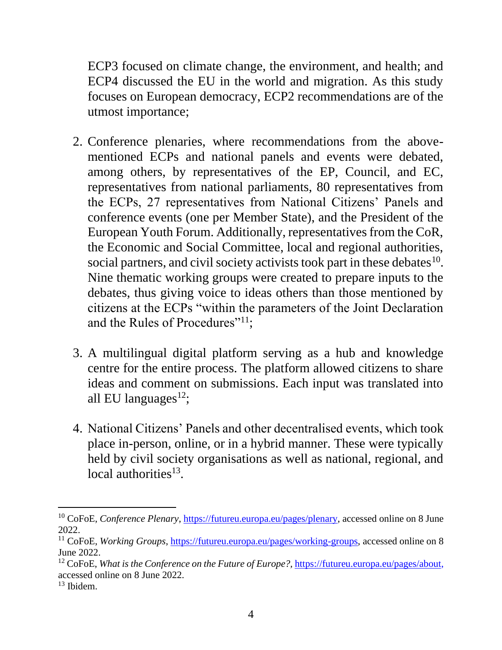ECP3 focused on climate change, the environment, and health; and ECP4 discussed the EU in the world and migration. As this study focuses on European democracy, ECP2 recommendations are of the utmost importance;

- 2. Conference plenaries, where recommendations from the abovementioned ECPs and national panels and events were debated, among others, by representatives of the EP, Council, and EC, representatives from national parliaments, 80 representatives from the ECPs, 27 representatives from National Citizens' Panels and conference events (one per Member State), and the President of the European Youth Forum. Additionally, representatives from the CoR, the Economic and Social Committee, local and regional authorities, social partners, and civil society activists took part in these debates  $10$ . Nine thematic working groups were created to prepare inputs to the debates, thus giving voice to ideas others than those mentioned by citizens at the ECPs "within the parameters of the Joint Declaration and the Rules of Procedures"<sup>11</sup>;
- 3. A multilingual digital platform serving as a hub and knowledge centre for the entire process. The platform allowed citizens to share ideas and comment on submissions. Each input was translated into all EU languages $^{12}$ ;
- 4. National Citizens' Panels and other decentralised events, which took place in-person, online, or in a hybrid manner. These were typically held by civil society organisations as well as national, regional, and local authorities<sup>13</sup>.

<sup>&</sup>lt;sup>10</sup> CoFoE, *Conference Plenary*, [https://futureu.europa.eu/pages/plenary,](https://futureu.europa.eu/pages/plenary) accessed online on 8 June 2022.

<sup>11</sup> CoFoE, *Working Groups*, [https://futureu.europa.eu/pages/working-groups,](https://futureu.europa.eu/pages/working-groups) accessed online on 8 June 2022.

<sup>12</sup> CoFoE, *What is the Conference on the Future of Europe?,* [https://futureu.europa.eu/pages/about,](https://futureu.europa.eu/pages/about) accessed online on 8 June 2022.

 $13$  Ibidem.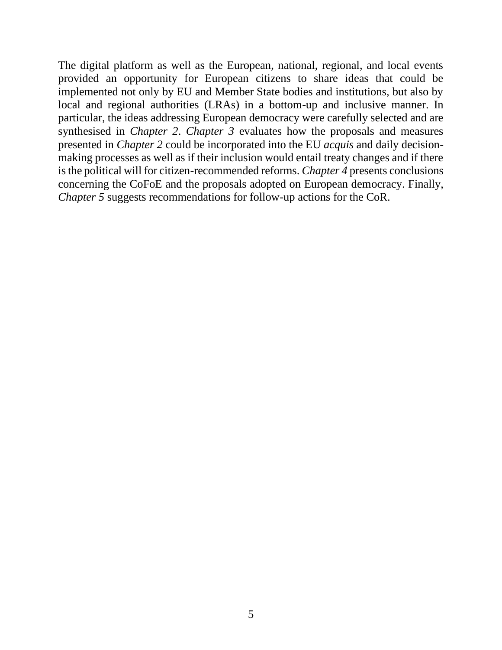The digital platform as well as the European, national, regional, and local events provided an opportunity for European citizens to share ideas that could be implemented not only by EU and Member State bodies and institutions, but also by local and regional authorities (LRAs) in a bottom-up and inclusive manner. In particular, the ideas addressing European democracy were carefully selected and are synthesised in *Chapter 2*. *Chapter 3* evaluates how the proposals and measures presented in *Chapter 2* could be incorporated into the EU *acquis* and daily decisionmaking processes as well as if their inclusion would entail treaty changes and if there is the political will for citizen-recommended reforms. *Chapter 4* presents conclusions concerning the CoFoE and the proposals adopted on European democracy. Finally, *Chapter 5* suggests recommendations for follow-up actions for the CoR.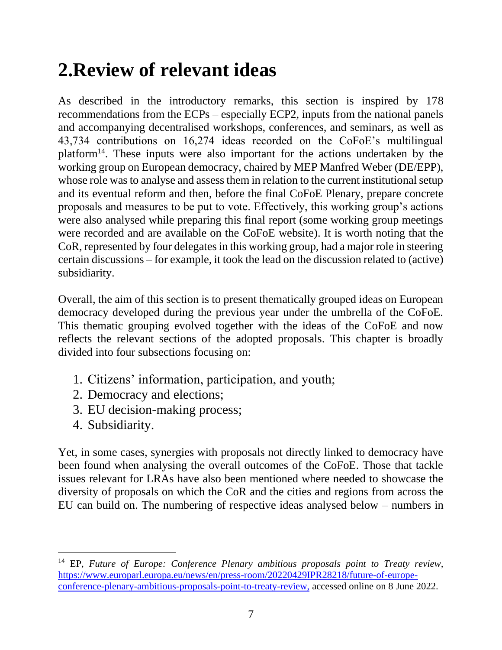### <span id="page-11-0"></span>**2.Review of relevant ideas**

As described in the introductory remarks, this section is inspired by 178 recommendations from the ECPs – especially ECP2, inputs from the national panels and accompanying decentralised workshops, conferences, and seminars, as well as 43,734 contributions on 16,274 ideas recorded on the CoFoE's multilingual platform<sup>14</sup>. These inputs were also important for the actions undertaken by the working group on European democracy, chaired by MEP Manfred Weber (DE/EPP), whose role was to analyse and assess them in relation to the current institutional setup and its eventual reform and then, before the final CoFoE Plenary, prepare concrete proposals and measures to be put to vote. Effectively, this working group's actions were also analysed while preparing this final report (some working group meetings were recorded and are available on the CoFoE website). It is worth noting that the CoR, represented by four delegates in this working group, had a major role in steering certain discussions – for example, it took the lead on the discussion related to (active) subsidiarity.

Overall, the aim of this section is to present thematically grouped ideas on European democracy developed during the previous year under the umbrella of the CoFoE. This thematic grouping evolved together with the ideas of the CoFoE and now reflects the relevant sections of the adopted proposals. This chapter is broadly divided into four subsections focusing on:

- 1. Citizens' information, participation, and youth;
- 2. Democracy and elections;
- 3. EU decision-making process;
- 4. Subsidiarity.

Yet, in some cases, synergies with proposals not directly linked to democracy have been found when analysing the overall outcomes of the CoFoE. Those that tackle issues relevant for LRAs have also been mentioned where needed to showcase the diversity of proposals on which the CoR and the cities and regions from across the EU can build on. The numbering of respective ideas analysed below – numbers in

<sup>14</sup> EP, *Future of Europe: Conference Plenary ambitious proposals point to Treaty review,*  [https://www.europarl.europa.eu/news/en/press-room/20220429IPR28218/future-of-europe](https://www.europarl.europa.eu/news/en/press-room/20220429IPR28218/future-of-europe-conference-plenary-ambitious-proposals-point-to-treaty-review)[conference-plenary-ambitious-proposals-point-to-treaty-review,](https://www.europarl.europa.eu/news/en/press-room/20220429IPR28218/future-of-europe-conference-plenary-ambitious-proposals-point-to-treaty-review) accessed online on 8 June 2022.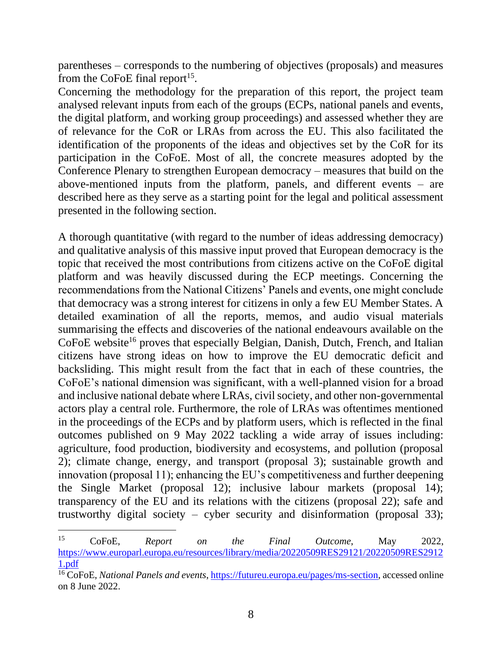parentheses – corresponds to the numbering of objectives (proposals) and measures from the CoFoE final report<sup>15</sup>.

Concerning the methodology for the preparation of this report, the project team analysed relevant inputs from each of the groups (ECPs, national panels and events, the digital platform, and working group proceedings) and assessed whether they are of relevance for the CoR or LRAs from across the EU. This also facilitated the identification of the proponents of the ideas and objectives set by the CoR for its participation in the CoFoE. Most of all, the concrete measures adopted by the Conference Plenary to strengthen European democracy – measures that build on the above-mentioned inputs from the platform, panels, and different events – are described here as they serve as a starting point for the legal and political assessment presented in the following section.

A thorough quantitative (with regard to the number of ideas addressing democracy) and qualitative analysis of this massive input proved that European democracy is the topic that received the most contributions from citizens active on the CoFoE digital platform and was heavily discussed during the ECP meetings. Concerning the recommendations from the National Citizens' Panels and events, one might conclude that democracy was a strong interest for citizens in only a few EU Member States. A detailed examination of all the reports, memos, and audio visual materials summarising the effects and discoveries of the national endeavours available on the CoFoE website<sup>16</sup> proves that especially Belgian, Danish, Dutch, French, and Italian citizens have strong ideas on how to improve the EU democratic deficit and backsliding. This might result from the fact that in each of these countries, the CoFoE's national dimension was significant, with a well-planned vision for a broad and inclusive national debate where LRAs, civil society, and other non-governmental actors play a central role. Furthermore, the role of LRAs was oftentimes mentioned in the proceedings of the ECPs and by platform users, which is reflected in the final outcomes published on 9 May 2022 tackling a wide array of issues including: agriculture, food production, biodiversity and ecosystems, and pollution (proposal 2); climate change, energy, and transport (proposal 3); sustainable growth and innovation (proposal 11); enhancing the EU's competitiveness and further deepening the Single Market (proposal 12); inclusive labour markets (proposal 14); transparency of the EU and its relations with the citizens (proposal 22); safe and trustworthy digital society – cyber security and disinformation (proposal 33);

<sup>15</sup> CoFoE, *Report on the Final Outcome*, May 2022, [https://www.europarl.europa.eu/resources/library/media/20220509RES29121/20220509RES2912](https://www.europarl.europa.eu/resources/library/media/20220509RES29121/20220509RES29121.pdf) [1.pdf](https://www.europarl.europa.eu/resources/library/media/20220509RES29121/20220509RES29121.pdf) 

<sup>16</sup> CoFoE, *National Panels and events*, [https://futureu.europa.eu/pages/ms-section,](https://futureu.europa.eu/pages/ms-section) accessed online on 8 June 2022.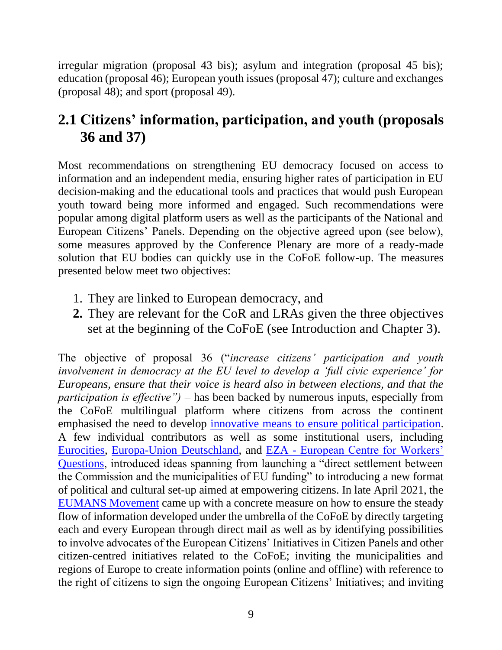irregular migration (proposal 43 bis); asylum and integration (proposal 45 bis); education (proposal 46); European youth issues (proposal 47); culture and exchanges (proposal 48); and sport (proposal 49).

#### <span id="page-13-0"></span>**2.1 Citizens' information, participation, and youth (proposals 36 and 37)**

Most recommendations on strengthening EU democracy focused on access to information and an independent media, ensuring higher rates of participation in EU decision-making and the educational tools and practices that would push European youth toward being more informed and engaged. Such recommendations were popular among digital platform users as well as the participants of the National and European Citizens' Panels. Depending on the objective agreed upon (see below), some measures approved by the Conference Plenary are more of a ready-made solution that EU bodies can quickly use in the CoFoE follow-up. The measures presented below meet two objectives:

- 1. They are linked to European democracy, and
- **2.** They are relevant for the CoR and LRAs given the three objectives set at the beginning of the CoFoE (see Introduction and Chapter 3).

The objective of proposal 36 ("*increase citizens' participation and youth involvement in democracy at the EU level to develop a 'full civic experience' for Europeans, ensure that their voice is heard also in between elections, and that the participation is effective")* – has been backed by numerous inputs, especially from the CoFoE multilingual platform where citizens from across the continent emphasised the need to develop [innovative means to ensure political participation.](https://futureu.europa.eu/processes/Democracy/f/6/proposals/57091) A few individual contributors as well as some institutional users, including [Eurocities,](https://futureu.europa.eu/processes/Democracy/f/6/proposals/261264?filter%5Bcategory_id%5D%5B%5D=14&order=recent&page=8&per_page=20) [Europa-Union Deutschland,](https://futureu.europa.eu/processes/Democracy/f/6/proposals/174308?toggle_translations=true) and EZA - [European Centre for Workers'](https://futureu.europa.eu/processes/Democracy/f/6/proposals/242025?order=recent&page=21)  [Questions,](https://futureu.europa.eu/processes/Democracy/f/6/proposals/242025?order=recent&page=21) introduced ideas spanning from launching a "direct settlement between the Commission and the municipalities of EU funding" to introducing a new format of political and cultural set-up aimed at empowering citizens. In late April 2021, the [EUMANS Movement](https://futureu.europa.eu/processes/Democracy/f/6/proposals/1587) came up with a concrete measure on how to ensure the steady flow of information developed under the umbrella of the CoFoE by directly targeting each and every European through direct mail as well as by identifying possibilities to involve advocates of the European Citizens' Initiatives in Citizen Panels and other citizen-centred initiatives related to the CoFoE; inviting the municipalities and regions of Europe to create information points (online and offline) with reference to the right of citizens to sign the ongoing European Citizens' Initiatives; and inviting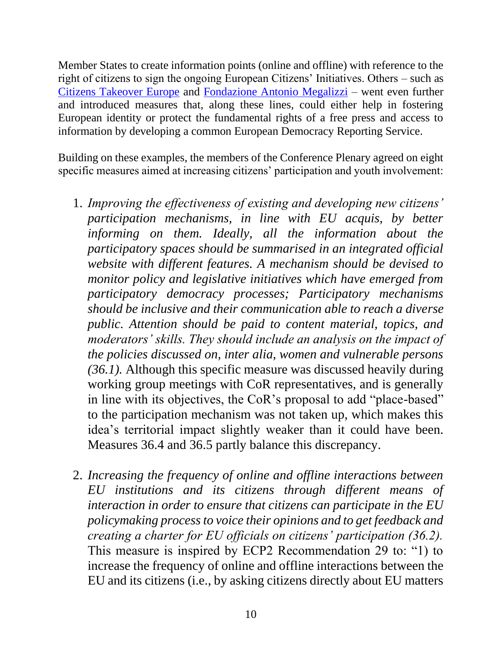Member States to create information points (online and offline) with reference to the right of citizens to sign the ongoing European Citizens' Initiatives. Others – such as [Citizens Takeover Europe](https://futureu.europa.eu/processes/Democracy/f/6/proposals/7692) and [Fondazione Antonio Megalizzi](https://futureu.europa.eu/processes/Democracy/f/6/proposals/286969?filter%5Bcategory_id%5D%5B%5D=14&order=recent&per_page=20) – went even further and introduced measures that, along these lines, could either help in fostering European identity or protect the fundamental rights of a free press and access to information by developing a common European Democracy Reporting Service.

Building on these examples, the members of the Conference Plenary agreed on eight specific measures aimed at increasing citizens' participation and youth involvement:

- 1. *Improving the effectiveness of existing and developing new citizens' participation mechanisms, in line with EU acquis, by better informing on them. Ideally, all the information about the participatory spaces should be summarised in an integrated official website with different features. A mechanism should be devised to monitor policy and legislative initiatives which have emerged from participatory democracy processes; Participatory mechanisms should be inclusive and their communication able to reach a diverse public. Attention should be paid to content material, topics, and moderators' skills. They should include an analysis on the impact of the policies discussed on, inter alia, women and vulnerable persons (36.1).* Although this specific measure was discussed heavily during working group meetings with CoR representatives, and is generally in line with its objectives, the CoR's proposal to add "place-based" to the participation mechanism was not taken up, which makes this idea's territorial impact slightly weaker than it could have been. Measures 36.4 and 36.5 partly balance this discrepancy.
- 2. *Increasing the frequency of online and offline interactions between EU institutions and its citizens through different means of interaction in order to ensure that citizens can participate in the EU policymaking process to voice their opinions and to get feedback and creating a charter for EU officials on citizens' participation (36.2).*  This measure is inspired by ECP2 Recommendation 29 to: "1) to increase the frequency of online and offline interactions between the EU and its citizens (i.e., by asking citizens directly about EU matters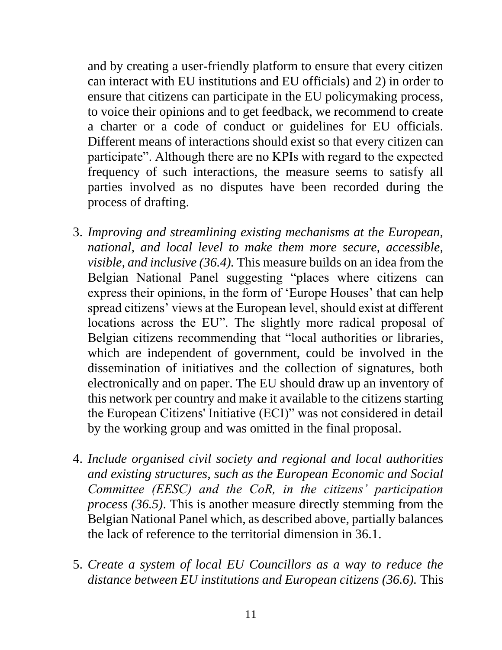and by creating a user-friendly platform to ensure that every citizen can interact with EU institutions and EU officials) and 2) in order to ensure that citizens can participate in the EU policymaking process, to voice their opinions and to get feedback, we recommend to create a charter or a code of conduct or guidelines for EU officials. Different means of interactions should exist so that every citizen can participate". Although there are no KPIs with regard to the expected frequency of such interactions, the measure seems to satisfy all parties involved as no disputes have been recorded during the process of drafting.

- 3. *Improving and streamlining existing mechanisms at the European, national, and local level to make them more secure, accessible, visible, and inclusive (36.4).* This measure builds on an idea from the Belgian National Panel suggesting "places where citizens can express their opinions, in the form of 'Europe Houses' that can help spread citizens' views at the European level, should exist at different locations across the EU". The slightly more radical proposal of Belgian citizens recommending that "local authorities or libraries, which are independent of government, could be involved in the dissemination of initiatives and the collection of signatures, both electronically and on paper. The EU should draw up an inventory of this network per country and make it available to the citizens starting the European Citizens' Initiative (ECI)" was not considered in detail by the working group and was omitted in the final proposal.
- 4. *Include organised civil society and regional and local authorities and existing structures, such as the European Economic and Social Committee (EESC) and the CoR, in the citizens' participation process (36.5)*. This is another measure directly stemming from the Belgian National Panel which, as described above, partially balances the lack of reference to the territorial dimension in 36.1.
- 5. *Create a system of local EU Councillors as a way to reduce the distance between EU institutions and European citizens (36.6).* This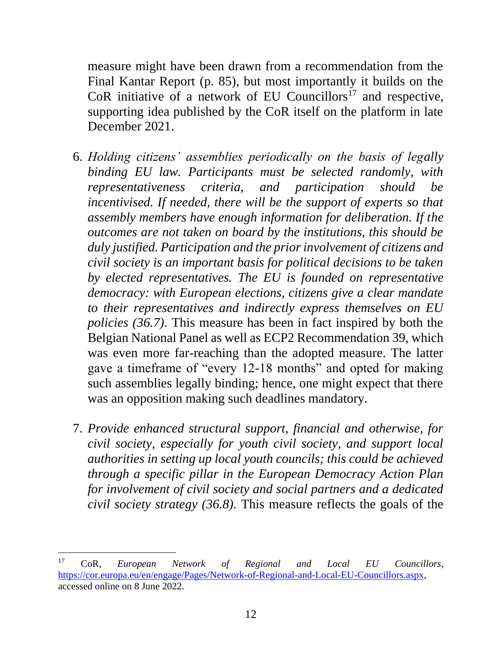measure might have been drawn from a recommendation from the Final Kantar Report (p. 85), but most importantly it builds on the CoR initiative of a network of EU Councillors<sup>17</sup> and respective, supporting idea published by the CoR itself on the platform in late December 2021.

- 6. *Holding citizens' assemblies periodically on the basis of legally binding EU law. Participants must be selected randomly, with representativeness criteria, and participation should be incentivised. If needed, there will be the support of experts so that assembly members have enough information for deliberation. If the outcomes are not taken on board by the institutions, this should be duly justified. Participation and the prior involvement of citizens and civil society is an important basis for political decisions to be taken by elected representatives. The EU is founded on representative democracy: with European elections, citizens give a clear mandate to their representatives and indirectly express themselves on EU policies (36.7)*. This measure has been in fact inspired by both the Belgian National Panel as well as ECP2 Recommendation 39, which was even more far-reaching than the adopted measure. The latter gave a timeframe of "every 12-18 months" and opted for making such assemblies legally binding; hence, one might expect that there was an opposition making such deadlines mandatory.
- 7. *Provide enhanced structural support, financial and otherwise, for civil society, especially for youth civil society, and support local authorities in setting up local youth councils; this could be achieved through a specific pillar in the European Democracy Action Plan for involvement of civil society and social partners and a dedicated civil society strategy (36.8).* This measure reflects the goals of the

<sup>17</sup> CoR, *European Network of Regional and Local EU Councillors*, [https://cor.europa.eu/en/engage/Pages/Network-of-Regional-and-Local-EU-Councillors.aspx,](https://cor.europa.eu/en/engage/Pages/Network-of-Regional-and-Local-EU-Councillors.aspx) accessed online on 8 June 2022.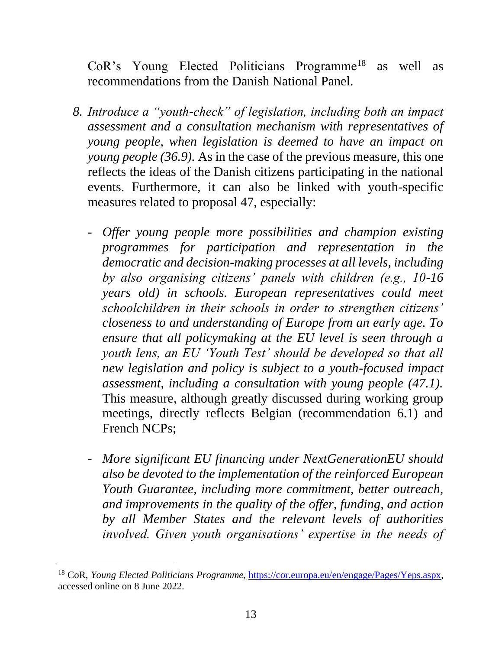CoR's Young Elected Politicians Programme<sup>18</sup> as well as recommendations from the Danish National Panel.

- *8. Introduce a "youth-check" of legislation, including both an impact assessment and a consultation mechanism with representatives of young people, when legislation is deemed to have an impact on young people (36.9).* As in the case of the previous measure, this one reflects the ideas of the Danish citizens participating in the national events. Furthermore, it can also be linked with youth-specific measures related to proposal 47, especially:
	- *Offer young people more possibilities and champion existing programmes for participation and representation in the democratic and decision-making processes at all levels, including by also organising citizens' panels with children (e.g., 10-16 years old) in schools. European representatives could meet schoolchildren in their schools in order to strengthen citizens' closeness to and understanding of Europe from an early age. To ensure that all policymaking at the EU level is seen through a youth lens, an EU 'Youth Test' should be developed so that all new legislation and policy is subject to a youth-focused impact assessment, including a consultation with young people (47.1).*  This measure, although greatly discussed during working group meetings, directly reflects Belgian (recommendation 6.1) and French NCPs;
	- *More significant EU financing under NextGenerationEU should also be devoted to the implementation of the reinforced European Youth Guarantee, including more commitment, better outreach, and improvements in the quality of the offer, funding, and action by all Member States and the relevant levels of authorities involved. Given youth organisations' expertise in the needs of*

<sup>&</sup>lt;sup>18</sup> CoR, *Young Elected Politicians Programme*, [https://cor.europa.eu/en/engage/Pages/Yeps.aspx,](https://cor.europa.eu/en/engage/Pages/Yeps.aspx) accessed online on 8 June 2022.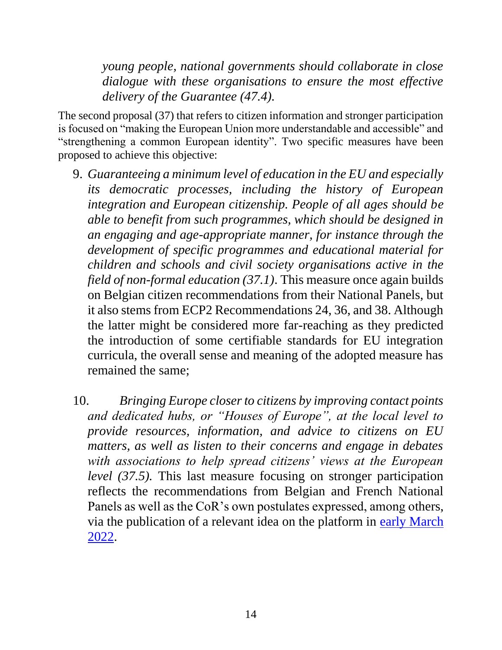*young people, national governments should collaborate in close dialogue with these organisations to ensure the most effective delivery of the Guarantee (47.4).*

The second proposal (37) that refers to citizen information and stronger participation is focused on "making the European Union more understandable and accessible" and "strengthening a common European identity". Two specific measures have been proposed to achieve this objective:

- 9. *Guaranteeing a minimum level of education in the EU and especially its democratic processes, including the history of European integration and European citizenship. People of all ages should be able to benefit from such programmes, which should be designed in an engaging and age-appropriate manner, for instance through the development of specific programmes and educational material for children and schools and civil society organisations active in the field of non-formal education (37.1)*. This measure once again builds on Belgian citizen recommendations from their National Panels, but it also stems from ECP2 Recommendations 24, 36, and 38. Although the latter might be considered more far-reaching as they predicted the introduction of some certifiable standards for EU integration curricula, the overall sense and meaning of the adopted measure has remained the same;
- 10. *Bringing Europe closer to citizens by improving contact points and dedicated hubs, or "Houses of Europe", at the local level to provide resources, information, and advice to citizens on EU matters, as well as listen to their concerns and engage in debates with associations to help spread citizens' views at the European level (37.5).* This last measure focusing on stronger participation reflects the recommendations from Belgian and French National Panels as well as the CoR's own postulates expressed, among others, via the publication of a relevant idea on the platform in [early March](https://futureu.europa.eu/processes/Democracy/f/6/proposals/272451?filter%5Bcategory_id%5D%5B%5D=11&locale=en&order=recent&page=4&per_page=20)  [2022.](https://futureu.europa.eu/processes/Democracy/f/6/proposals/272451?filter%5Bcategory_id%5D%5B%5D=11&locale=en&order=recent&page=4&per_page=20)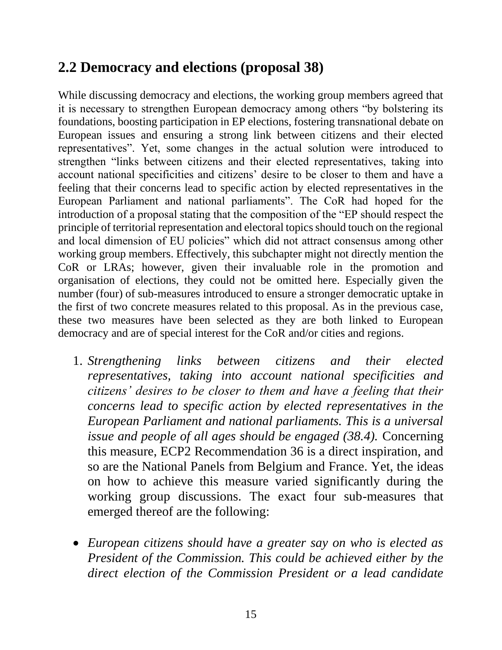#### <span id="page-19-0"></span>**2.2 Democracy and elections (proposal 38)**

While discussing democracy and elections, the working group members agreed that it is necessary to strengthen European democracy among others "by bolstering its foundations, boosting participation in EP elections, fostering transnational debate on European issues and ensuring a strong link between citizens and their elected representatives". Yet, some changes in the actual solution were introduced to strengthen "links between citizens and their elected representatives, taking into account national specificities and citizens' desire to be closer to them and have a feeling that their concerns lead to specific action by elected representatives in the European Parliament and national parliaments". The CoR had hoped for the introduction of a proposal stating that the composition of the "EP should respect the principle of territorial representation and electoral topics should touch on the regional and local dimension of EU policies" which did not attract consensus among other working group members. Effectively, this subchapter might not directly mention the CoR or LRAs; however, given their invaluable role in the promotion and organisation of elections, they could not be omitted here. Especially given the number (four) of sub-measures introduced to ensure a stronger democratic uptake in the first of two concrete measures related to this proposal. As in the previous case, these two measures have been selected as they are both linked to European democracy and are of special interest for the CoR and/or cities and regions.

- 1. *Strengthening links between citizens and their elected representatives, taking into account national specificities and citizens' desires to be closer to them and have a feeling that their concerns lead to specific action by elected representatives in the European Parliament and national parliaments. This is a universal issue and people of all ages should be engaged (38.4).* Concerning this measure, ECP2 Recommendation 36 is a direct inspiration, and so are the National Panels from Belgium and France. Yet, the ideas on how to achieve this measure varied significantly during the working group discussions. The exact four sub-measures that emerged thereof are the following:
- *European citizens should have a greater say on who is elected as President of the Commission. This could be achieved either by the direct election of the Commission President or a lead candidate*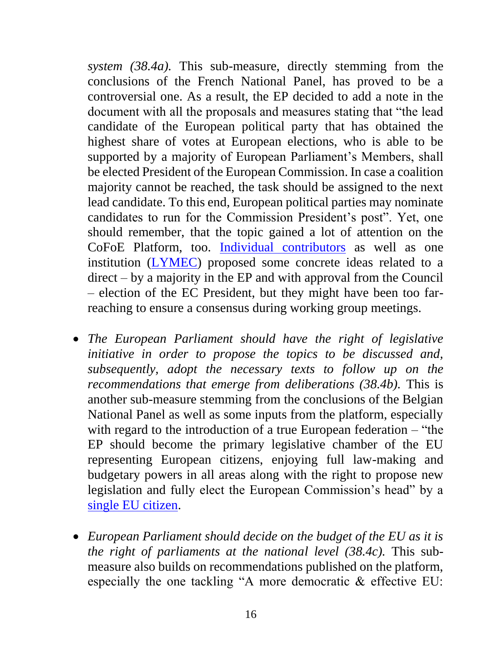*system (38.4a).* This sub-measure, directly stemming from the conclusions of the French National Panel, has proved to be a controversial one. As a result, the EP decided to add a note in the document with all the proposals and measures stating that "the lead candidate of the European political party that has obtained the highest share of votes at European elections, who is able to be supported by a majority of European Parliament's Members, shall be elected President of the European Commission. In case a coalition majority cannot be reached, the task should be assigned to the next lead candidate. To this end, European political parties may nominate candidates to run for the Commission President's post". Yet, one should remember, that the topic gained a lot of attention on the CoFoE Platform, too. [Individual contributors](https://futureu.europa.eu/processes/Democracy/f/6/proposals/930?toggle_translations=true) as well as one institution [\(LYMEC\)](https://futureu.europa.eu/processes/Democracy/f/6/proposals/13234) proposed some concrete ideas related to a direct – by a majority in the EP and with approval from the Council – election of the EC President, but they might have been too farreaching to ensure a consensus during working group meetings.

- *The European Parliament should have the right of legislative initiative in order to propose the topics to be discussed and, subsequently, adopt the necessary texts to follow up on the recommendations that emerge from deliberations (38.4b).* This is another sub-measure stemming from the conclusions of the Belgian National Panel as well as some inputs from the platform, especially with regard to the introduction of a true European federation – "the EP should become the primary legislative chamber of the EU representing European citizens, enjoying full law-making and budgetary powers in all areas along with the right to propose new legislation and fully elect the European Commission's head" by a [single EU citizen.](https://futureu.europa.eu/processes/Democracy/f/6/proposals/182)
- *European Parliament should decide on the budget of the EU as it is the right of parliaments at the national level (38.4c).* This submeasure also builds on recommendations published on the platform, especially the one tackling "A more democratic & effective EU: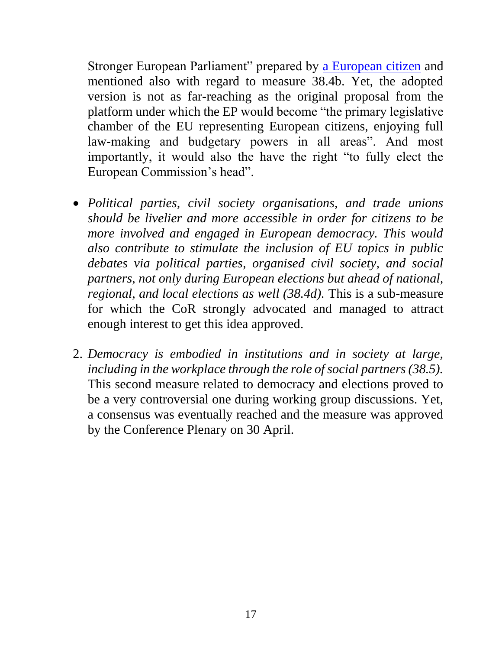Stronger European Parliament" prepared by [a European citizen](https://futureu.europa.eu/processes/Democracy/f/6/proposals/182) and mentioned also with regard to measure 38.4b. Yet, the adopted version is not as far-reaching as the original proposal from the platform under which the EP would become "the primary legislative chamber of the EU representing European citizens, enjoying full law-making and budgetary powers in all areas". And most importantly, it would also the have the right "to fully elect the European Commission's head".

- *Political parties, civil society organisations, and trade unions should be livelier and more accessible in order for citizens to be more involved and engaged in European democracy. This would also contribute to stimulate the inclusion of EU topics in public debates via political parties, organised civil society, and social partners, not only during European elections but ahead of national, regional, and local elections as well (38.4d).* This is a sub-measure for which the CoR strongly advocated and managed to attract enough interest to get this idea approved.
- 2. *Democracy is embodied in institutions and in society at large, including in the workplace through the role of social partners (38.5).*  This second measure related to democracy and elections proved to be a very controversial one during working group discussions. Yet, a consensus was eventually reached and the measure was approved by the Conference Plenary on 30 April.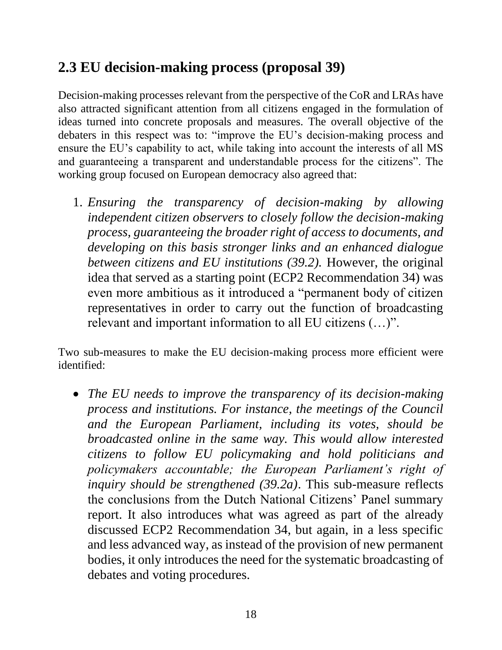#### <span id="page-22-0"></span>**2.3 EU decision-making process (proposal 39)**

Decision-making processes relevant from the perspective of the CoR and LRAs have also attracted significant attention from all citizens engaged in the formulation of ideas turned into concrete proposals and measures. The overall objective of the debaters in this respect was to: "improve the EU's decision-making process and ensure the EU's capability to act, while taking into account the interests of all MS and guaranteeing a transparent and understandable process for the citizens". The working group focused on European democracy also agreed that:

1. *Ensuring the transparency of decision-making by allowing independent citizen observers to closely follow the decision-making process, guaranteeing the broader right of access to documents, and developing on this basis stronger links and an enhanced dialogue between citizens and EU institutions (39.2).* However, the original idea that served as a starting point (ECP2 Recommendation 34) was even more ambitious as it introduced a "permanent body of citizen representatives in order to carry out the function of broadcasting relevant and important information to all EU citizens (…)".

Two sub-measures to make the EU decision-making process more efficient were identified:

• *The EU needs to improve the transparency of its decision-making process and institutions. For instance, the meetings of the Council and the European Parliament, including its votes, should be broadcasted online in the same way. This would allow interested citizens to follow EU policymaking and hold politicians and policymakers accountable; the European Parliament's right of inquiry should be strengthened (39.2a)*. This sub-measure reflects the conclusions from the Dutch National Citizens' Panel summary report. It also introduces what was agreed as part of the already discussed ECP2 Recommendation 34, but again, in a less specific and less advanced way, as instead of the provision of new permanent bodies, it only introduces the need for the systematic broadcasting of debates and voting procedures.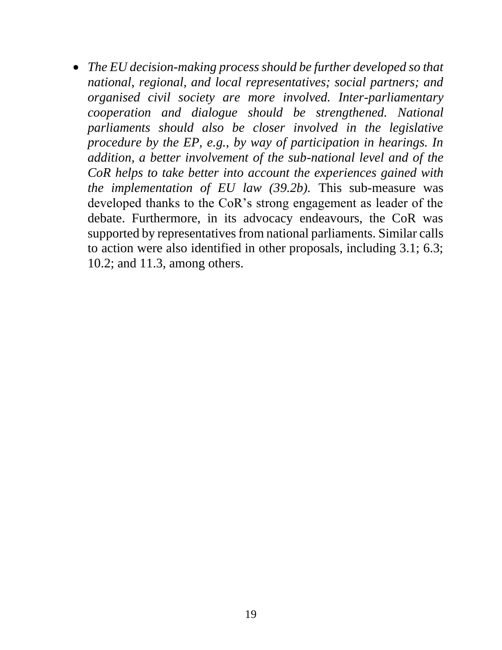• *The EU decision-making process should be further developed so that national, regional, and local representatives; social partners; and organised civil society are more involved. Inter-parliamentary cooperation and dialogue should be strengthened. National parliaments should also be closer involved in the legislative procedure by the EP, e.g., by way of participation in hearings. In addition, a better involvement of the sub-national level and of the CoR helps to take better into account the experiences gained with the implementation of EU law (39.2b).* This sub-measure was developed thanks to the CoR's strong engagement as leader of the debate. Furthermore, in its advocacy endeavours, the CoR was supported by representatives from national parliaments. Similar calls to action were also identified in other proposals, including 3.1; 6.3; 10.2; and 11.3, among others.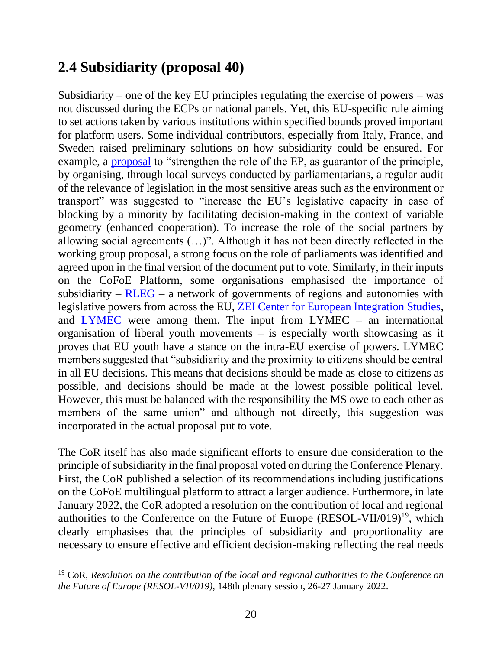#### <span id="page-24-0"></span>**2.4 Subsidiarity (proposal 40)**

Subsidiarity – one of the key EU principles regulating the exercise of powers – was not discussed during the ECPs or national panels. Yet, this EU-specific rule aiming to set actions taken by various institutions within specified bounds proved important for platform users. Some individual contributors, especially from Italy, France, and Sweden raised preliminary solutions on how subsidiarity could be ensured. For example, a [proposal](https://futureu.europa.eu/processes/Democracy/f/6/proposals/216910?order=recent&page=27&toggle_translations=true) to "strengthen the role of the EP, as guarantor of the principle, by organising, through local surveys conducted by parliamentarians, a regular audit of the relevance of legislation in the most sensitive areas such as the environment or transport" was suggested to "increase the EU's legislative capacity in case of blocking by a minority by facilitating decision-making in the context of variable geometry (enhanced cooperation). To increase the role of the social partners by allowing social agreements (…)". Although it has not been directly reflected in the working group proposal, a strong focus on the role of parliaments was identified and agreed upon in the final version of the document put to vote. Similarly, in their inputs on the CoFoE Platform, some organisations emphasised the importance of subsidiarity –  $RLEG$  – a network of governments of regions and autonomies with legislative powers from across the EU, [ZEI Center for European Integration Studies,](https://futureu.europa.eu/processes/Democracy/f/6/proposals/14984) and [LYMEC](https://futureu.europa.eu/processes/Democracy/f/6/proposals/13333) were among them. The input from LYMEC – an international organisation of liberal youth movements – is especially worth showcasing as it proves that EU youth have a stance on the intra-EU exercise of powers. LYMEC members suggested that "subsidiarity and the proximity to citizens should be central in all EU decisions. This means that decisions should be made as close to citizens as possible, and decisions should be made at the lowest possible political level. However, this must be balanced with the responsibility the MS owe to each other as members of the same union" and although not directly, this suggestion was incorporated in the actual proposal put to vote.

The CoR itself has also made significant efforts to ensure due consideration to the principle of subsidiarity in the final proposal voted on during the Conference Plenary. First, the CoR published a selection of its recommendations including justifications on the CoFoE multilingual platform to attract a larger audience. Furthermore, in late January 2022, the CoR adopted a resolution on the contribution of local and regional authorities to the Conference on the Future of Europe (RESOL-VII/019)<sup>19</sup>, which clearly emphasises that the principles of subsidiarity and proportionality are necessary to ensure effective and efficient decision-making reflecting the real needs

<sup>19</sup> CoR, *Resolution on the contribution of the local and regional authorities to the Conference on the Future of Europe (RESOL-VII/019),* 148th plenary session, 26-27 January 2022.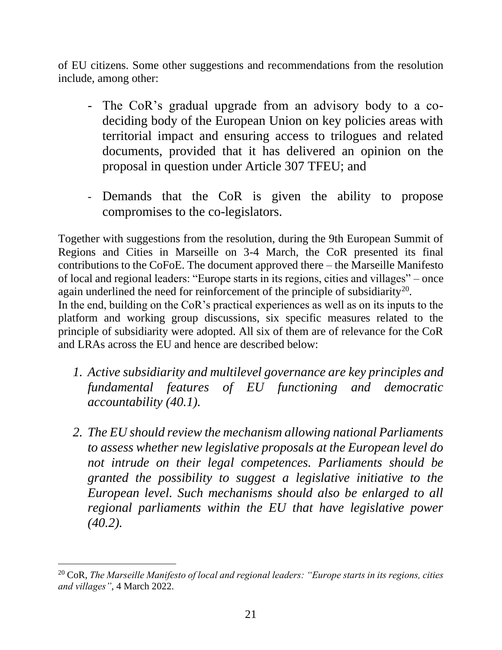of EU citizens. Some other suggestions and recommendations from the resolution include, among other:

- The CoR's gradual upgrade from an advisory body to a codeciding body of the European Union on key policies areas with territorial impact and ensuring access to trilogues and related documents, provided that it has delivered an opinion on the proposal in question under Article 307 TFEU; and
- Demands that the CoR is given the ability to propose compromises to the co-legislators.

Together with suggestions from the resolution, during the 9th European Summit of Regions and Cities in Marseille on 3-4 March, the CoR presented its final contributions to the CoFoE. The document approved there – the Marseille Manifesto of local and regional leaders: "Europe starts in its regions, cities and villages" – once again underlined the need for reinforcement of the principle of subsidiarity<sup>20</sup>. In the end, building on the CoR's practical experiences as well as on its inputs to the

platform and working group discussions, six specific measures related to the principle of subsidiarity were adopted. All six of them are of relevance for the CoR and LRAs across the EU and hence are described below:

- *1. Active subsidiarity and multilevel governance are key principles and fundamental features of EU functioning and democratic accountability (40.1).*
- *2. The EU should review the mechanism allowing national Parliaments to assess whether new legislative proposals at the European level do not intrude on their legal competences. Parliaments should be granted the possibility to suggest a legislative initiative to the European level. Such mechanisms should also be enlarged to all regional parliaments within the EU that have legislative power (40.2).*

<sup>20</sup> CoR, *The Marseille Manifesto of local and regional leaders: "Europe starts in its regions, cities and villages",* 4 March 2022.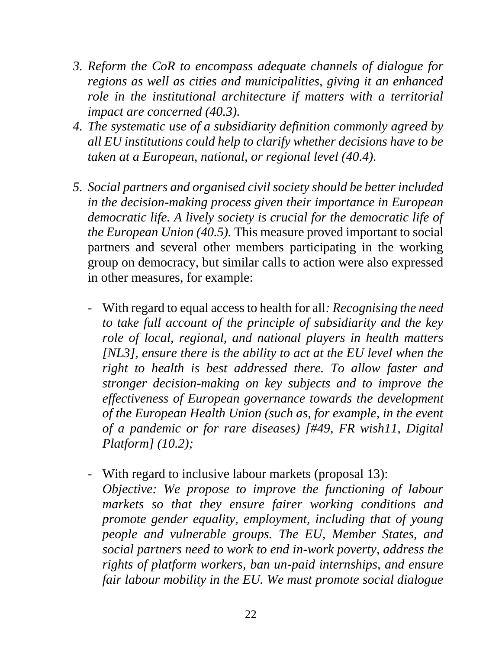- *3. Reform the CoR to encompass adequate channels of dialogue for regions as well as cities and municipalities, giving it an enhanced role in the institutional architecture if matters with a territorial impact are concerned (40.3).*
- *4. The systematic use of a subsidiarity definition commonly agreed by all EU institutions could help to clarify whether decisions have to be taken at a European, national, or regional level (40.4).*
- *5. Social partners and organised civil society should be better included in the decision-making process given their importance in European democratic life. A lively society is crucial for the democratic life of the European Union (40.5).* This measure proved important to social partners and several other members participating in the working group on democracy, but similar calls to action were also expressed in other measures, for example:
	- With regard to equal access to health for all*: Recognising the need to take full account of the principle of subsidiarity and the key role of local, regional, and national players in health matters [NL3], ensure there is the ability to act at the EU level when the right to health is best addressed there. To allow faster and stronger decision-making on key subjects and to improve the effectiveness of European governance towards the development of the European Health Union (such as, for example, in the event of a pandemic or for rare diseases) [#49, FR wish11, Digital Platform] (10.2);*
	- With regard to inclusive labour markets (proposal 13): *Objective: We propose to improve the functioning of labour markets so that they ensure fairer working conditions and promote gender equality, employment, including that of young people and vulnerable groups. The EU, Member States, and social partners need to work to end in-work poverty, address the rights of platform workers, ban un-paid internships, and ensure fair labour mobility in the EU. We must promote social dialogue*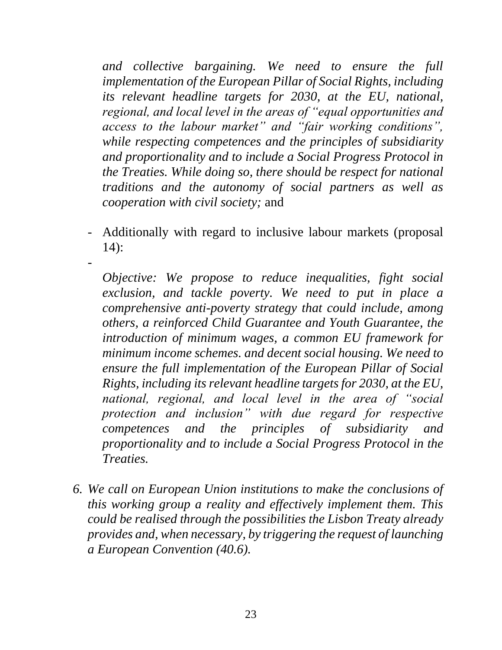*and collective bargaining. We need to ensure the full implementation of the European Pillar of Social Rights, including its relevant headline targets for 2030, at the EU, national, regional, and local level in the areas of "equal opportunities and access to the labour market" and "fair working conditions", while respecting competences and the principles of subsidiarity and proportionality and to include a Social Progress Protocol in the Treaties. While doing so, there should be respect for national traditions and the autonomy of social partners as well as cooperation with civil society;* and

- Additionally with regard to inclusive labour markets (proposal 14):

-

*Objective: We propose to reduce inequalities, fight social exclusion, and tackle poverty. We need to put in place a comprehensive anti-poverty strategy that could include, among others, a reinforced Child Guarantee and Youth Guarantee, the introduction of minimum wages, a common EU framework for minimum income schemes. and decent social housing. We need to ensure the full implementation of the European Pillar of Social Rights, including its relevant headline targets for 2030, at the EU, national, regional, and local level in the area of "social protection and inclusion" with due regard for respective competences and the principles of subsidiarity and proportionality and to include a Social Progress Protocol in the Treaties.*

*6. We call on European Union institutions to make the conclusions of this working group a reality and effectively implement them. This could be realised through the possibilities the Lisbon Treaty already provides and, when necessary, by triggering the request of launching a European Convention (40.6).*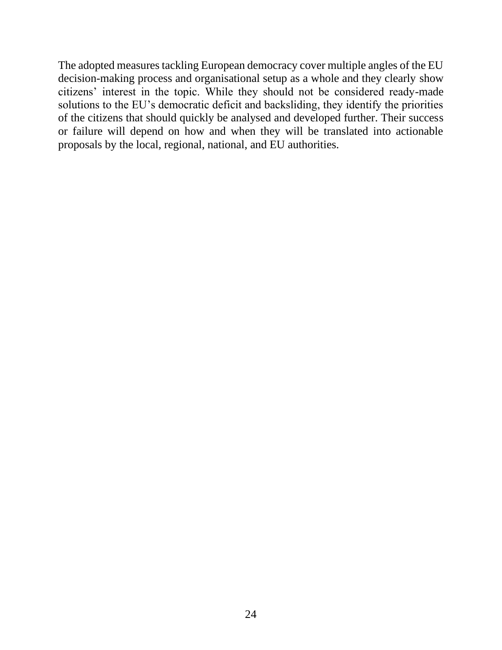The adopted measures tackling European democracy cover multiple angles of the EU decision-making process and organisational setup as a whole and they clearly show citizens' interest in the topic. While they should not be considered ready-made solutions to the EU's democratic deficit and backsliding, they identify the priorities of the citizens that should quickly be analysed and developed further. Their success or failure will depend on how and when they will be translated into actionable proposals by the local, regional, national, and EU authorities.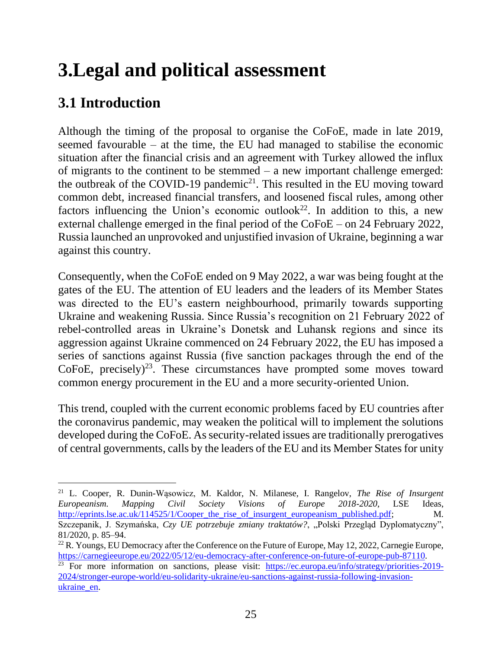## <span id="page-29-0"></span>**3.Legal and political assessment**

#### <span id="page-29-1"></span>**3.1 Introduction**

Although the timing of the proposal to organise the CoFoE, made in late 2019, seemed favourable – at the time, the EU had managed to stabilise the economic situation after the financial crisis and an agreement with Turkey allowed the influx of migrants to the continent to be stemmed – a new important challenge emerged: the outbreak of the COVID-19 pandemic<sup>21</sup>. This resulted in the EU moving toward common debt, increased financial transfers, and loosened fiscal rules, among other factors influencing the Union's economic outlook<sup>22</sup>. In addition to this, a new external challenge emerged in the final period of the CoFoE – on 24 February 2022, Russia launched an unprovoked and unjustified invasion of Ukraine, beginning a war against this country.

Consequently, when the CoFoE ended on 9 May 2022, a war was being fought at the gates of the EU. The attention of EU leaders and the leaders of its Member States was directed to the EU's eastern neighbourhood, primarily towards supporting Ukraine and weakening Russia. Since Russia's recognition on 21 February 2022 of rebel-controlled areas in Ukraine's Donetsk and Luhansk regions and since its aggression against Ukraine commenced on 24 February 2022, the EU has imposed a series of sanctions against Russia (five sanction packages through the end of the  $CoFoE$ , precisely)<sup>23</sup>. These circumstances have prompted some moves toward common energy procurement in the EU and a more security-oriented Union.

This trend, coupled with the current economic problems faced by EU countries after the coronavirus pandemic, may weaken the political will to implement the solutions developed during the CoFoE. As security-related issues are traditionally prerogatives of central governments, calls by the leaders of the EU and its Member States for unity

<sup>21</sup> L. Cooper, R. Dunin-Wąsowicz, M. Kaldor, N. Milanese, I. Rangelov, *The Rise of Insurgent Europeanism. Mapping Civil Society Visions of Europe 2018-2020*, LSE Ideas, [http://eprints.lse.ac.uk/114525/1/Cooper\\_the\\_rise\\_of\\_insurgent\\_europeanism\\_published.pdf;](http://eprints.lse.ac.uk/114525/1/Cooper_the_rise_of_insurgent_europeanism_published.pdf) M. Szczepanik, J. Szymańska, *Czy UE potrzebuje zmiany traktatów?*, "Polski Przegląd Dyplomatyczny", 81/2020, p. 85–94.

 $^{22}$  R. Youngs, EU Democracy after the Conference on the Future of Europe, May 12, 2022, Carnegie Europe, [https://carnegieeurope.eu/2022/05/12/eu-democracy-after-conference-on-future-of-europe-pub-87110.](https://carnegieeurope.eu/2022/05/12/eu-democracy-after-conference-on-future-of-europe-pub-87110)

<sup>&</sup>lt;sup>23</sup> For more information on sanctions, please visit: [https://ec.europa.eu/info/strategy/priorities-2019-](https://ec.europa.eu/info/strategy/priorities-2019-2024/stronger-europe-world/eu-solidarity-ukraine/eu-sanctions-against-russia-following-invasion-ukraine_en) [2024/stronger-europe-world/eu-solidarity-ukraine/eu-sanctions-against-russia-following-invasion](https://ec.europa.eu/info/strategy/priorities-2019-2024/stronger-europe-world/eu-solidarity-ukraine/eu-sanctions-against-russia-following-invasion-ukraine_en)[ukraine\\_en.](https://ec.europa.eu/info/strategy/priorities-2019-2024/stronger-europe-world/eu-solidarity-ukraine/eu-sanctions-against-russia-following-invasion-ukraine_en)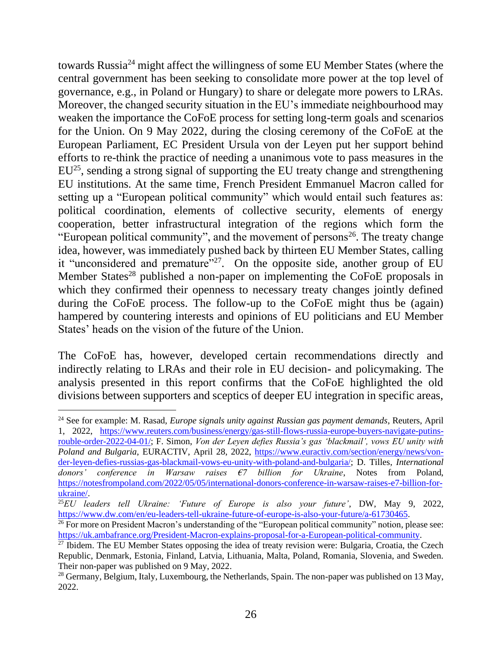towards Russia<sup>24</sup> might affect the willingness of some EU Member States (where the central government has been seeking to consolidate more power at the top level of governance, e.g., in Poland or Hungary) to share or delegate more powers to LRAs. Moreover, the changed security situation in the EU's immediate neighbourhood may weaken the importance the CoFoE process for setting long-term goals and scenarios for the Union. On 9 May 2022, during the closing ceremony of the CoFoE at the European Parliament, EC President Ursula von der Leyen put her support behind efforts to re-think the practice of needing a unanimous vote to pass measures in the EU<sup>25</sup>, sending a strong signal of supporting the EU treaty change and strengthening EU institutions. At the same time, French President Emmanuel Macron called for setting up a "European political community" which would entail such features as: political coordination, elements of collective security, elements of energy cooperation, better infrastructural integration of the regions which form the "European political community", and the movement of persons<sup>26</sup>. The treaty change idea, however, was immediately pushed back by thirteen EU Member States, calling it "unconsidered and premature"<sup>27</sup>. On the opposite side, another group of EU Member States<sup>28</sup> published a non-paper on implementing the CoFoE proposals in which they confirmed their openness to necessary treaty changes jointly defined during the CoFoE process. The follow-up to the CoFoE might thus be (again) hampered by countering interests and opinions of EU politicians and EU Member States' heads on the vision of the future of the Union.

The CoFoE has, however, developed certain recommendations directly and indirectly relating to LRAs and their role in EU decision- and policymaking. The analysis presented in this report confirms that the CoFoE highlighted the old divisions between supporters and sceptics of deeper EU integration in specific areas,

<sup>24</sup> See for example: M. Rasad, *Europe signals unity against Russian gas payment demands*, Reuters, April 1, 2022, [https://www.reuters.com/business/energy/gas-still-flows-russia-europe-buyers-navigate-putins](https://www.reuters.com/business/energy/gas-still-flows-russia-europe-buyers-navigate-putins-rouble-order-2022-04-01/)[rouble-order-2022-04-01/;](https://www.reuters.com/business/energy/gas-still-flows-russia-europe-buyers-navigate-putins-rouble-order-2022-04-01/) F. Simon, *Von der Leyen defies Russia's gas 'blackmail', vows EU unity with Poland and Bulgaria*, EURACTIV, April 28, 2022, [https://www.euractiv.com/section/energy/news/von](https://www.euractiv.com/section/energy/news/von-der-leyen-defies-russias-gas-blackmail-vows-eu-unity-with-poland-and-bulgaria/)[der-leyen-defies-russias-gas-blackmail-vows-eu-unity-with-poland-and-bulgaria/;](https://www.euractiv.com/section/energy/news/von-der-leyen-defies-russias-gas-blackmail-vows-eu-unity-with-poland-and-bulgaria/) D. Tilles, *International donors' conference in Warsaw raises €7 billion for Ukraine*, Notes from Poland, [https://notesfrompoland.com/2022/05/05/international-donors-conference-in-warsaw-raises-e7-billion-for](https://notesfrompoland.com/2022/05/05/international-donors-conference-in-warsaw-raises-e7-billion-for-ukraine/)[ukraine/.](https://notesfrompoland.com/2022/05/05/international-donors-conference-in-warsaw-raises-e7-billion-for-ukraine/)

<sup>25</sup>*EU leaders tell Ukraine: 'Future of Europe is also your future'*, DW, May 9, 2022, [https://www.dw.com/en/eu-leaders-tell-ukraine-future-of-europe-is-also-your-future/a-61730465.](https://www.dw.com/en/eu-leaders-tell-ukraine-future-of-europe-is-also-your-future/a-61730465)

 $26$  For more on President Macron's understanding of the "European political community" notion, please see: [https://uk.ambafrance.org/President-Macron-explains-proposal-for-a-European-political-community.](https://uk.ambafrance.org/President-Macron-explains-proposal-for-a-European-political-community)

<sup>&</sup>lt;sup>27</sup> Ibidem. The EU Member States opposing the idea of treaty revision were: Bulgaria, Croatia, the Czech Republic, Denmark, Estonia, Finland, Latvia, Lithuania, Malta, Poland, Romania, Slovenia, and Sweden. Their non-paper was published on 9 May, 2022.

<sup>&</sup>lt;sup>28</sup> Germany, Belgium, Italy, Luxembourg, the Netherlands, Spain. The non-paper was published on 13 May, 2022.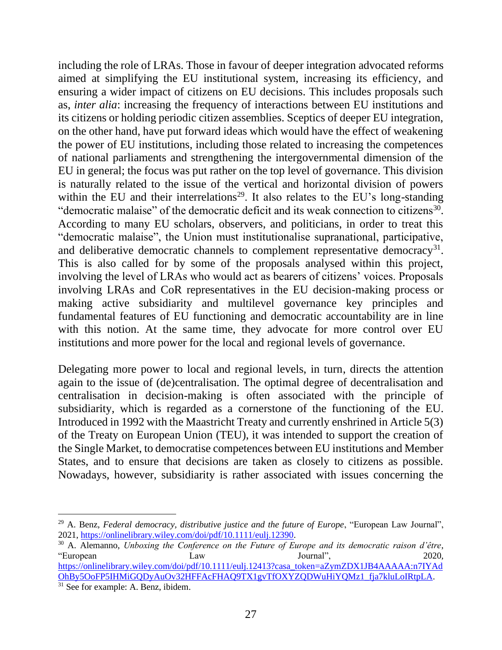including the role of LRAs. Those in favour of deeper integration advocated reforms aimed at simplifying the EU institutional system, increasing its efficiency, and ensuring a wider impact of citizens on EU decisions. This includes proposals such as, *inter alia*: increasing the frequency of interactions between EU institutions and its citizens or holding periodic citizen assemblies. Sceptics of deeper EU integration, on the other hand, have put forward ideas which would have the effect of weakening the power of EU institutions, including those related to increasing the competences of national parliaments and strengthening the intergovernmental dimension of the EU in general; the focus was put rather on the top level of governance. This division is naturally related to the issue of the vertical and horizontal division of powers within the EU and their interrelations<sup>29</sup>. It also relates to the EU's long-standing " democratic malaise" of the democratic deficit and its weak connection to citizens<sup>30</sup>. According to many EU scholars, observers, and politicians, in order to treat this "democratic malaise", the Union must institutionalise supranational, participative, and deliberative democratic channels to complement representative democracy<sup>31</sup>. This is also called for by some of the proposals analysed within this project, involving the level of LRAs who would act as bearers of citizens' voices. Proposals involving LRAs and CoR representatives in the EU decision-making process or making active subsidiarity and multilevel governance key principles and fundamental features of EU functioning and democratic accountability are in line with this notion. At the same time, they advocate for more control over EU institutions and more power for the local and regional levels of governance.

Delegating more power to local and regional levels, in turn, directs the attention again to the issue of (de)centralisation. The optimal degree of decentralisation and centralisation in decision-making is often associated with the principle of subsidiarity, which is regarded as a cornerstone of the functioning of the EU. Introduced in 1992 with the Maastricht Treaty and currently enshrined in Article 5(3) of the Treaty on European Union (TEU), it was intended to support the creation of the Single Market, to democratise competences between EU institutions and Member States, and to ensure that decisions are taken as closely to citizens as possible. Nowadays, however, subsidiarity is rather associated with issues concerning the

<sup>&</sup>lt;sup>29</sup> A. Benz, *Federal democracy, distributive justice and the future of Europe*, "European Law Journal", 2021, [https://onlinelibrary.wiley.com/doi/pdf/10.1111/eulj.12390.](https://onlinelibrary.wiley.com/doi/pdf/10.1111/eulj.12390)

<sup>30</sup> A. Alemanno, *Unboxing the Conference on the Future of Europe and its democratic raison d'être*, "European Law Journal", 2020, [https://onlinelibrary.wiley.com/doi/pdf/10.1111/eulj.12413?casa\\_token=aZymZDX1JB4AAAAA:n7IYAd](https://onlinelibrary.wiley.com/doi/pdf/10.1111/eulj.12413?casa_token=aZymZDX1JB4AAAAA:n7IYAdOhBy5OoFP5IHMiGQDyAuOv32HFFAcFHAQ9TX1gvTfOXYZQDWuHiYQMz1_fja7kluLoIRtpLA) [OhBy5OoFP5IHMiGQDyAuOv32HFFAcFHAQ9TX1gvTfOXYZQDWuHiYQMz1\\_fja7kluLoIRtpLA.](https://onlinelibrary.wiley.com/doi/pdf/10.1111/eulj.12413?casa_token=aZymZDX1JB4AAAAA:n7IYAdOhBy5OoFP5IHMiGQDyAuOv32HFFAcFHAQ9TX1gvTfOXYZQDWuHiYQMz1_fja7kluLoIRtpLA) <sup>31</sup> See for example: A. Benz, ibidem.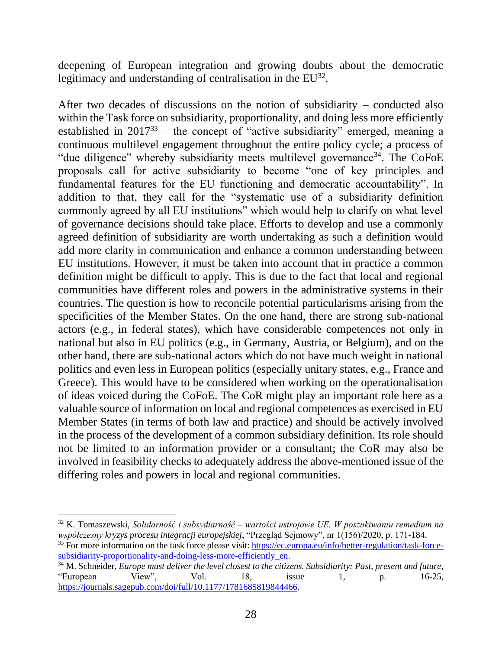deepening of European integration and growing doubts about the democratic legitimacy and understanding of centralisation in the  $EU^{32}$ .

After two decades of discussions on the notion of subsidiarity – conducted also within the Task force on subsidiarity, proportionality, and doing less more efficiently established in  $2017^{33}$  – the concept of "active subsidiarity" emerged, meaning a continuous multilevel engagement throughout the entire policy cycle; a process of "due diligence" whereby subsidiarity meets multilevel governance<sup>34</sup>. The CoFoE proposals call for active subsidiarity to become "one of key principles and fundamental features for the EU functioning and democratic accountability". In addition to that, they call for the "systematic use of a subsidiarity definition commonly agreed by all EU institutions" which would help to clarify on what level of governance decisions should take place. Efforts to develop and use a commonly agreed definition of subsidiarity are worth undertaking as such a definition would add more clarity in communication and enhance a common understanding between EU institutions. However, it must be taken into account that in practice a common definition might be difficult to apply. This is due to the fact that local and regional communities have different roles and powers in the administrative systems in their countries. The question is how to reconcile potential particularisms arising from the specificities of the Member States. On the one hand, there are strong sub-national actors (e.g., in federal states), which have considerable competences not only in national but also in EU politics (e.g., in Germany, Austria, or Belgium), and on the other hand, there are sub-national actors which do not have much weight in national politics and even less in European politics (especially unitary states, e.g., France and Greece). This would have to be considered when working on the operationalisation of ideas voiced during the CoFoE. The CoR might play an important role here as a valuable source of information on local and regional competences as exercised in EU Member States (in terms of both law and practice) and should be actively involved in the process of the development of a common subsidiary definition. Its role should not be limited to an information provider or a consultant; the CoR may also be involved in feasibility checks to adequately address the above-mentioned issue of the differing roles and powers in local and regional communities.

<sup>32</sup> K. Tomaszewski, *Solidarność i subsydiarność – wartości ustrojowe UE. W poszukiwaniu remedium na współczesny kryzys procesu integracji europejskiej*, "Przegląd Sejmowy", nr 1(156)/2020, p. 171-184.

<sup>&</sup>lt;sup>33</sup> For more information on the task force please visit: [https://ec.europa.eu/info/better-regulation/task-force](https://ec.europa.eu/info/better-regulation/task-force-subsidiarity-proportionality-and-doing-less-more-efficiently_en)subsidiarity-proportionality-and-doing-less-more-efficiently en.

<sup>34</sup> M. Schneider*, Europe must deliver the level closest to the citizens. Subsidiarity: Past, present and future*, "European View", Vol. 18, issue 1, p. 16-25, [https://journals.sagepub.com/doi/full/10.1177/1781685819844466.](https://journals.sagepub.com/doi/full/10.1177/1781685819844466)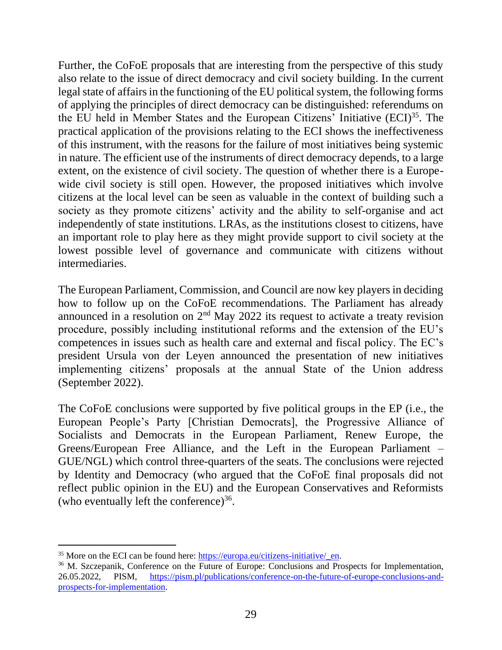Further, the CoFoE proposals that are interesting from the perspective of this study also relate to the issue of direct democracy and civil society building. In the current legal state of affairs in the functioning of the EU political system, the following forms of applying the principles of direct democracy can be distinguished: referendums on the EU held in Member States and the European Citizens' Initiative  $(ECI)^{35}$ . The practical application of the provisions relating to the ECI shows the ineffectiveness of this instrument, with the reasons for the failure of most initiatives being systemic in nature. The efficient use of the instruments of direct democracy depends, to a large extent, on the existence of civil society. The question of whether there is a Europewide civil society is still open. However, the proposed initiatives which involve citizens at the local level can be seen as valuable in the context of building such a society as they promote citizens' activity and the ability to self-organise and act independently of state institutions. LRAs, as the institutions closest to citizens, have an important role to play here as they might provide support to civil society at the lowest possible level of governance and communicate with citizens without intermediaries.

The European Parliament, Commission, and Council are now key players in deciding how to follow up on the CoFoE recommendations. The Parliament has already announced in a resolution on  $2<sup>nd</sup>$  May 2022 its request to activate a treaty revision procedure, possibly including institutional reforms and the extension of the EU's competences in issues such as health care and external and fiscal policy. The EC's president Ursula von der Leyen announced the presentation of new initiatives implementing citizens' proposals at the annual State of the Union address (September 2022).

The CoFoE conclusions were supported by five political groups in the EP (i.e., the European People's Party [Christian Democrats], the Progressive Alliance of Socialists and Democrats in the European Parliament, Renew Europe, the Greens/European Free Alliance, and the Left in the European Parliament – GUE/NGL) which control three-quarters of the seats. The conclusions were rejected by Identity and Democracy (who argued that the CoFoE final proposals did not reflect public opinion in the EU) and the European Conservatives and Reformists (who eventually left the conference) $36$ .

<sup>&</sup>lt;sup>35</sup> More on the ECI can be found here: [https://europa.eu/citizens-initiative/\\_en.](https://europa.eu/citizens-initiative/_en)

<sup>36</sup> M. Szczepanik, Conference on the Future of Europe: Conclusions and Prospects for Implementation, 26.05.2022, PISM, [https://pism.pl/publications/conference-on-the-future-of-europe-conclusions-and](https://pism.pl/publications/conference-on-the-future-of-europe-conclusions-and-prospects-for-implementation)[prospects-for-implementation.](https://pism.pl/publications/conference-on-the-future-of-europe-conclusions-and-prospects-for-implementation)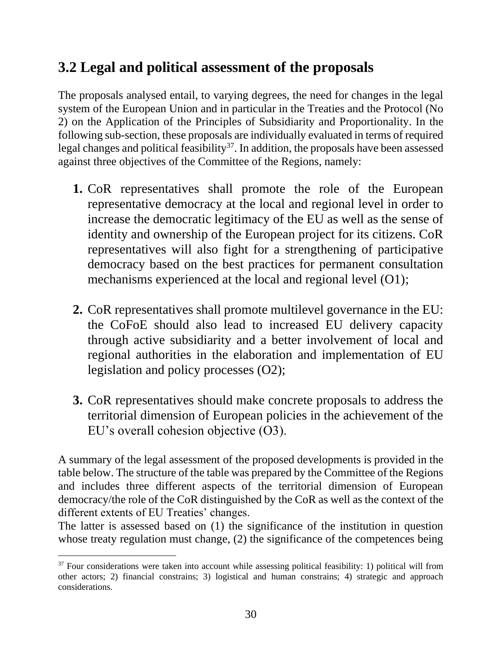#### <span id="page-34-0"></span>**3.2 Legal and political assessment of the proposals**

The proposals analysed entail, to varying degrees, the need for changes in the legal system of the European Union and in particular in the Treaties and the Protocol (No 2) on the Application of the Principles of Subsidiarity and Proportionality. In the following sub-section, these proposals are individually evaluated in terms of required legal changes and political feasibility<sup>37</sup>. In addition, the proposals have been assessed against three objectives of the Committee of the Regions, namely:

- **1.** CoR representatives shall promote the role of the European representative democracy at the local and regional level in order to increase the democratic legitimacy of the EU as well as the sense of identity and ownership of the European project for its citizens. CoR representatives will also fight for a strengthening of participative democracy based on the best practices for permanent consultation mechanisms experienced at the local and regional level (O1);
- **2.** CoR representatives shall promote multilevel governance in the EU: the CoFoE should also lead to increased EU delivery capacity through active subsidiarity and a better involvement of local and regional authorities in the elaboration and implementation of EU legislation and policy processes (O2);
- **3.** CoR representatives should make concrete proposals to address the territorial dimension of European policies in the achievement of the EU's overall cohesion objective (O3).

A summary of the legal assessment of the proposed developments is provided in the table below. The structure of the table was prepared by the Committee of the Regions and includes three different aspects of the territorial dimension of European democracy/the role of the CoR distinguished by the CoR as well as the context of the different extents of EU Treaties' changes.

The latter is assessed based on (1) the significance of the institution in question whose treaty regulation must change, (2) the significance of the competences being

<sup>&</sup>lt;sup>37</sup> Four considerations were taken into account while assessing political feasibility: 1) political will from other actors; 2) financial constrains; 3) logistical and human constrains; 4) strategic and approach considerations.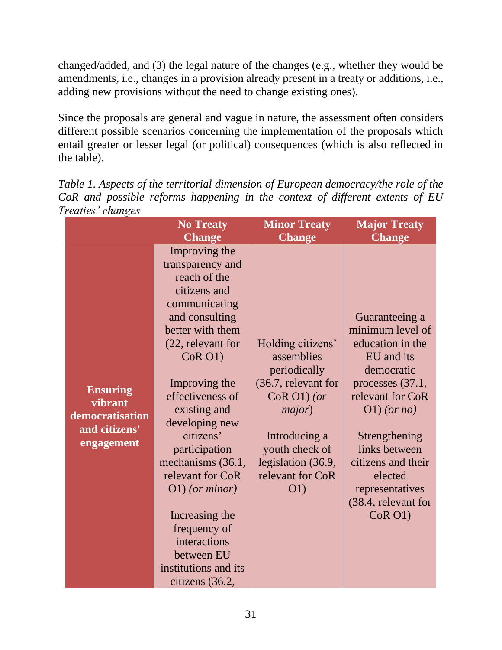changed/added, and (3) the legal nature of the changes (e.g., whether they would be amendments, i.e., changes in a provision already present in a treaty or additions, i.e., adding new provisions without the need to change existing ones).

Since the proposals are general and vague in nature, the assessment often considers different possible scenarios concerning the implementation of the proposals which entail greater or lesser legal (or political) consequences (which is also reflected in the table).

|                                                                              | <b>No Treaty</b>                                                                                                                                                                                                                                                                                                                                                                                                                       | <b>Minor Treaty</b>                                                                                                                                                                     | <b>Major Treaty</b>                                                                                                                                                                                                                                                  |
|------------------------------------------------------------------------------|----------------------------------------------------------------------------------------------------------------------------------------------------------------------------------------------------------------------------------------------------------------------------------------------------------------------------------------------------------------------------------------------------------------------------------------|-----------------------------------------------------------------------------------------------------------------------------------------------------------------------------------------|----------------------------------------------------------------------------------------------------------------------------------------------------------------------------------------------------------------------------------------------------------------------|
|                                                                              | <b>Change</b>                                                                                                                                                                                                                                                                                                                                                                                                                          | <b>Change</b>                                                                                                                                                                           | <b>Change</b>                                                                                                                                                                                                                                                        |
| <b>Ensuring</b><br>vibrant<br>democratisation<br>and citizens'<br>engagement | Improving the<br>transparency and<br>reach of the<br>citizens and<br>communicating<br>and consulting<br>better with them<br>(22, relevant for<br>CoR O1)<br>Improving the<br>effectiveness of<br>existing and<br>developing new<br>citizens'<br>participation<br>mechanisms (36.1,<br>relevant for CoR<br>$O(1)$ (or minor)<br>Increasing the<br>frequency of<br>interactions<br>between EU<br>institutions and its<br>citizens (36.2, | Holding citizens'<br>assemblies<br>periodically<br>(36.7, relevant for<br>$CoR O1$ ) (or<br>major)<br>Introducing a<br>youth check of<br>legislation (36.9,<br>relevant for CoR<br>O(1) | Guaranteeing a<br>minimum level of<br>education in the<br>EU and its<br>democratic<br>processes (37.1,<br>relevant for CoR<br>$O(1)$ (or no)<br>Strengthening<br>links between<br>citizens and their<br>elected<br>representatives<br>(38.4, relevant for<br>CoR O1) |

*Table 1. Aspects of the territorial dimension of European democracy/the role of the CoR and possible reforms happening in the context of different extents of EU Treaties' changes*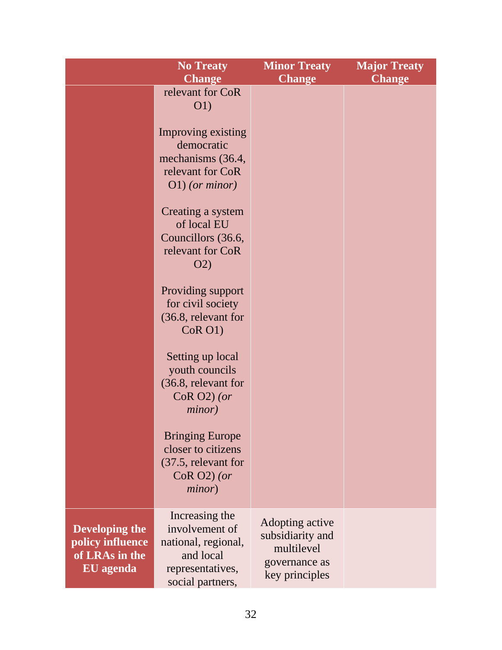|                                                                   | <b>No Treaty</b><br><b>Change</b>                                                                                                                                                                                                                                                                                                                                                                                                                                                            | <b>Minor Treaty</b><br><b>Change</b>                                                 | <b>Major Treaty</b><br><b>Change</b> |
|-------------------------------------------------------------------|----------------------------------------------------------------------------------------------------------------------------------------------------------------------------------------------------------------------------------------------------------------------------------------------------------------------------------------------------------------------------------------------------------------------------------------------------------------------------------------------|--------------------------------------------------------------------------------------|--------------------------------------|
|                                                                   | relevant for CoR<br>O(1)<br>Improving existing<br>democratic<br>mechanisms (36.4,<br>relevant for CoR<br>$O(1)$ (or minor)<br>Creating a system<br>of local EU<br>Councillors (36.6,<br>relevant for CoR<br>O(2)<br>Providing support<br>for civil society<br>(36.8, relevant for<br>CoR O1)<br>Setting up local<br>youth councils<br>(36.8, relevant for<br>$CoR O2$ (or<br>minor)<br><b>Bringing Europe</b><br>closer to citizens<br>(37.5, relevant for<br>$CoR O2$ (or<br><i>minor</i> ) |                                                                                      |                                      |
| Developing the<br>policy influence<br>of LRAs in the<br>EU agenda | Increasing the<br>involvement of<br>national, regional,<br>and local<br>representatives,<br>social partners,                                                                                                                                                                                                                                                                                                                                                                                 | Adopting active<br>subsidiarity and<br>multilevel<br>governance as<br>key principles |                                      |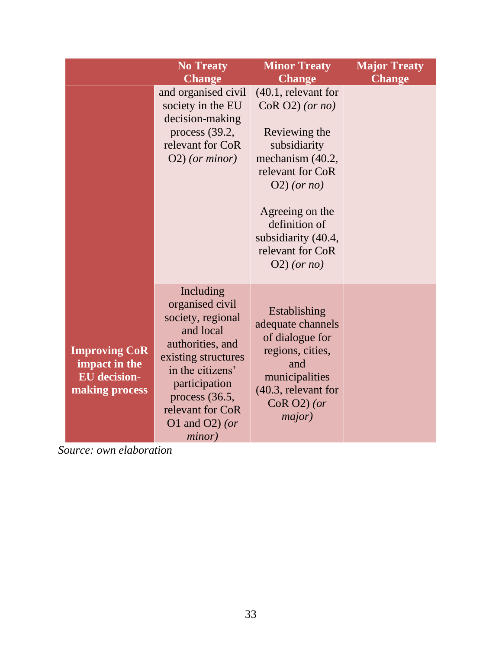|                                                                                | <b>No Treaty</b>                                                                                                                                                                                                 | <b>Minor Treaty</b>                                                                                                                                                                                                                   | <b>Major Treaty</b> |
|--------------------------------------------------------------------------------|------------------------------------------------------------------------------------------------------------------------------------------------------------------------------------------------------------------|---------------------------------------------------------------------------------------------------------------------------------------------------------------------------------------------------------------------------------------|---------------------|
|                                                                                | <b>Change</b>                                                                                                                                                                                                    | <b>Change</b>                                                                                                                                                                                                                         | <b>Change</b>       |
|                                                                                | and organised civil<br>society in the EU<br>decision-making<br>process $(39.2,$<br>relevant for CoR<br>$O(2)$ (or minor)                                                                                         | $(40.1,$ relevant for<br>$CoR O2$ (or no)<br>Reviewing the<br>subsidiarity<br>mechanism (40.2,<br>relevant for CoR<br>$O(2)$ (or no)<br>Agreeing on the<br>definition of<br>subsidiarity (40.4,<br>relevant for CoR<br>$O(2)$ (or no) |                     |
| <b>Improving CoR</b><br>impact in the<br><b>EU</b> decision-<br>making process | Including<br>organised civil<br>society, regional<br>and local<br>authorities, and<br>existing structures<br>in the citizens'<br>participation<br>process (36.5,<br>relevant for CoR<br>O1 and O2) (or<br>minor) | Establishing<br>adequate channels<br>of dialogue for<br>regions, cities,<br>and<br>municipalities<br>$(40.3,$ relevant for<br>$CoR O2$ ) (or<br>major)                                                                                |                     |

*Source: own elaboration*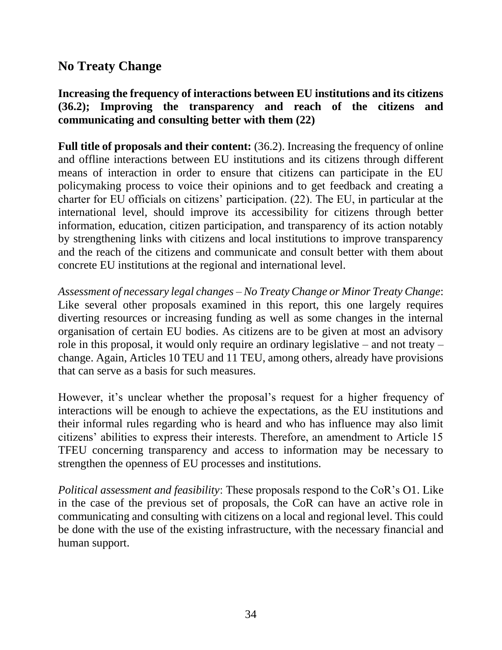## **No Treaty Change**

#### **Increasing the frequency of interactions between EU institutions and its citizens (36.2); Improving the transparency and reach of the citizens and communicating and consulting better with them (22)**

**Full title of proposals and their content:** (36.2). Increasing the frequency of online and offline interactions between EU institutions and its citizens through different means of interaction in order to ensure that citizens can participate in the EU policymaking process to voice their opinions and to get feedback and creating a charter for EU officials on citizens' participation. (22). The EU, in particular at the international level, should improve its accessibility for citizens through better information, education, citizen participation, and transparency of its action notably by strengthening links with citizens and local institutions to improve transparency and the reach of the citizens and communicate and consult better with them about concrete EU institutions at the regional and international level.

*Assessment of necessary legal changes – No Treaty Change or Minor Treaty Change*: Like several other proposals examined in this report, this one largely requires diverting resources or increasing funding as well as some changes in the internal organisation of certain EU bodies. As citizens are to be given at most an advisory role in this proposal, it would only require an ordinary legislative – and not treaty – change. Again, Articles 10 TEU and 11 TEU, among others, already have provisions that can serve as a basis for such measures.

However, it's unclear whether the proposal's request for a higher frequency of interactions will be enough to achieve the expectations, as the EU institutions and their informal rules regarding who is heard and who has influence may also limit citizens' abilities to express their interests. Therefore, an amendment to Article 15 TFEU concerning transparency and access to information may be necessary to strengthen the openness of EU processes and institutions.

*Political assessment and feasibility*: These proposals respond to the CoR's O1. Like in the case of the previous set of proposals, the CoR can have an active role in communicating and consulting with citizens on a local and regional level. This could be done with the use of the existing infrastructure, with the necessary financial and human support.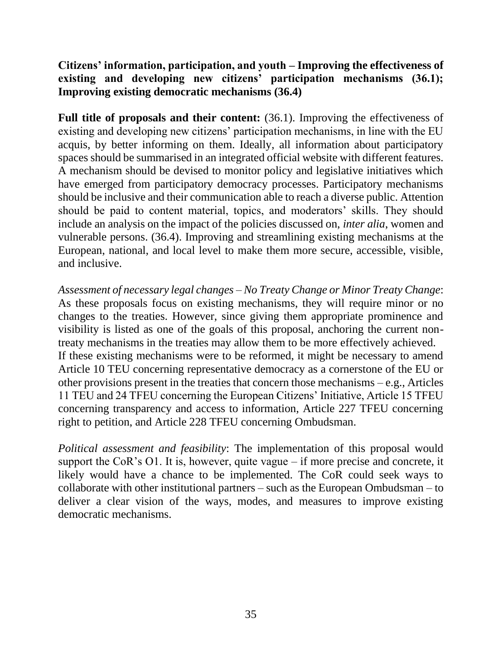**Citizens' information, participation, and youth – Improving the effectiveness of existing and developing new citizens' participation mechanisms (36.1); Improving existing democratic mechanisms (36.4)**

**Full title of proposals and their content:** (36.1). Improving the effectiveness of existing and developing new citizens' participation mechanisms, in line with the EU acquis, by better informing on them. Ideally, all information about participatory spaces should be summarised in an integrated official website with different features. A mechanism should be devised to monitor policy and legislative initiatives which have emerged from participatory democracy processes. Participatory mechanisms should be inclusive and their communication able to reach a diverse public. Attention should be paid to content material, topics, and moderators' skills. They should include an analysis on the impact of the policies discussed on, *inter alia*, women and vulnerable persons. (36.4). Improving and streamlining existing mechanisms at the European, national, and local level to make them more secure, accessible, visible, and inclusive.

*Assessment of necessary legal changes – No Treaty Change or Minor Treaty Change*: As these proposals focus on existing mechanisms, they will require minor or no changes to the treaties. However, since giving them appropriate prominence and visibility is listed as one of the goals of this proposal, anchoring the current nontreaty mechanisms in the treaties may allow them to be more effectively achieved. If these existing mechanisms were to be reformed, it might be necessary to amend Article 10 TEU concerning representative democracy as a cornerstone of the EU or other provisions present in the treaties that concern those mechanisms – e.g., Articles 11 TEU and 24 TFEU concerning the European Citizens' Initiative, Article 15 TFEU concerning transparency and access to information, Article 227 TFEU concerning right to petition, and Article 228 TFEU concerning Ombudsman.

*Political assessment and feasibility*: The implementation of this proposal would support the CoR's O1. It is, however, quite vague – if more precise and concrete, it likely would have a chance to be implemented. The CoR could seek ways to collaborate with other institutional partners – such as the European Ombudsman – to deliver a clear vision of the ways, modes, and measures to improve existing democratic mechanisms.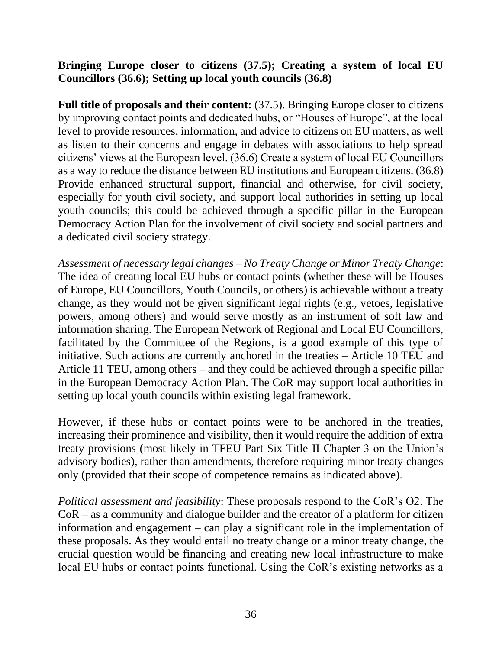#### **Bringing Europe closer to citizens (37.5); Creating a system of local EU Councillors (36.6); Setting up local youth councils (36.8)**

Full title of proposals and their content: (37.5). Bringing Europe closer to citizens by improving contact points and dedicated hubs, or "Houses of Europe", at the local level to provide resources, information, and advice to citizens on EU matters, as well as listen to their concerns and engage in debates with associations to help spread citizens' views at the European level. (36.6) Create a system of local EU Councillors as a way to reduce the distance between EU institutions and European citizens. (36.8) Provide enhanced structural support, financial and otherwise, for civil society, especially for youth civil society, and support local authorities in setting up local youth councils; this could be achieved through a specific pillar in the European Democracy Action Plan for the involvement of civil society and social partners and a dedicated civil society strategy.

*Assessment of necessary legal changes – No Treaty Change or Minor Treaty Change*: The idea of creating local EU hubs or contact points (whether these will be Houses of Europe, EU Councillors, Youth Councils, or others) is achievable without a treaty change, as they would not be given significant legal rights (e.g., vetoes, legislative powers, among others) and would serve mostly as an instrument of soft law and information sharing. The European Network of Regional and Local EU Councillors, facilitated by the Committee of the Regions, is a good example of this type of initiative. Such actions are currently anchored in the treaties *–* Article 10 TEU and Article 11 TEU, among others – and they could be achieved through a specific pillar in the European Democracy Action Plan. The CoR may support local authorities in setting up local youth councils within existing legal framework.

However, if these hubs or contact points were to be anchored in the treaties, increasing their prominence and visibility, then it would require the addition of extra treaty provisions (most likely in TFEU Part Six Title II Chapter 3 on the Union's advisory bodies), rather than amendments, therefore requiring minor treaty changes only (provided that their scope of competence remains as indicated above).

*Political assessment and feasibility*: These proposals respond to the CoR's O2. The CoR – as a community and dialogue builder and the creator of a platform for citizen information and engagement – can play a significant role in the implementation of these proposals. As they would entail no treaty change or a minor treaty change, the crucial question would be financing and creating new local infrastructure to make local EU hubs or contact points functional. Using the CoR's existing networks as a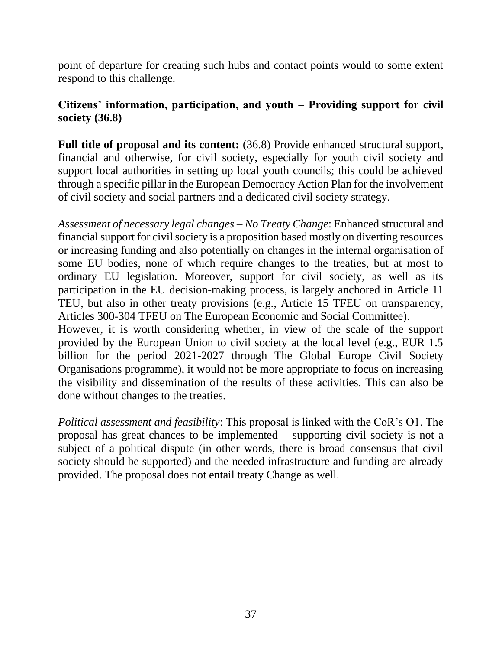point of departure for creating such hubs and contact points would to some extent respond to this challenge.

#### **Citizens' information, participation, and youth – Providing support for civil society (36.8)**

Full title of proposal and its content:  $(36.8)$  Provide enhanced structural support, financial and otherwise, for civil society, especially for youth civil society and support local authorities in setting up local youth councils; this could be achieved through a specific pillar in the European Democracy Action Plan for the involvement of civil society and social partners and a dedicated civil society strategy.

*Assessment of necessary legal changes – No Treaty Change*: Enhanced structural and financial support for civil society is a proposition based mostly on diverting resources or increasing funding and also potentially on changes in the internal organisation of some EU bodies, none of which require changes to the treaties, but at most to ordinary EU legislation. Moreover, support for civil society, as well as its participation in the EU decision-making process, is largely anchored in Article 11 TEU, but also in other treaty provisions (e.g., Article 15 TFEU on transparency, Articles 300-304 TFEU on The European Economic and Social Committee).

However, it is worth considering whether, in view of the scale of the support provided by the European Union to civil society at the local level (e.g., EUR 1.5 billion for the period 2021-2027 through The Global Europe Civil Society Organisations programme), it would not be more appropriate to focus on increasing the visibility and dissemination of the results of these activities. This can also be done without changes to the treaties.

*Political assessment and feasibility*: This proposal is linked with the CoR's O1. The proposal has great chances to be implemented – supporting civil society is not a subject of a political dispute (in other words, there is broad consensus that civil society should be supported) and the needed infrastructure and funding are already provided. The proposal does not entail treaty Change as well.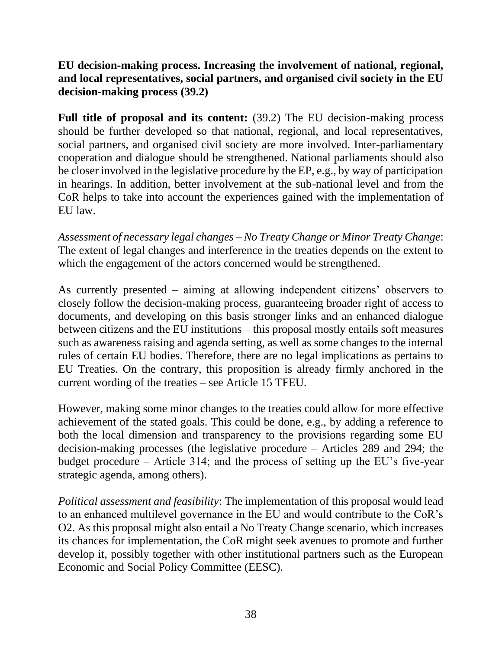#### **EU decision-making process. Increasing the involvement of national, regional, and local representatives, social partners, and organised civil society in the EU decision-making process (39.2)**

**Full title of proposal and its content:** (39.2) The EU decision-making process should be further developed so that national, regional, and local representatives, social partners, and organised civil society are more involved. Inter-parliamentary cooperation and dialogue should be strengthened. National parliaments should also be closer involved in the legislative procedure by the EP, e.g., by way of participation in hearings. In addition, better involvement at the sub-national level and from the CoR helps to take into account the experiences gained with the implementation of EU law.

*Assessment of necessary legal changes – No Treaty Change or Minor Treaty Change*: The extent of legal changes and interference in the treaties depends on the extent to which the engagement of the actors concerned would be strengthened.

As currently presented – aiming at allowing independent citizens' observers to closely follow the decision-making process, guaranteeing broader right of access to documents, and developing on this basis stronger links and an enhanced dialogue between citizens and the EU institutions – this proposal mostly entails soft measures such as awareness raising and agenda setting, as well as some changes to the internal rules of certain EU bodies. Therefore, there are no legal implications as pertains to EU Treaties. On the contrary, this proposition is already firmly anchored in the current wording of the treaties – see Article 15 TFEU.

However, making some minor changes to the treaties could allow for more effective achievement of the stated goals. This could be done, e.g., by adding a reference to both the local dimension and transparency to the provisions regarding some EU decision-making processes (the legislative procedure – Articles 289 and 294; the budget procedure – Article 314; and the process of setting up the EU's five-year strategic agenda, among others).

*Political assessment and feasibility*: The implementation of this proposal would lead to an enhanced multilevel governance in the EU and would contribute to the CoR's O2. As this proposal might also entail a No Treaty Change scenario, which increases its chances for implementation, the CoR might seek avenues to promote and further develop it, possibly together with other institutional partners such as the European Economic and Social Policy Committee (EESC).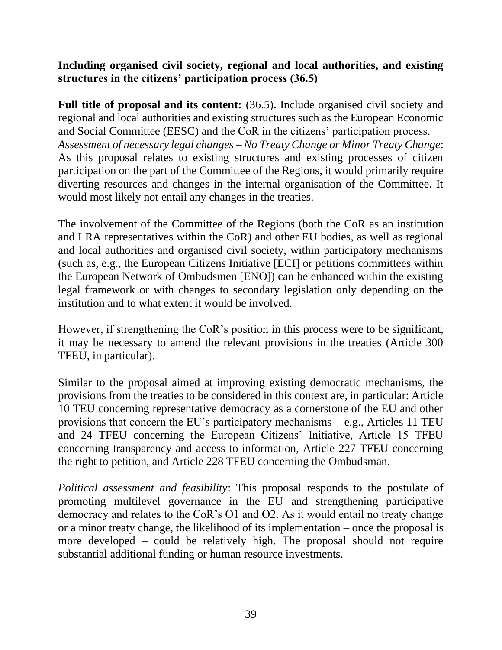**Including organised civil society, regional and local authorities, and existing structures in the citizens' participation process (36.5)**

**Full title of proposal and its content:** (36.5). Include organised civil society and regional and local authorities and existing structures such as the European Economic and Social Committee (EESC) and the CoR in the citizens' participation process. *Assessment of necessary legal changes – No Treaty Change or Minor Treaty Change*: As this proposal relates to existing structures and existing processes of citizen participation on the part of the Committee of the Regions, it would primarily require diverting resources and changes in the internal organisation of the Committee. It would most likely not entail any changes in the treaties.

The involvement of the Committee of the Regions (both the CoR as an institution and LRA representatives within the CoR) and other EU bodies, as well as regional and local authorities and organised civil society, within participatory mechanisms (such as, e.g., the European Citizens Initiative [ECI] or petitions committees within the European Network of Ombudsmen [ENO]) can be enhanced within the existing legal framework or with changes to secondary legislation only depending on the institution and to what extent it would be involved.

However, if strengthening the CoR's position in this process were to be significant, it may be necessary to amend the relevant provisions in the treaties (Article 300 TFEU, in particular).

Similar to the proposal aimed at improving existing democratic mechanisms, the provisions from the treaties to be considered in this context are, in particular: Article 10 TEU concerning representative democracy as a cornerstone of the EU and other provisions that concern the EU's participatory mechanisms – e.g., Articles 11 TEU and 24 TFEU concerning the European Citizens' Initiative, Article 15 TFEU concerning transparency and access to information, Article 227 TFEU concerning the right to petition, and Article 228 TFEU concerning the Ombudsman.

*Political assessment and feasibility*: This proposal responds to the postulate of promoting multilevel governance in the EU and strengthening participative democracy and relates to the CoR's O1 and O2. As it would entail no treaty change or a minor treaty change, the likelihood of its implementation – once the proposal is more developed – could be relatively high. The proposal should not require substantial additional funding or human resource investments.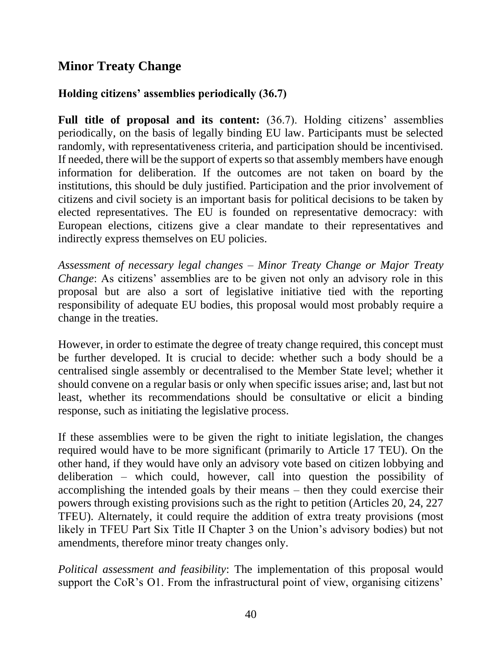### **Minor Treaty Change**

#### **Holding citizens' assemblies periodically (36.7)**

**Full title of proposal and its content:** (36.7). Holding citizens' assemblies periodically, on the basis of legally binding EU law. Participants must be selected randomly, with representativeness criteria, and participation should be incentivised. If needed, there will be the support of experts so that assembly members have enough information for deliberation. If the outcomes are not taken on board by the institutions, this should be duly justified. Participation and the prior involvement of citizens and civil society is an important basis for political decisions to be taken by elected representatives. The EU is founded on representative democracy: with European elections, citizens give a clear mandate to their representatives and indirectly express themselves on EU policies.

*Assessment of necessary legal changes – Minor Treaty Change or Major Treaty Change*: As citizens' assemblies are to be given not only an advisory role in this proposal but are also a sort of legislative initiative tied with the reporting responsibility of adequate EU bodies, this proposal would most probably require a change in the treaties.

However, in order to estimate the degree of treaty change required, this concept must be further developed. It is crucial to decide: whether such a body should be a centralised single assembly or decentralised to the Member State level; whether it should convene on a regular basis or only when specific issues arise; and, last but not least, whether its recommendations should be consultative or elicit a binding response, such as initiating the legislative process.

If these assemblies were to be given the right to initiate legislation, the changes required would have to be more significant (primarily to Article 17 TEU). On the other hand, if they would have only an advisory vote based on citizen lobbying and deliberation *–* which could, however, call into question the possibility of accomplishing the intended goals by their means – then they could exercise their powers through existing provisions such as the right to petition (Articles 20, 24, 227 TFEU). Alternately, it could require the addition of extra treaty provisions (most likely in TFEU Part Six Title II Chapter 3 on the Union's advisory bodies) but not amendments, therefore minor treaty changes only.

*Political assessment and feasibility*: The implementation of this proposal would support the CoR's O1. From the infrastructural point of view, organising citizens'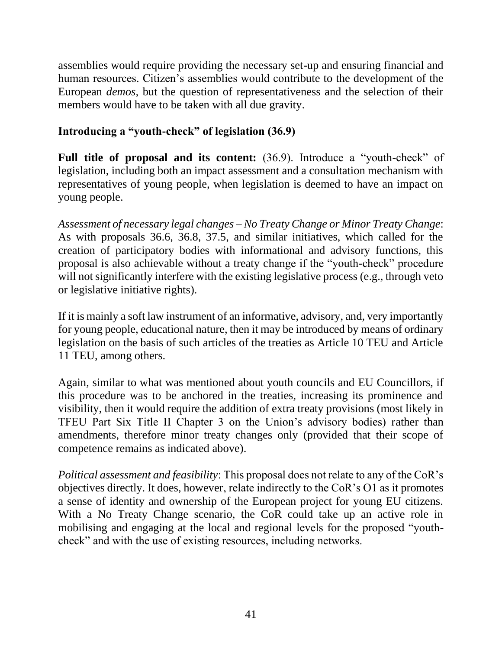assemblies would require providing the necessary set-up and ensuring financial and human resources. Citizen's assemblies would contribute to the development of the European *demos,* but the question of representativeness and the selection of their members would have to be taken with all due gravity.

#### **Introducing a "youth-check" of legislation (36.9)**

**Full title of proposal and its content:** (36.9). Introduce a "youth-check" of legislation, including both an impact assessment and a consultation mechanism with representatives of young people, when legislation is deemed to have an impact on young people.

*Assessment of necessary legal changes – No Treaty Change or Minor Treaty Change*: As with proposals 36.6, 36.8, 37.5, and similar initiatives, which called for the creation of participatory bodies with informational and advisory functions, this proposal is also achievable without a treaty change if the "youth-check" procedure will not significantly interfere with the existing legislative process (e.g., through veto or legislative initiative rights).

If it is mainly a soft law instrument of an informative, advisory, and, very importantly for young people, educational nature, then it may be introduced by means of ordinary legislation on the basis of such articles of the treaties as Article 10 TEU and Article 11 TEU, among others.

Again, similar to what was mentioned about youth councils and EU Councillors, if this procedure was to be anchored in the treaties, increasing its prominence and visibility, then it would require the addition of extra treaty provisions (most likely in TFEU Part Six Title II Chapter 3 on the Union's advisory bodies) rather than amendments, therefore minor treaty changes only (provided that their scope of competence remains as indicated above).

*Political assessment and feasibility*: This proposal does not relate to any of the CoR's objectives directly. It does, however, relate indirectly to the CoR's O1 as it promotes a sense of identity and ownership of the European project for young EU citizens. With a No Treaty Change scenario, the CoR could take up an active role in mobilising and engaging at the local and regional levels for the proposed "youthcheck" and with the use of existing resources, including networks.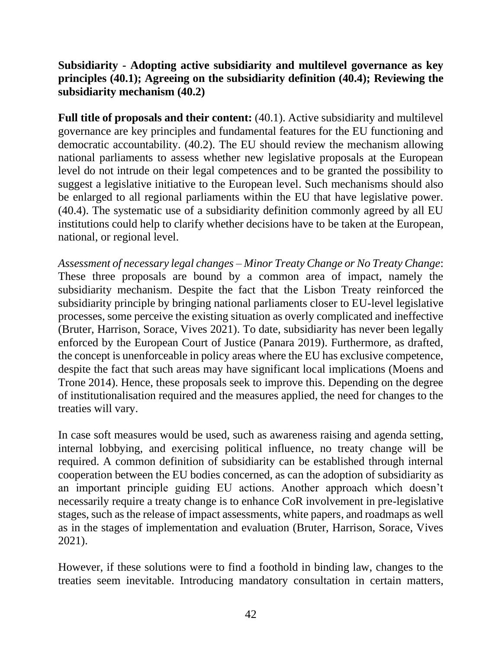#### **Subsidiarity - Adopting active subsidiarity and multilevel governance as key principles (40.1); Agreeing on the subsidiarity definition (40.4); Reviewing the subsidiarity mechanism (40.2)**

**Full title of proposals and their content:** (40.1). Active subsidiarity and multilevel governance are key principles and fundamental features for the EU functioning and democratic accountability. (40.2). The EU should review the mechanism allowing national parliaments to assess whether new legislative proposals at the European level do not intrude on their legal competences and to be granted the possibility to suggest a legislative initiative to the European level. Such mechanisms should also be enlarged to all regional parliaments within the EU that have legislative power. (40.4). The systematic use of a subsidiarity definition commonly agreed by all EU institutions could help to clarify whether decisions have to be taken at the European, national, or regional level.

*Assessment of necessary legal changes – Minor Treaty Change or No Treaty Change*: These three proposals are bound by a common area of impact, namely the subsidiarity mechanism. Despite the fact that the Lisbon Treaty reinforced the subsidiarity principle by bringing national parliaments closer to EU-level legislative processes, some perceive the existing situation as overly complicated and ineffective (Bruter, Harrison, Sorace, Vives 2021). To date, subsidiarity has never been legally enforced by the European Court of Justice (Panara 2019). Furthermore, as drafted, the concept is unenforceable in policy areas where the EU has exclusive competence, despite the fact that such areas may have significant local implications (Moens and Trone 2014). Hence, these proposals seek to improve this. Depending on the degree of institutionalisation required and the measures applied, the need for changes to the treaties will vary.

In case soft measures would be used, such as awareness raising and agenda setting, internal lobbying, and exercising political influence, no treaty change will be required. A common definition of subsidiarity can be established through internal cooperation between the EU bodies concerned, as can the adoption of subsidiarity as an important principle guiding EU actions. Another approach which doesn't necessarily require a treaty change is to enhance CoR involvement in pre-legislative stages, such as the release of impact assessments, white papers, and roadmaps as well as in the stages of implementation and evaluation (Bruter, Harrison, Sorace, Vives 2021).

However, if these solutions were to find a foothold in binding law, changes to the treaties seem inevitable. Introducing mandatory consultation in certain matters,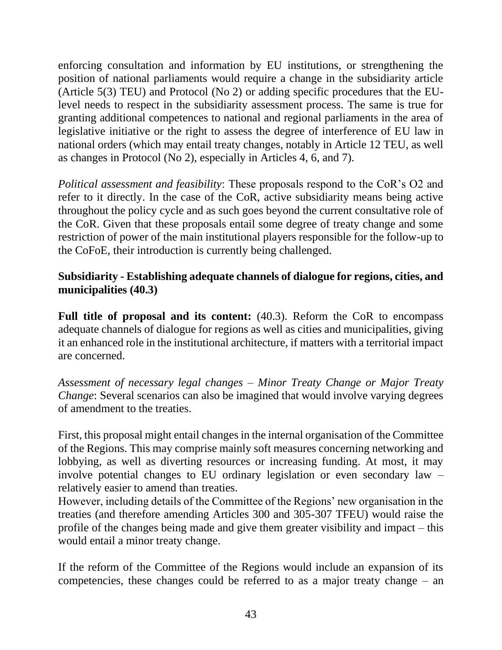enforcing consultation and information by EU institutions, or strengthening the position of national parliaments would require a change in the subsidiarity article (Article 5(3) TEU) and Protocol (No 2) or adding specific procedures that the EUlevel needs to respect in the subsidiarity assessment process. The same is true for granting additional competences to national and regional parliaments in the area of legislative initiative or the right to assess the degree of interference of EU law in national orders (which may entail treaty changes, notably in Article 12 TEU, as well as changes in Protocol (No 2), especially in Articles 4, 6, and 7).

*Political assessment and feasibility*: These proposals respond to the CoR's O2 and refer to it directly. In the case of the CoR, active subsidiarity means being active throughout the policy cycle and as such goes beyond the current consultative role of the CoR. Given that these proposals entail some degree of treaty change and some restriction of power of the main institutional players responsible for the follow-up to the CoFoE, their introduction is currently being challenged.

#### **Subsidiarity - Establishing adequate channels of dialogue for regions, cities, and municipalities (40.3)**

**Full title of proposal and its content:** (40.3). Reform the CoR to encompass adequate channels of dialogue for regions as well as cities and municipalities, giving it an enhanced role in the institutional architecture, if matters with a territorial impact are concerned.

*Assessment of necessary legal changes – Minor Treaty Change or Major Treaty Change*: Several scenarios can also be imagined that would involve varying degrees of amendment to the treaties.

First, this proposal might entail changes in the internal organisation of the Committee of the Regions. This may comprise mainly soft measures concerning networking and lobbying, as well as diverting resources or increasing funding. At most, it may involve potential changes to EU ordinary legislation or even secondary law – relatively easier to amend than treaties.

However, including details of the Committee of the Regions' new organisation in the treaties (and therefore amending Articles 300 and 305-307 TFEU) would raise the profile of the changes being made and give them greater visibility and impact – this would entail a minor treaty change.

If the reform of the Committee of the Regions would include an expansion of its competencies, these changes could be referred to as a major treaty change – an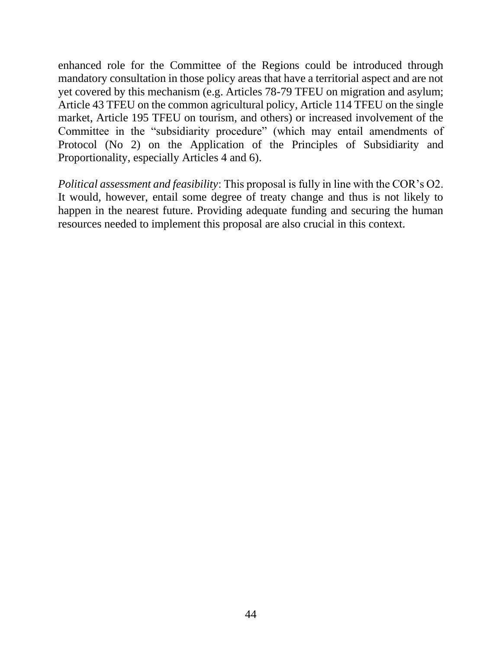enhanced role for the Committee of the Regions could be introduced through mandatory consultation in those policy areas that have a territorial aspect and are not yet covered by this mechanism (e.g. Articles 78-79 TFEU on migration and asylum; Article 43 TFEU on the common agricultural policy, Article 114 TFEU on the single market, Article 195 TFEU on tourism, and others) or increased involvement of the Committee in the "subsidiarity procedure" (which may entail amendments of Protocol (No 2) on the Application of the Principles of Subsidiarity and Proportionality, especially Articles 4 and 6).

*Political assessment and feasibility*: This proposal is fully in line with the COR's O2. It would, however, entail some degree of treaty change and thus is not likely to happen in the nearest future. Providing adequate funding and securing the human resources needed to implement this proposal are also crucial in this context.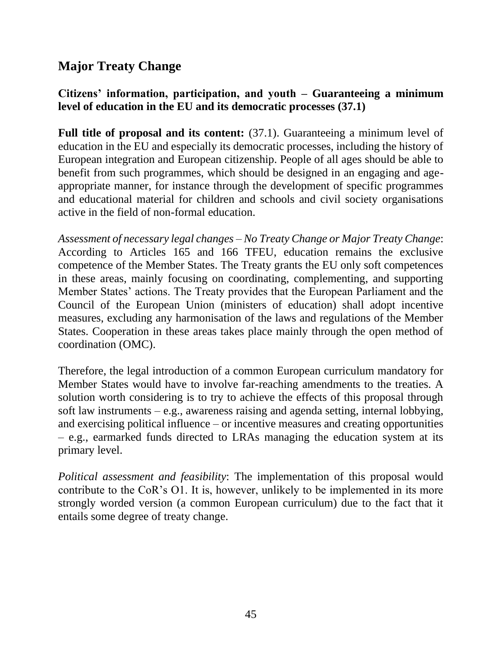## **Major Treaty Change**

#### **Citizens' information, participation, and youth – Guaranteeing a minimum level of education in the EU and its democratic processes (37.1)**

**Full title of proposal and its content:** (37.1). Guaranteeing a minimum level of education in the EU and especially its democratic processes, including the history of European integration and European citizenship. People of all ages should be able to benefit from such programmes, which should be designed in an engaging and ageappropriate manner, for instance through the development of specific programmes and educational material for children and schools and civil society organisations active in the field of non-formal education.

*Assessment of necessary legal changes – No Treaty Change or Major Treaty Change*: According to Articles 165 and 166 TFEU, education remains the exclusive competence of the Member States. The Treaty grants the EU only soft competences in these areas, mainly focusing on coordinating, complementing, and supporting Member States' actions. The Treaty provides that the European Parliament and the Council of the European Union (ministers of education) shall adopt incentive measures, excluding any harmonisation of the laws and regulations of the Member States. Cooperation in these areas takes place mainly through the open method of coordination (OMC).

Therefore, the legal introduction of a common European curriculum mandatory for Member States would have to involve far-reaching amendments to the treaties. A solution worth considering is to try to achieve the effects of this proposal through soft law instruments *–* e.g., awareness raising and agenda setting, internal lobbying, and exercising political influence *–* or incentive measures and creating opportunities *–* e.g., earmarked funds directed to LRAs managing the education system at its primary level.

*Political assessment and feasibility*: The implementation of this proposal would contribute to the CoR's O1. It is, however, unlikely to be implemented in its more strongly worded version (a common European curriculum) due to the fact that it entails some degree of treaty change.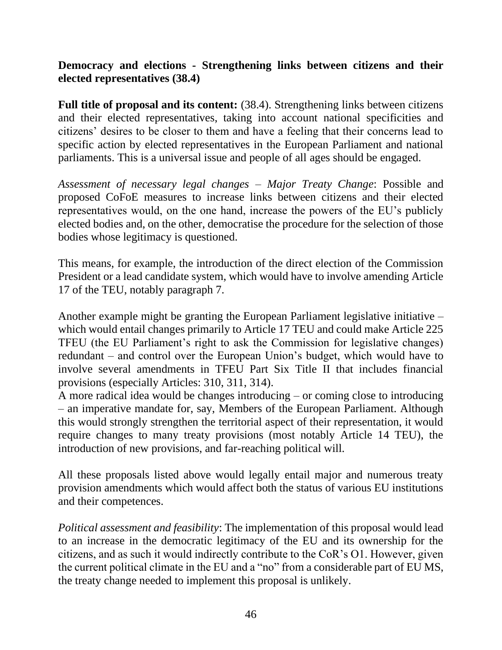#### **Democracy and elections - Strengthening links between citizens and their elected representatives (38.4)**

**Full title of proposal and its content:** (38.4). Strengthening links between citizens and their elected representatives, taking into account national specificities and citizens' desires to be closer to them and have a feeling that their concerns lead to specific action by elected representatives in the European Parliament and national parliaments. This is a universal issue and people of all ages should be engaged.

*Assessment of necessary legal changes – Major Treaty Change*: Possible and proposed CoFoE measures to increase links between citizens and their elected representatives would, on the one hand, increase the powers of the EU's publicly elected bodies and, on the other, democratise the procedure for the selection of those bodies whose legitimacy is questioned.

This means, for example, the introduction of the direct election of the Commission President or a lead candidate system, which would have to involve amending Article 17 of the TEU, notably paragraph 7.

Another example might be granting the European Parliament legislative initiative *–* which would entail changes primarily to Article 17 TEU and could make Article 225 TFEU (the EU Parliament's right to ask the Commission for legislative changes) redundant – and control over the European Union's budget, which would have to involve several amendments in TFEU Part Six Title II that includes financial provisions (especially Articles: 310, 311, 314).

A more radical idea would be changes introducing – or coming close to introducing – an imperative mandate for, say, Members of the European Parliament. Although this would strongly strengthen the territorial aspect of their representation, it would require changes to many treaty provisions (most notably Article 14 TEU), the introduction of new provisions, and far-reaching political will.

All these proposals listed above would legally entail major and numerous treaty provision amendments which would affect both the status of various EU institutions and their competences.

*Political assessment and feasibility*: The implementation of this proposal would lead to an increase in the democratic legitimacy of the EU and its ownership for the citizens, and as such it would indirectly contribute to the CoR's O1. However, given the current political climate in the EU and a "no" from a considerable part of EU MS, the treaty change needed to implement this proposal is unlikely.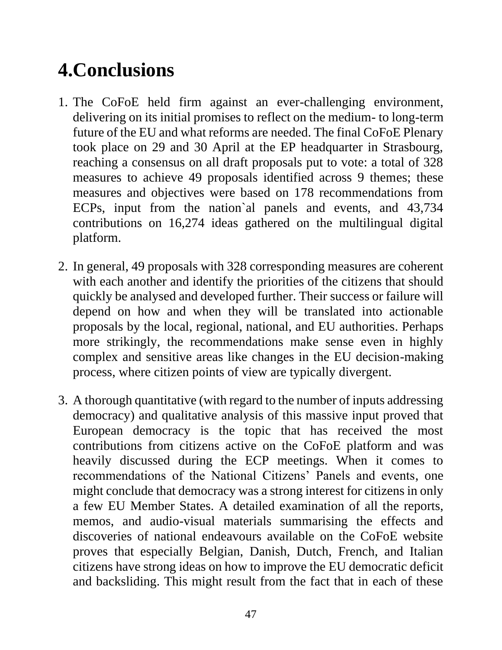## **4.Conclusions**

- 1. The CoFoE held firm against an ever-challenging environment, delivering on its initial promises to reflect on the medium- to long-term future of the EU and what reforms are needed. The final CoFoE Plenary took place on 29 and 30 April at the EP headquarter in Strasbourg, reaching a consensus on all draft proposals put to vote: a total of 328 measures to achieve 49 proposals identified across 9 themes; these measures and objectives were based on 178 recommendations from ECPs, input from the nation`al panels and events, and 43,734 contributions on 16,274 ideas gathered on the multilingual digital platform.
- 2. In general, 49 proposals with 328 corresponding measures are coherent with each another and identify the priorities of the citizens that should quickly be analysed and developed further. Their success or failure will depend on how and when they will be translated into actionable proposals by the local, regional, national, and EU authorities. Perhaps more strikingly, the recommendations make sense even in highly complex and sensitive areas like changes in the EU decision-making process, where citizen points of view are typically divergent.
- 3. A thorough quantitative (with regard to the number of inputs addressing democracy) and qualitative analysis of this massive input proved that European democracy is the topic that has received the most contributions from citizens active on the CoFoE platform and was heavily discussed during the ECP meetings. When it comes to recommendations of the National Citizens' Panels and events, one might conclude that democracy was a strong interest for citizens in only a few EU Member States. A detailed examination of all the reports, memos, and audio-visual materials summarising the effects and discoveries of national endeavours available on the CoFoE website proves that especially Belgian, Danish, Dutch, French, and Italian citizens have strong ideas on how to improve the EU democratic deficit and backsliding. This might result from the fact that in each of these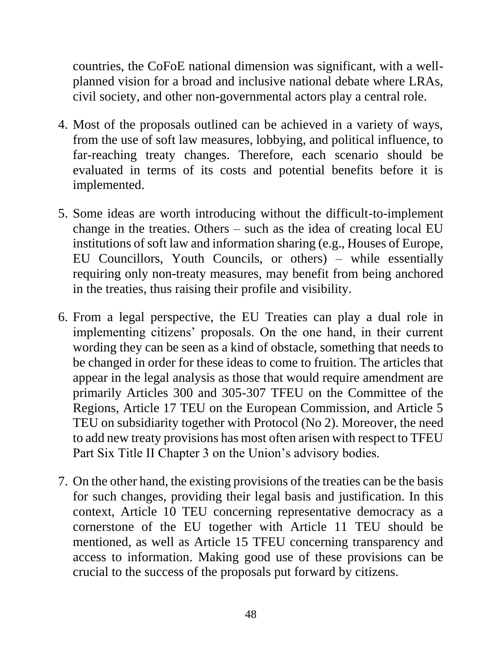countries, the CoFoE national dimension was significant, with a wellplanned vision for a broad and inclusive national debate where LRAs, civil society, and other non-governmental actors play a central role.

- 4. Most of the proposals outlined can be achieved in a variety of ways, from the use of soft law measures, lobbying, and political influence, to far-reaching treaty changes. Therefore, each scenario should be evaluated in terms of its costs and potential benefits before it is implemented.
- 5. Some ideas are worth introducing without the difficult-to-implement change in the treaties. Others – such as the idea of creating local EU institutions of soft law and information sharing (e.g., Houses of Europe, EU Councillors, Youth Councils, or others) – while essentially requiring only non-treaty measures, may benefit from being anchored in the treaties, thus raising their profile and visibility.
- 6. From a legal perspective, the EU Treaties can play a dual role in implementing citizens' proposals. On the one hand, in their current wording they can be seen as a kind of obstacle, something that needs to be changed in order for these ideas to come to fruition. The articles that appear in the legal analysis as those that would require amendment are primarily Articles 300 and 305-307 TFEU on the Committee of the Regions, Article 17 TEU on the European Commission, and Article 5 TEU on subsidiarity together with Protocol (No 2). Moreover, the need to add new treaty provisions has most often arisen with respect to TFEU Part Six Title II Chapter 3 on the Union's advisory bodies.
- 7. On the other hand, the existing provisions of the treaties can be the basis for such changes, providing their legal basis and justification. In this context, Article 10 TEU concerning representative democracy as a cornerstone of the EU together with Article 11 TEU should be mentioned, as well as Article 15 TFEU concerning transparency and access to information. Making good use of these provisions can be crucial to the success of the proposals put forward by citizens.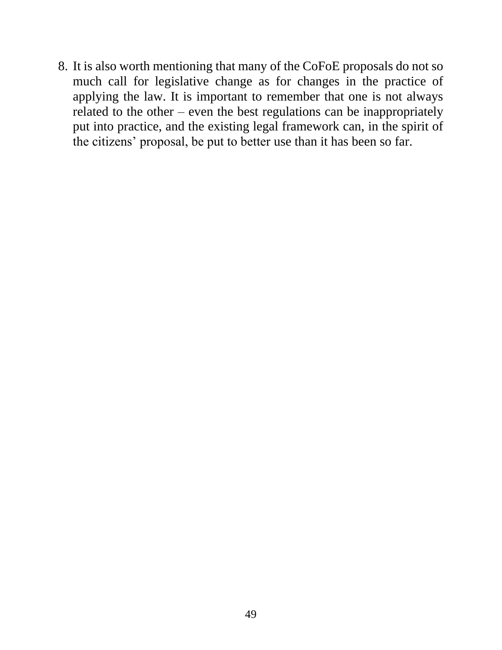8. It is also worth mentioning that many of the CoFoE proposals do not so much call for legislative change as for changes in the practice of applying the law. It is important to remember that one is not always related to the other – even the best regulations can be inappropriately put into practice, and the existing legal framework can, in the spirit of the citizens' proposal, be put to better use than it has been so far.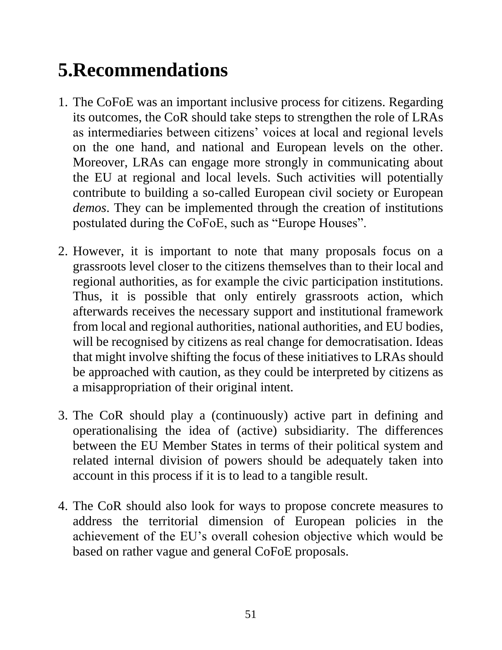# **5.Recommendations**

- 1. The CoFoE was an important inclusive process for citizens. Regarding its outcomes, the CoR should take steps to strengthen the role of LRAs as intermediaries between citizens' voices at local and regional levels on the one hand, and national and European levels on the other. Moreover, LRAs can engage more strongly in communicating about the EU at regional and local levels. Such activities will potentially contribute to building a so-called European civil society or European *demos*. They can be implemented through the creation of institutions postulated during the CoFoE, such as "Europe Houses".
- 2. However, it is important to note that many proposals focus on a grassroots level closer to the citizens themselves than to their local and regional authorities, as for example the civic participation institutions. Thus, it is possible that only entirely grassroots action, which afterwards receives the necessary support and institutional framework from local and regional authorities, national authorities, and EU bodies, will be recognised by citizens as real change for democratisation. Ideas that might involve shifting the focus of these initiatives to LRAs should be approached with caution, as they could be interpreted by citizens as a misappropriation of their original intent.
- 3. The CoR should play a (continuously) active part in defining and operationalising the idea of (active) subsidiarity. The differences between the EU Member States in terms of their political system and related internal division of powers should be adequately taken into account in this process if it is to lead to a tangible result.
- 4. The CoR should also look for ways to propose concrete measures to address the territorial dimension of European policies in the achievement of the EU's overall cohesion objective which would be based on rather vague and general CoFoE proposals.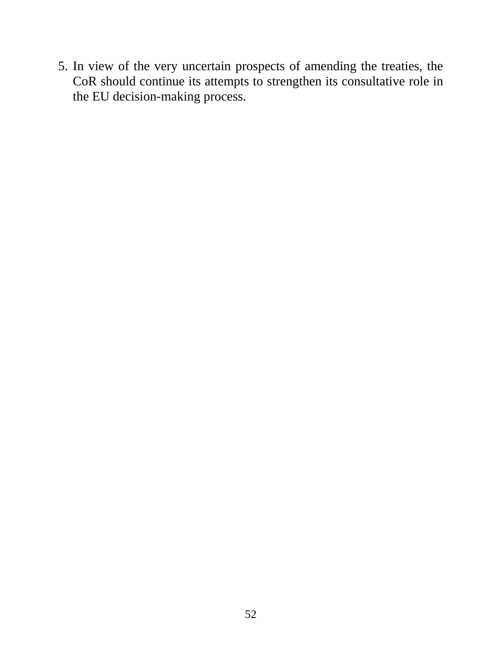5. In view of the very uncertain prospects of amending the treaties, the CoR should continue its attempts to strengthen its consultative role in the EU decision-making process.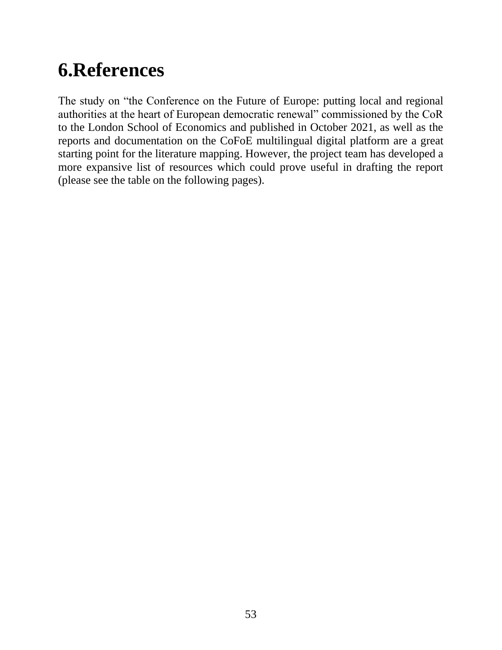## **6.References**

The study on "the Conference on the Future of Europe: putting local and regional authorities at the heart of European democratic renewal" commissioned by the CoR to the London School of Economics and published in October 2021, as well as the reports and documentation on the CoFoE multilingual digital platform are a great starting point for the literature mapping. However, the project team has developed a more expansive list of resources which could prove useful in drafting the report (please see the table on the following pages).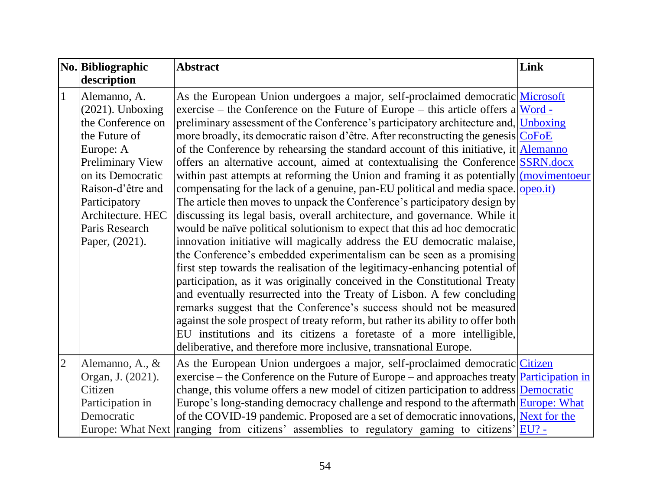|                | No. Bibliographic   | <b>Abstract</b>                                                                                           | Link |
|----------------|---------------------|-----------------------------------------------------------------------------------------------------------|------|
|                | description         |                                                                                                           |      |
| $\mathbf{1}$   | Alemanno, A.        | As the European Union undergoes a major, self-proclaimed democratic Microsoft                             |      |
|                | $(2021)$ . Unboxing | exercise – the Conference on the Future of Europe – this article offers a Word -                          |      |
|                | the Conference on   | preliminary assessment of the Conference's participatory architecture and, <i>Unboxing</i>                |      |
|                | the Future of       | more broadly, its democratic raison d'être. After reconstructing the genesis CoFoE                        |      |
|                | Europe: A           | of the Conference by rehearsing the standard account of this initiative, it Alemanno                      |      |
|                | Preliminary View    | offers an alternative account, aimed at contextualising the Conference SSRN.docx                          |      |
|                | on its Democratic   | within past attempts at reforming the Union and framing it as potentially $\frac{1}{\text{movimentoeur}}$ |      |
|                | Raison-d'être and   | compensating for the lack of a genuine, pan-EU political and media space. <u>opeo.it</u> )                |      |
|                | Participatory       | The article then moves to unpack the Conference's participatory design by                                 |      |
|                | Architecture. HEC   | discussing its legal basis, overall architecture, and governance. While it                                |      |
|                | Paris Research      | would be naïve political solutionism to expect that this ad hoc democratic                                |      |
|                | Paper, (2021).      | innovation initiative will magically address the EU democratic malaise,                                   |      |
|                |                     | the Conference's embedded experimentalism can be seen as a promising                                      |      |
|                |                     | first step towards the realisation of the legitimacy-enhancing potential of                               |      |
|                |                     | participation, as it was originally conceived in the Constitutional Treaty                                |      |
|                |                     | and eventually resurrected into the Treaty of Lisbon. A few concluding                                    |      |
|                |                     | remarks suggest that the Conference's success should not be measured                                      |      |
|                |                     | against the sole prospect of treaty reform, but rather its ability to offer both                          |      |
|                |                     | EU institutions and its citizens a foretaste of a more intelligible,                                      |      |
|                |                     | deliberative, and therefore more inclusive, transnational Europe.                                         |      |
| $\overline{2}$ | Alemanno, A., &     | As the European Union undergoes a major, self-proclaimed democratic Citizen                               |      |
|                | Organ, J. (2021).   | exercise – the Conference on the Future of Europe – and approaches treaty <b>Participation in</b>         |      |
|                | Citizen             | change, this volume offers a new model of citizen participation to address Democratic                     |      |
|                | Participation in    | Europe's long-standing democracy challenge and respond to the aftermath Europe: What                      |      |
|                | Democratic          | of the COVID-19 pandemic. Proposed are a set of democratic innovations, Next for the                      |      |
|                |                     | Europe: What Next ranging from citizens' assemblies to regulatory gaming to citizens' $ EU$ ?             |      |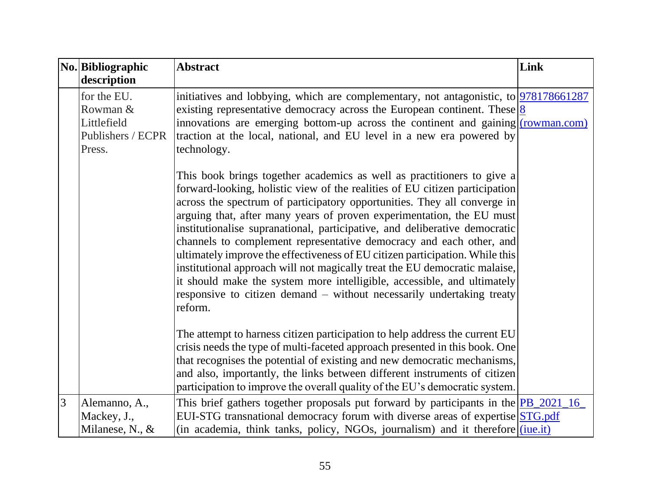|   | No. Bibliographic<br>description                                      | <b>Abstract</b>                                                                                                                                                                                                                                                                                                                                                                                                                                                                                                                                                                                                                                                                                                                                                                              | Link |
|---|-----------------------------------------------------------------------|----------------------------------------------------------------------------------------------------------------------------------------------------------------------------------------------------------------------------------------------------------------------------------------------------------------------------------------------------------------------------------------------------------------------------------------------------------------------------------------------------------------------------------------------------------------------------------------------------------------------------------------------------------------------------------------------------------------------------------------------------------------------------------------------|------|
|   | for the EU.<br>Rowman &<br>Littlefield<br>Publishers / ECPR<br>Press. | initiatives and lobbying, which are complementary, not antagonistic, to $978178661287$<br>existing representative democracy across the European continent. These $\frac{8}{8}$<br>innovations are emerging bottom-up across the continent and gaining $(rownan.com)$<br>traction at the local, national, and EU level in a new era powered by<br>technology.                                                                                                                                                                                                                                                                                                                                                                                                                                 |      |
|   |                                                                       | This book brings together academics as well as practitioners to give a<br>forward-looking, holistic view of the realities of EU citizen participation<br>across the spectrum of participatory opportunities. They all converge in<br>arguing that, after many years of proven experimentation, the EU must<br>institutionalise supranational, participative, and deliberative democratic<br>channels to complement representative democracy and each other, and<br>ultimately improve the effectiveness of EU citizen participation. While this<br>institutional approach will not magically treat the EU democratic malaise,<br>it should make the system more intelligible, accessible, and ultimately<br>responsive to citizen demand – without necessarily undertaking treaty<br>reform. |      |
|   |                                                                       | The attempt to harness citizen participation to help address the current EU<br>crisis needs the type of multi-faceted approach presented in this book. One<br>that recognises the potential of existing and new democratic mechanisms,<br>and also, importantly, the links between different instruments of citizen<br>participation to improve the overall quality of the EU's democratic system.                                                                                                                                                                                                                                                                                                                                                                                           |      |
| 3 | Alemanno, A.,<br>Mackey, J.,<br>Milanese, N., $&$                     | This brief gathers together proposals put forward by participants in the <b>PB</b> _2021_16<br>EUI-STG transnational democracy forum with diverse areas of expertise STG.pdf<br>(in academia, think tanks, policy, NGOs, journalism) and it therefore ( <i>jue.it</i> )                                                                                                                                                                                                                                                                                                                                                                                                                                                                                                                      |      |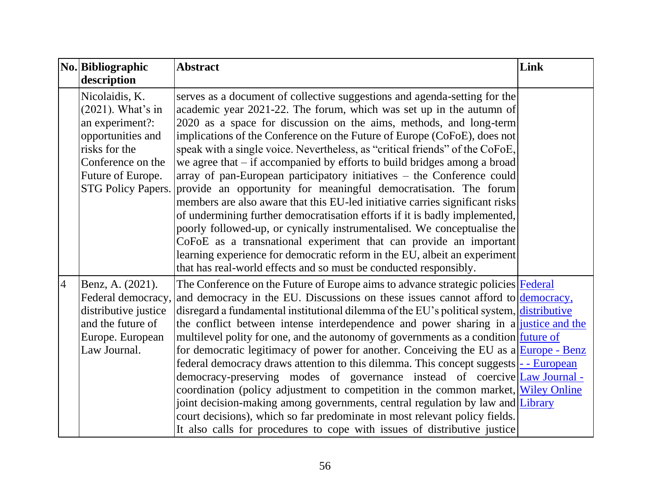|                | No. Bibliographic                                                                                                                                                      | <b>Abstract</b>                                                                                                                                                                                                                                                                                                                                                                                                                                                                                                                                                                                                                                                                                                                                                                                                                                                                                                                                                                                                                                                                | Link |
|----------------|------------------------------------------------------------------------------------------------------------------------------------------------------------------------|--------------------------------------------------------------------------------------------------------------------------------------------------------------------------------------------------------------------------------------------------------------------------------------------------------------------------------------------------------------------------------------------------------------------------------------------------------------------------------------------------------------------------------------------------------------------------------------------------------------------------------------------------------------------------------------------------------------------------------------------------------------------------------------------------------------------------------------------------------------------------------------------------------------------------------------------------------------------------------------------------------------------------------------------------------------------------------|------|
|                | description                                                                                                                                                            |                                                                                                                                                                                                                                                                                                                                                                                                                                                                                                                                                                                                                                                                                                                                                                                                                                                                                                                                                                                                                                                                                |      |
|                | Nicolaidis, K.<br>$(2021)$ . What's in<br>an experiment?:<br>opportunities and<br>risks for the<br>Conference on the<br>Future of Europe.<br><b>STG Policy Papers.</b> | serves as a document of collective suggestions and agenda-setting for the<br>academic year 2021-22. The forum, which was set up in the autumn of<br>2020 as a space for discussion on the aims, methods, and long-term<br>implications of the Conference on the Future of Europe (CoFoE), does not<br>speak with a single voice. Nevertheless, as "critical friends" of the CoFoE,<br>we agree that $-$ if accompanied by efforts to build bridges among a broad<br>array of pan-European participatory initiatives – the Conference could<br>provide an opportunity for meaningful democratisation. The forum<br>members are also aware that this EU-led initiative carries significant risks<br>of undermining further democratisation efforts if it is badly implemented,<br>poorly followed-up, or cynically instrumentalised. We conceptualise the<br>CoFoE as a transnational experiment that can provide an important<br>learning experience for democratic reform in the EU, albeit an experiment<br>that has real-world effects and so must be conducted responsibly. |      |
| $\overline{4}$ | Benz, A. (2021).<br>Federal democracy,<br>distributive justice<br>and the future of<br>Europe. European<br>Law Journal.                                                | The Conference on the Future of Europe aims to advance strategic policies Federal<br>and democracy in the EU. Discussions on these issues cannot afford to democracy,<br>disregard a fundamental institutional dilemma of the EU's political system, distributive<br>the conflict between intense interdependence and power sharing in a justice and the<br>multilevel polity for one, and the autonomy of governments as a condition future of<br>for democratic legitimacy of power for another. Conceiving the EU as $a \frac{Europe - Benz}{Europe - Benz}$<br>federal democracy draws attention to this dilemma. This concept suggests - European<br>democracy-preserving modes of governance instead of coercive Law Journal-<br>coordination (policy adjustment to competition in the common market, Wiley Online<br>joint decision-making among governments, central regulation by law and Library<br>court decisions), which so far predominate in most relevant policy fields.<br>It also calls for procedures to cope with issues of distributive justice           |      |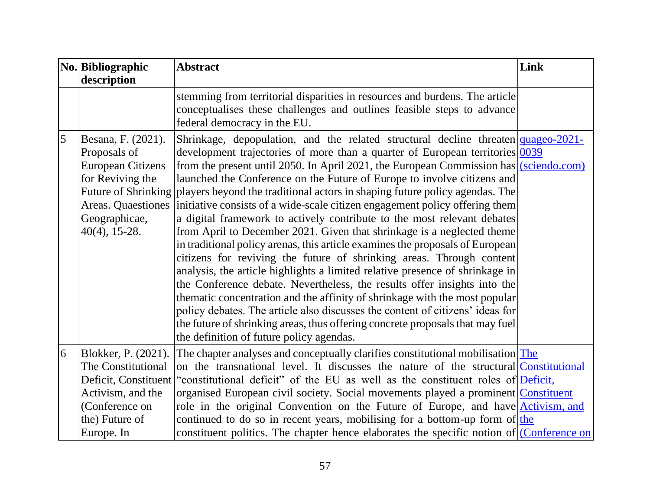|   | No. Bibliographic<br>description                                                                                                              | <b>Abstract</b>                                                                                                                                                                                                                                                                                                                                                                                                                                                                                                                                                                                                                                                                                                                                                                                                                                                                                                                                                                                                                                                                                                                                                                                                                                                                                                   | Link |
|---|-----------------------------------------------------------------------------------------------------------------------------------------------|-------------------------------------------------------------------------------------------------------------------------------------------------------------------------------------------------------------------------------------------------------------------------------------------------------------------------------------------------------------------------------------------------------------------------------------------------------------------------------------------------------------------------------------------------------------------------------------------------------------------------------------------------------------------------------------------------------------------------------------------------------------------------------------------------------------------------------------------------------------------------------------------------------------------------------------------------------------------------------------------------------------------------------------------------------------------------------------------------------------------------------------------------------------------------------------------------------------------------------------------------------------------------------------------------------------------|------|
|   |                                                                                                                                               | stemming from territorial disparities in resources and burdens. The article<br>conceptualises these challenges and outlines feasible steps to advance<br>federal democracy in the EU.                                                                                                                                                                                                                                                                                                                                                                                                                                                                                                                                                                                                                                                                                                                                                                                                                                                                                                                                                                                                                                                                                                                             |      |
| 5 | Besana, F. (2021).<br>Proposals of<br><b>European Citizens</b><br>for Reviving the<br>Areas. Quaestiones<br>Geographicae,<br>$40(4)$ , 15-28. | Shrinkage, depopulation, and the related structural decline threaten $quageo-2021$ -<br>development trajectories of more than a quarter of European territories $0.039$<br>from the present until 2050. In April 2021, the European Commission has $\sqrt{\text{sciendo.com}}$<br>launched the Conference on the Future of Europe to involve citizens and<br>Future of Shrinking players beyond the traditional actors in shaping future policy agendas. The<br>initiative consists of a wide-scale citizen engagement policy offering them<br>a digital framework to actively contribute to the most relevant debates<br>from April to December 2021. Given that shrinkage is a neglected theme<br>in traditional policy arenas, this article examines the proposals of European<br>citizens for reviving the future of shrinking areas. Through content<br>analysis, the article highlights a limited relative presence of shrinkage in<br>the Conference debate. Nevertheless, the results offer insights into the<br>thematic concentration and the affinity of shrinkage with the most popular<br>policy debates. The article also discusses the content of citizens' ideas for<br>the future of shrinking areas, thus offering concrete proposals that may fuel<br>the definition of future policy agendas. |      |
| 6 | Blokker, P. (2021).<br>The Constitutional<br>Deficit, Constituent<br>Activism, and the<br>(Conference on<br>the) Future of                    | The chapter analyses and conceptually clarifies constitutional mobilisation The<br>on the transnational level. It discusses the nature of the structural Constitutional<br>"constitutional deficit" of the EU as well as the constituent roles of Deficit,<br>organised European civil society. Social movements played a prominent Constituent<br>role in the original Convention on the Future of Europe, and have Activism, and<br>continued to do so in recent years, mobilising for a bottom-up form of the                                                                                                                                                                                                                                                                                                                                                                                                                                                                                                                                                                                                                                                                                                                                                                                                  |      |
|   | Europe. In                                                                                                                                    | constituent politics. The chapter hence elaborates the specific notion of $ $ Conference on                                                                                                                                                                                                                                                                                                                                                                                                                                                                                                                                                                                                                                                                                                                                                                                                                                                                                                                                                                                                                                                                                                                                                                                                                       |      |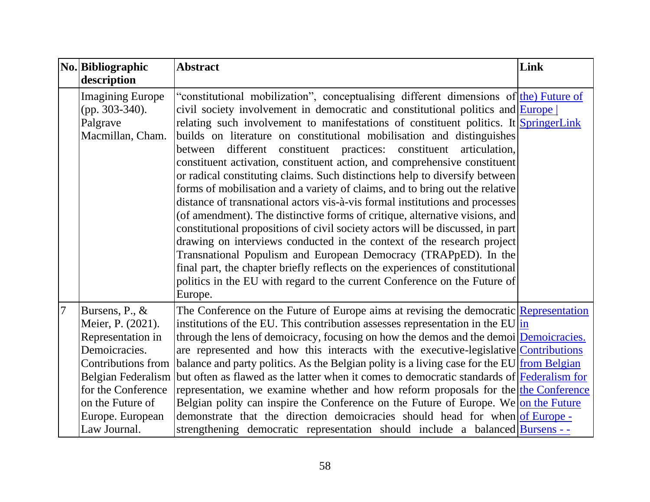|                 | No. Bibliographic<br>description                                                                                                                                                                                  | <b>Abstract</b>                                                                                                                                                                                                                                                                                                                                                                                                                                                                                                                                                                                                                                                                                                                                                                                                                                                                                                                                                                                                                                                                                                                                                                                                                               | Link |
|-----------------|-------------------------------------------------------------------------------------------------------------------------------------------------------------------------------------------------------------------|-----------------------------------------------------------------------------------------------------------------------------------------------------------------------------------------------------------------------------------------------------------------------------------------------------------------------------------------------------------------------------------------------------------------------------------------------------------------------------------------------------------------------------------------------------------------------------------------------------------------------------------------------------------------------------------------------------------------------------------------------------------------------------------------------------------------------------------------------------------------------------------------------------------------------------------------------------------------------------------------------------------------------------------------------------------------------------------------------------------------------------------------------------------------------------------------------------------------------------------------------|------|
|                 | <b>Imagining Europe</b><br>$(pp. 303-340).$<br>Palgrave<br>Macmillan, Cham.                                                                                                                                       | "constitutional mobilization", conceptualising different dimensions of the Future of<br>civil society involvement in democratic and constitutional politics and <b>Europe</b><br>relating such involvement to manifestations of constituent politics. It SpringerLink<br>builds on literature on constitutional mobilisation and distinguishes<br>different constituent practices: constituent<br>articulation,<br>between<br>constituent activation, constituent action, and comprehensive constituent<br>or radical constituting claims. Such distinctions help to diversify between<br>forms of mobilisation and a variety of claims, and to bring out the relative<br>distance of transnational actors vis-à-vis formal institutions and processes<br>(of amendment). The distinctive forms of critique, alternative visions, and<br>constitutional propositions of civil society actors will be discussed, in part<br>drawing on interviews conducted in the context of the research project<br>Transnational Populism and European Democracy (TRAPpED). In the<br>final part, the chapter briefly reflects on the experiences of constitutional<br>politics in the EU with regard to the current Conference on the Future of<br>Europe. |      |
| $7\phantom{.0}$ | Bursens, P., &<br>Meier, P. (2021).<br>Representation in<br>Demoicracies.<br><b>Contributions from</b><br><b>Belgian Federalism</b><br>for the Conference<br>on the Future of<br>Europe. European<br>Law Journal. | The Conference on the Future of Europe aims at revising the democratic Representation<br>institutions of the EU. This contribution assesses representation in the EU $\frac{\ln n}{n}$<br>through the lens of demoicracy, focusing on how the demos and the demoi Demoicracies.<br>are represented and how this interacts with the executive-legislative Contributions<br>balance and party politics. As the Belgian polity is a living case for the EU from Belgian<br>but often as flawed as the latter when it comes to democratic standards of Federalism for<br>representation, we examine whether and how reform proposals for the the Conference<br>Belgian polity can inspire the Conference on the Future of Europe. We on the Future<br>demonstrate that the direction demoicracies should head for when of Europe -<br>strengthening democratic representation should include a balanced <b>Bursens</b> --                                                                                                                                                                                                                                                                                                                         |      |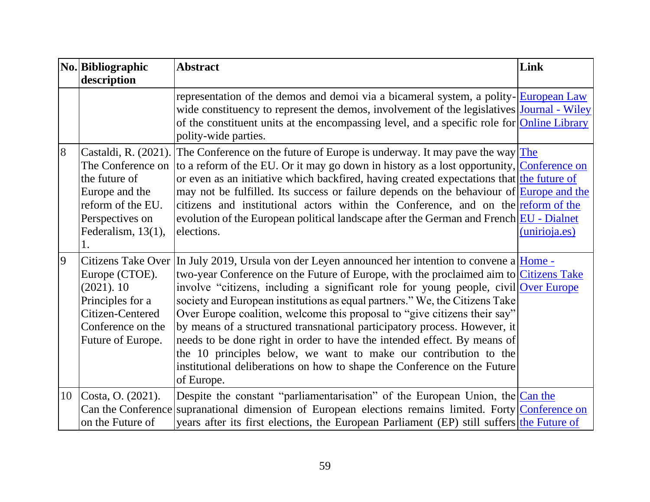|   | No. Bibliographic<br>description                                                                                                                 | <b>Abstract</b>                                                                                                                                                                                                                                                                                                                                                                                                                                                                                                                                                                                                                                                                                                                                            | Link          |
|---|--------------------------------------------------------------------------------------------------------------------------------------------------|------------------------------------------------------------------------------------------------------------------------------------------------------------------------------------------------------------------------------------------------------------------------------------------------------------------------------------------------------------------------------------------------------------------------------------------------------------------------------------------------------------------------------------------------------------------------------------------------------------------------------------------------------------------------------------------------------------------------------------------------------------|---------------|
|   |                                                                                                                                                  | representation of the demos and demoi via a bicameral system, a polity- <b>European Law</b><br>wide constituency to represent the demos, involvement of the legislatives Journal - Wiley<br>of the constituent units at the encompassing level, and a specific role for <b>Online Library</b><br>polity-wide parties.                                                                                                                                                                                                                                                                                                                                                                                                                                      |               |
| 8 | Castaldi, R. (2021).<br>The Conference on<br>the future of<br>Europe and the<br>reform of the EU.<br>Perspectives on<br>Federalism, 13(1),<br>1. | The Conference on the future of Europe is underway. It may pave the way $The$<br>to a reform of the EU. Or it may go down in history as a lost opportunity, Conference on<br>or even as an initiative which backfired, having created expectations that the future of<br>may not be fulfilled. Its success or failure depends on the behaviour of <b>Europe and the</b><br>citizens and institutional actors within the Conference, and on the reform of the<br>evolution of the European political landscape after the German and French <b>EU</b> - Dialnet<br>elections.                                                                                                                                                                                | (unirioja.es) |
| 9 | <b>Citizens Take Over</b><br>Europe (CTOE).<br>(2021).10<br>Principles for a<br>Citizen-Centered<br>Conference on the<br>Future of Europe.       | In July 2019, Ursula von der Leyen announced her intention to convene a $\text{Home}$ -<br>two-year Conference on the Future of Europe, with the proclaimed aim to Citizens Take<br>involve "citizens, including a significant role for young people, civil Over Europe<br>society and European institutions as equal partners." We, the Citizens Take<br>Over Europe coalition, welcome this proposal to "give citizens their say"<br>by means of a structured transnational participatory process. However, it<br>needs to be done right in order to have the intended effect. By means of<br>the 10 principles below, we want to make our contribution to the<br>institutional deliberations on how to shape the Conference on the Future<br>of Europe. |               |
|   | 10 Costa, O. (2021).<br>Can the Conference<br>on the Future of                                                                                   | Despite the constant "parliamentarisation" of the European Union, the Can the<br>supranational dimension of European elections remains limited. Forty Conference on<br>years after its first elections, the European Parliament (EP) still suffers the Future of                                                                                                                                                                                                                                                                                                                                                                                                                                                                                           |               |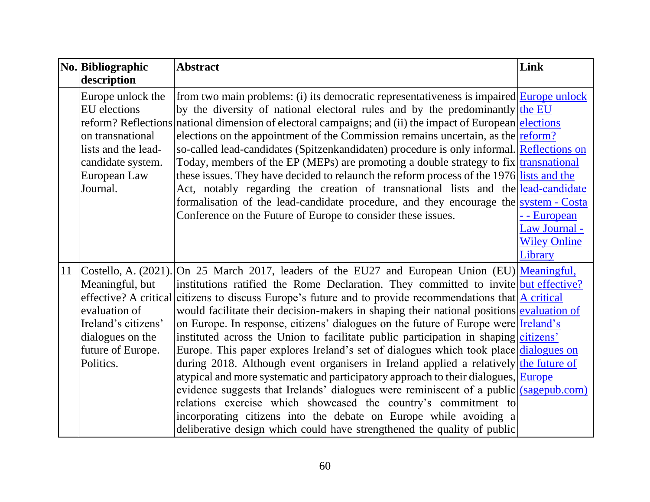|    | No. Bibliographic                                                                                                                      | <b>Abstract</b>                                                                                                                                                                                                                                                                                                                                                                                                                                                                                                                                                                                                                                                                                                                                                                                                                                                                                                                                                                                                                                                                                                                                | Link                                                 |
|----|----------------------------------------------------------------------------------------------------------------------------------------|------------------------------------------------------------------------------------------------------------------------------------------------------------------------------------------------------------------------------------------------------------------------------------------------------------------------------------------------------------------------------------------------------------------------------------------------------------------------------------------------------------------------------------------------------------------------------------------------------------------------------------------------------------------------------------------------------------------------------------------------------------------------------------------------------------------------------------------------------------------------------------------------------------------------------------------------------------------------------------------------------------------------------------------------------------------------------------------------------------------------------------------------|------------------------------------------------------|
|    | description                                                                                                                            |                                                                                                                                                                                                                                                                                                                                                                                                                                                                                                                                                                                                                                                                                                                                                                                                                                                                                                                                                                                                                                                                                                                                                |                                                      |
|    | Europe unlock the<br><b>EU</b> elections<br>on transnational<br>lists and the lead-<br>candidate system.<br>European Law<br>Journal.   | from two main problems: (i) its democratic representativeness is impaired <b>Europe unlock</b><br>by the diversity of national electoral rules and by the predominantly the EU<br>reform? Reflections national dimension of electoral campaigns; and (ii) the impact of European elections<br>elections on the appointment of the Commission remains uncertain, as the <u>reform?</u><br>so-called lead-candidates (Spitzenkandidaten) procedure is only informal. Reflections on<br>Today, members of the EP (MEPs) are promoting a double strategy to fix transnational<br>these issues. They have decided to relaunch the reform process of the 1976 lists and the<br>Act, notably regarding the creation of transnational lists and the <u>lead-candidate</u><br>formalisation of the lead-candidate procedure, and they encourage the system - Costa<br>Conference on the Future of Europe to consider these issues.                                                                                                                                                                                                                      | - - European<br>Law Journal -<br><b>Wiley Online</b> |
| 11 | Meaningful, but<br>effective? A critical<br>evaluation of<br>Ireland's citizens'<br>dialogues on the<br>future of Europe.<br>Politics. | Costello, A. (2021). On 25 March 2017, leaders of the EU27 and European Union (EU) Meaningful,<br>institutions ratified the Rome Declaration. They committed to invite but effective?<br>citizens to discuss Europe's future and to provide recommendations that $A$ critical<br>would facilitate their decision-makers in shaping their national positions evaluation of<br>on Europe. In response, citizens' dialogues on the future of Europe were <b>Ireland's</b><br>instituted across the Union to facilitate public participation in shaping citizens'<br>Europe. This paper explores Ireland's set of dialogues which took place dialogues on<br>during 2018. Although event organisers in Ireland applied a relatively the future of<br>atypical and more systematic and participatory approach to their dialogues, Europe<br>evidence suggests that Irelands' dialogues were reminiscent of a public (sagepub.com)<br>relations exercise which showcased the country's commitment to<br>incorporating citizens into the debate on Europe while avoiding a<br>deliberative design which could have strengthened the quality of public | Library                                              |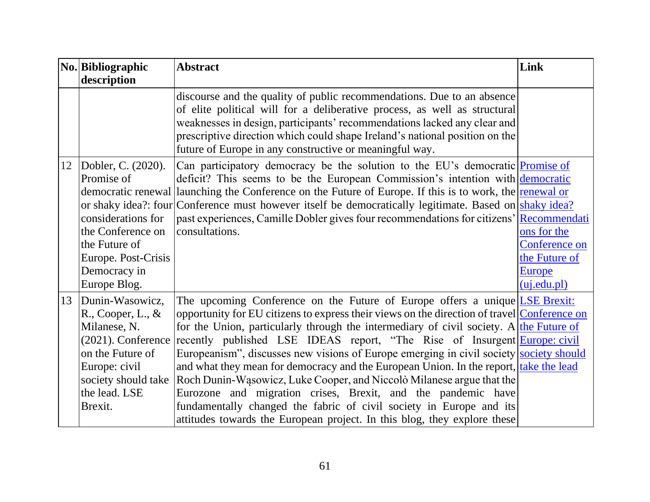|    | No. Bibliographic<br>description                                                                                                                                   | <b>Abstract</b>                                                                                                                                                                                                                                                                                                                                                                                                                                                                                                                                                                                                                                                                                                                                                                                                                  | Link                                                                          |
|----|--------------------------------------------------------------------------------------------------------------------------------------------------------------------|----------------------------------------------------------------------------------------------------------------------------------------------------------------------------------------------------------------------------------------------------------------------------------------------------------------------------------------------------------------------------------------------------------------------------------------------------------------------------------------------------------------------------------------------------------------------------------------------------------------------------------------------------------------------------------------------------------------------------------------------------------------------------------------------------------------------------------|-------------------------------------------------------------------------------|
|    |                                                                                                                                                                    | discourse and the quality of public recommendations. Due to an absence<br>of elite political will for a deliberative process, as well as structural<br>weaknesses in design, participants' recommendations lacked any clear and<br>prescriptive direction which could shape Ireland's national position on the<br>future of Europe in any constructive or meaningful way.                                                                                                                                                                                                                                                                                                                                                                                                                                                        |                                                                               |
| 12 | Dobler, C. (2020).<br>Promise of<br>considerations for<br>the Conference on<br>the Future of<br>Europe. Post-Crisis<br>Democracy in<br>Europe Blog.                | Can participatory democracy be the solution to the EU's democratic <u>Promise of</u><br>deficit? This seems to be the European Commission's intention with democratic<br>democratic renewal launching the Conference on the Future of Europe. If this is to work, the renewal or<br>or shaky idea?: four Conference must however itself be democratically legitimate. Based on shaky idea?<br>past experiences, Camille Dobler gives four recommendations for citizens' Recommendati<br>consultations.                                                                                                                                                                                                                                                                                                                           | ons for the<br>Conference on<br>the Future of<br><b>Europe</b><br>(uj.edu.pl) |
| 13 | Dunin-Wasowicz,<br>R., Cooper, L., &<br>Milanese, N.<br>(2021). Conference<br>on the Future of<br>Europe: civil<br>society should take<br>the lead. LSE<br>Brexit. | The upcoming Conference on the Future of Europe offers a unique LSE Brexit:<br>opportunity for EU citizens to express their views on the direction of travel Conference on<br>for the Union, particularly through the intermediary of civil society. A the Future of<br>recently published LSE IDEAS report, "The Rise of Insurgent Europe: civil<br>Europeanism", discusses new visions of Europe emerging in civil society society should<br>and what they mean for democracy and the European Union. In the report, take the lead<br>Roch Dunin-Wasowicz, Luke Cooper, and Niccolò Milanese argue that the<br>Eurozone and migration crises, Brexit, and the pandemic have<br>fundamentally changed the fabric of civil society in Europe and its<br>attitudes towards the European project. In this blog, they explore these |                                                                               |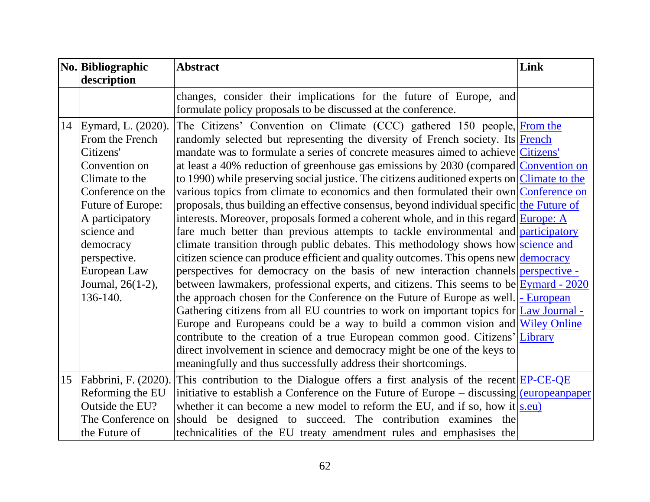|    | No. Bibliographic<br>description                                                                                                                                                                                                                   | <b>Abstract</b>                                                                                                                                                                                                                                                                                                                                                                                                                                                                                                                                                                                                                                                                                                                                                                                                                                                                                                                                                                                                                                                                                                                                                                                                                                                                                                                                                                                                                                                                                                                                                                                                                                                                                        | Link |
|----|----------------------------------------------------------------------------------------------------------------------------------------------------------------------------------------------------------------------------------------------------|--------------------------------------------------------------------------------------------------------------------------------------------------------------------------------------------------------------------------------------------------------------------------------------------------------------------------------------------------------------------------------------------------------------------------------------------------------------------------------------------------------------------------------------------------------------------------------------------------------------------------------------------------------------------------------------------------------------------------------------------------------------------------------------------------------------------------------------------------------------------------------------------------------------------------------------------------------------------------------------------------------------------------------------------------------------------------------------------------------------------------------------------------------------------------------------------------------------------------------------------------------------------------------------------------------------------------------------------------------------------------------------------------------------------------------------------------------------------------------------------------------------------------------------------------------------------------------------------------------------------------------------------------------------------------------------------------------|------|
|    |                                                                                                                                                                                                                                                    | changes, consider their implications for the future of Europe, and<br>formulate policy proposals to be discussed at the conference.                                                                                                                                                                                                                                                                                                                                                                                                                                                                                                                                                                                                                                                                                                                                                                                                                                                                                                                                                                                                                                                                                                                                                                                                                                                                                                                                                                                                                                                                                                                                                                    |      |
|    | 14 Eymard, L. (2020).<br>From the French<br>Citizens'<br>Convention on<br>Climate to the<br>Conference on the<br>Future of Europe:<br>A participatory<br>science and<br>democracy<br>perspective.<br>European Law<br>Journal, 26(1-2),<br>136-140. | The Citizens' Convention on Climate (CCC) gathered 150 people, From the<br>randomly selected but representing the diversity of French society. Its French<br>mandate was to formulate a series of concrete measures aimed to achieve Citizens'<br>at least a 40% reduction of greenhouse gas emissions by 2030 (compared Convention on<br>to 1990) while preserving social justice. The citizens auditioned experts on Climate to the<br>various topics from climate to economics and then formulated their own Conference on<br>proposals, thus building an effective consensus, beyond individual specific the Future of<br>interests. Moreover, proposals formed a coherent whole, and in this regard Europe: A<br>fare much better than previous attempts to tackle environmental and participatory<br>climate transition through public debates. This methodology shows how science and<br>citizen science can produce efficient and quality outcomes. This opens new <u>democracy</u><br>perspectives for democracy on the basis of new interaction channels perspective -<br>between lawmakers, professional experts, and citizens. This seems to be $\frac{Eymard - 2020}{Eymard - 2020}$<br>the approach chosen for the Conference on the Future of Europe as well. - European<br>Gathering citizens from all EU countries to work on important topics for <b>Law Journal</b> -<br>Europe and Europeans could be a way to build a common vision and Wiley Online<br>contribute to the creation of a true European common good. Citizens' Library<br>direct involvement in science and democracy might be one of the keys to<br>meaningfully and thus successfully address their shortcomings. |      |
| 15 | Fabbrini, F. (2020).<br>Reforming the EU<br>Outside the EU?<br>The Conference on<br>the Future of                                                                                                                                                  | This contribution to the Dialogue offers a first analysis of the recent EP-CE-QE<br>initiative to establish a Conference on the Future of Europe $-$ discussing european paper<br>whether it can become a new model to reform the EU, and if so, how it s.eu)<br>should be designed to succeed. The contribution examines the<br>technicalities of the EU treaty amendment rules and emphasises the                                                                                                                                                                                                                                                                                                                                                                                                                                                                                                                                                                                                                                                                                                                                                                                                                                                                                                                                                                                                                                                                                                                                                                                                                                                                                                    |      |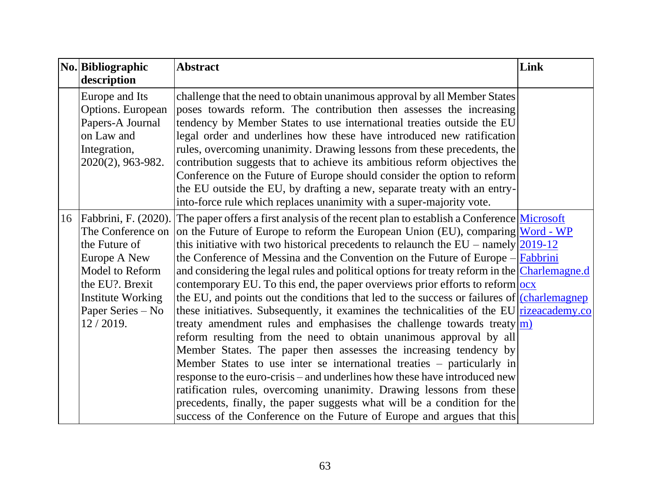| No. Bibliographic                                                                                                                                     | <b>Abstract</b>                                                                                                                                                                                                                                                                                                                                                                                                                                                                                                                                                                                                                                                                                                                                                                                                                                                                                                                                                                                                                                                                                                                                                                                                                                                                                                                                                                                                                | Link |
|-------------------------------------------------------------------------------------------------------------------------------------------------------|--------------------------------------------------------------------------------------------------------------------------------------------------------------------------------------------------------------------------------------------------------------------------------------------------------------------------------------------------------------------------------------------------------------------------------------------------------------------------------------------------------------------------------------------------------------------------------------------------------------------------------------------------------------------------------------------------------------------------------------------------------------------------------------------------------------------------------------------------------------------------------------------------------------------------------------------------------------------------------------------------------------------------------------------------------------------------------------------------------------------------------------------------------------------------------------------------------------------------------------------------------------------------------------------------------------------------------------------------------------------------------------------------------------------------------|------|
| description                                                                                                                                           |                                                                                                                                                                                                                                                                                                                                                                                                                                                                                                                                                                                                                                                                                                                                                                                                                                                                                                                                                                                                                                                                                                                                                                                                                                                                                                                                                                                                                                |      |
| Europe and Its<br>Options. European<br>Papers-A Journal<br>on Law and<br>Integration,<br>$2020(2)$ , 963-982.                                         | challenge that the need to obtain unanimous approval by all Member States<br>poses towards reform. The contribution then assesses the increasing<br>tendency by Member States to use international treaties outside the EU<br>legal order and underlines how these have introduced new ratification<br>rules, overcoming unanimity. Drawing lessons from these precedents, the<br>contribution suggests that to achieve its ambitious reform objectives the<br>Conference on the Future of Europe should consider the option to reform<br>the EU outside the EU, by drafting a new, separate treaty with an entry-<br>into-force rule which replaces unanimity with a super-majority vote.                                                                                                                                                                                                                                                                                                                                                                                                                                                                                                                                                                                                                                                                                                                                     |      |
| The Conference on<br>the Future of<br>Europe A New<br>Model to Reform<br>the EU?. Brexit<br><b>Institute Working</b><br>Paper Series – No<br>12/2019. | 16   Fabbrini, F. (2020). The paper offers a first analysis of the recent plan to establish a Conference Microsoft<br>on the Future of Europe to reform the European Union (EU), comparing <b>Word</b> - WP<br>this initiative with two historical precedents to relaunch the EU – namely $\boxed{2019-12}$<br>the Conference of Messina and the Convention on the Future of Europe $-\sqrt{\text{Fabbrini}}$<br>and considering the legal rules and political options for treaty reform in the Charlemagne.d<br>contemporary EU. To this end, the paper overviews prior efforts to reform $\frac{\log x}{\log x}$<br>the EU, and points out the conditions that led to the success or failures of charlemagnep<br>these initiatives. Subsequently, it examines the technicalities of the EU rizeacademy.co<br>treaty amendment rules and emphasises the challenge towards treaty $ m\rangle$<br>reform resulting from the need to obtain unanimous approval by all<br>Member States. The paper then assesses the increasing tendency by<br>Member States to use inter se international treaties – particularly in<br>response to the euro-crisis – and underlines how these have introduced new<br>ratification rules, overcoming unanimity. Drawing lessons from these<br>precedents, finally, the paper suggests what will be a condition for the<br>success of the Conference on the Future of Europe and argues that this |      |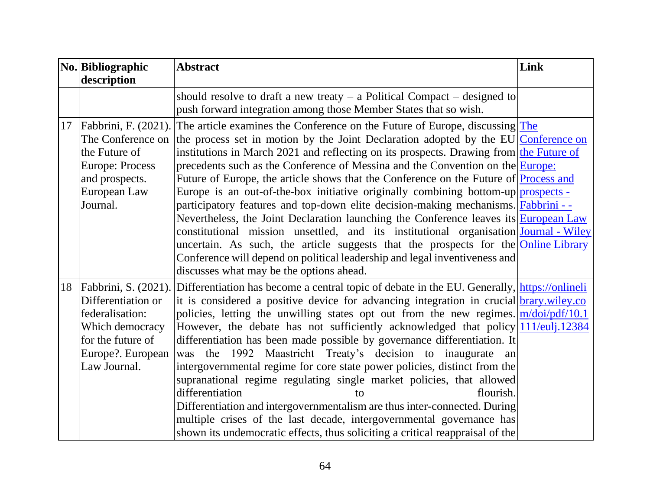|    | No. Bibliographic<br>description                                                                                                           | <b>Abstract</b>                                                                                                                                                                                                                                                                                                                                                                                                                                                                                                                                                                                                                                                                                                                                                                                                                                                                                                                                                                                                        | Link |
|----|--------------------------------------------------------------------------------------------------------------------------------------------|------------------------------------------------------------------------------------------------------------------------------------------------------------------------------------------------------------------------------------------------------------------------------------------------------------------------------------------------------------------------------------------------------------------------------------------------------------------------------------------------------------------------------------------------------------------------------------------------------------------------------------------------------------------------------------------------------------------------------------------------------------------------------------------------------------------------------------------------------------------------------------------------------------------------------------------------------------------------------------------------------------------------|------|
|    |                                                                                                                                            | should resolve to draft a new treaty $-$ a Political Compact $-$ designed to<br>push forward integration among those Member States that so wish.                                                                                                                                                                                                                                                                                                                                                                                                                                                                                                                                                                                                                                                                                                                                                                                                                                                                       |      |
|    | 17   Fabbrini, F. (2021).<br>The Conference on<br>the Future of<br><b>Europe: Process</b><br>and prospects.<br>European Law<br>Journal.    | The article examines the Conference on the Future of Europe, discussing The<br>the process set in motion by the Joint Declaration adopted by the EU Conference on<br>institutions in March 2021 and reflecting on its prospects. Drawing from the Future of<br>precedents such as the Conference of Messina and the Convention on the Europe:<br>Future of Europe, the article shows that the Conference on the Future of Process and<br>Europe is an out-of-the-box initiative originally combining bottom-up prospects -<br>participatory features and top-down elite decision-making mechanisms. Fabbrini --<br>Nevertheless, the Joint Declaration launching the Conference leaves its European Law<br>constitutional mission unsettled, and its institutional organisation Journal - Wiley<br>uncertain. As such, the article suggests that the prospects for the <b>Online Library</b><br>Conference will depend on political leadership and legal inventiveness and<br>discusses what may be the options ahead. |      |
| 18 | Fabbrini, S. (2021).<br>Differentiation or<br>federalisation:<br>Which democracy<br>for the future of<br>Europe?. European<br>Law Journal. | Differentiation has become a central topic of debate in the EU. Generally, https://onlineli<br>it is considered a positive device for advancing integration in crucial brary wiley.co<br>policies, letting the unwilling states opt out from the new regimes. $\frac{m}{d\alpha/pdf/10.1}$<br>However, the debate has not sufficiently acknowledged that policy 11/euli 12384<br>differentiation has been made possible by governance differentiation. It<br>the 1992 Maastricht Treaty's decision to inaugurate<br>was<br>an<br>intergovernmental regime for core state power policies, distinct from the<br>supranational regime regulating single market policies, that allowed<br>differentiation<br>flourish.<br>tο<br>Differentiation and intergovernmentalism are thus inter-connected. During<br>multiple crises of the last decade, intergovernmental governance has<br>shown its undemocratic effects, thus soliciting a critical reappraisal of the                                                         |      |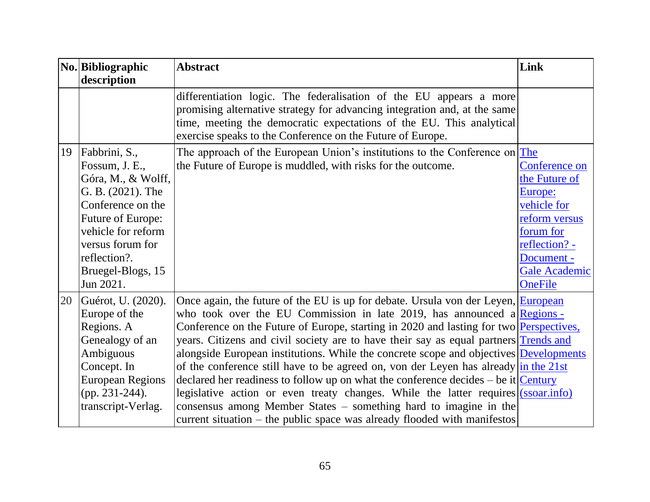|    | No. Bibliographic<br>description                                                                                                                                                                                 | <b>Abstract</b>                                                                                                                                                                                                                                                                                                                                                                                                                                                                                                                                                                                                                                                                                                                                                                                                                                                       | Link                                                                                                                                                            |
|----|------------------------------------------------------------------------------------------------------------------------------------------------------------------------------------------------------------------|-----------------------------------------------------------------------------------------------------------------------------------------------------------------------------------------------------------------------------------------------------------------------------------------------------------------------------------------------------------------------------------------------------------------------------------------------------------------------------------------------------------------------------------------------------------------------------------------------------------------------------------------------------------------------------------------------------------------------------------------------------------------------------------------------------------------------------------------------------------------------|-----------------------------------------------------------------------------------------------------------------------------------------------------------------|
|    |                                                                                                                                                                                                                  | differentiation logic. The federalisation of the EU appears a more<br>promising alternative strategy for advancing integration and, at the same<br>time, meeting the democratic expectations of the EU. This analytical<br>exercise speaks to the Conference on the Future of Europe.                                                                                                                                                                                                                                                                                                                                                                                                                                                                                                                                                                                 |                                                                                                                                                                 |
| 19 | Fabbrini, S.,<br>Fossum, J. E.,<br>Góra, M., & Wolff,<br>G. B. (2021). The<br>Conference on the<br>Future of Europe:<br>vehicle for reform<br>versus forum for<br>reflection?.<br>Bruegel-Blogs, 15<br>Jun 2021. | The approach of the European Union's institutions to the Conference on The<br>the Future of Europe is muddled, with risks for the outcome.                                                                                                                                                                                                                                                                                                                                                                                                                                                                                                                                                                                                                                                                                                                            | Conference on<br>the Future of<br>Europe:<br>vehicle for<br>reform versus<br>forum for<br>reflection? -<br>Document -<br><b>Gale Academic</b><br><b>OneFile</b> |
| 20 | Guérot, U. (2020).<br>Europe of the<br>Regions. A<br>Genealogy of an<br>Ambiguous<br>Concept. In<br><b>European Regions</b><br>(pp. $231-244$ ).<br>transcript-Verlag.                                           | Once again, the future of the EU is up for debate. Ursula von der Leyen, European<br>who took over the EU Commission in late 2019, has announced a Regions -<br>Conference on the Future of Europe, starting in 2020 and lasting for two <b>Perspectives</b> ,<br>years. Citizens and civil society are to have their say as equal partners Trends and<br>alongside European institutions. While the concrete scope and objectives Developments<br>of the conference still have to be agreed on, von der Leyen has already in the $21st$<br>declared her readiness to follow up on what the conference decides – be it $Century$<br>legislative action or even treaty changes. While the latter requires (ssoar.info)<br>consensus among Member States - something hard to imagine in the<br>current situation – the public space was already flooded with manifestos |                                                                                                                                                                 |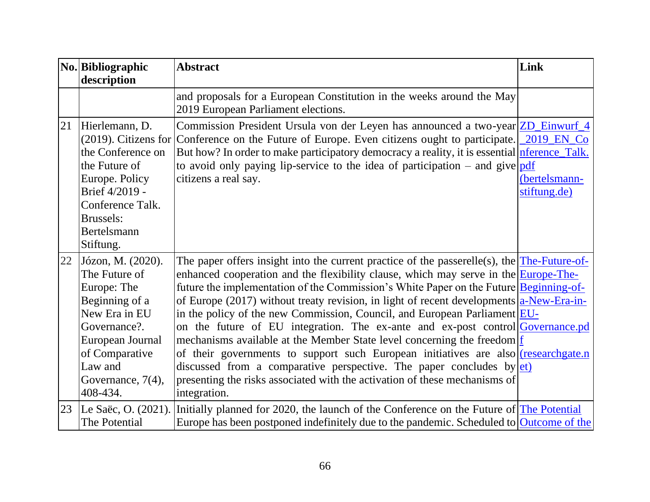|    | No. Bibliographic<br>description                                                                                                                                                       | <b>Abstract</b>                                                                                                                                                                                                                                                                                                                                                                                                                                                                                                                                                                                                                                                                                                                                                                                                                                                                                    | Link                                        |
|----|----------------------------------------------------------------------------------------------------------------------------------------------------------------------------------------|----------------------------------------------------------------------------------------------------------------------------------------------------------------------------------------------------------------------------------------------------------------------------------------------------------------------------------------------------------------------------------------------------------------------------------------------------------------------------------------------------------------------------------------------------------------------------------------------------------------------------------------------------------------------------------------------------------------------------------------------------------------------------------------------------------------------------------------------------------------------------------------------------|---------------------------------------------|
|    |                                                                                                                                                                                        | and proposals for a European Constitution in the weeks around the May<br>2019 European Parliament elections.                                                                                                                                                                                                                                                                                                                                                                                                                                                                                                                                                                                                                                                                                                                                                                                       |                                             |
| 21 | Hierlemann, D.<br>(2019). Citizens for<br>the Conference on<br>the Future of<br>Europe. Policy<br>Brief 4/2019 -<br>Conference Talk.<br><b>Brussels:</b><br>Bertelsmann<br>Stiftung.   | Commission President Ursula von der Leyen has announced a two-year ZD_Einwurf_4<br>Conference on the Future of Europe. Even citizens ought to participate.<br>But how? In order to make participatory democracy a reality, it is essential <i>nference</i> Talk.<br>to avoid only paying lip-service to the idea of participation – and give $pdf$<br>citizens a real say.                                                                                                                                                                                                                                                                                                                                                                                                                                                                                                                         | 2019 EN Co<br>(bertelsmann-<br>stiftung.de) |
| 22 | Józon, M. (2020).<br>The Future of<br>Europe: The<br>Beginning of a<br>New Era in EU<br>Governance?.<br>European Journal<br>of Comparative<br>Law and<br>Governance, 7(4),<br>408-434. | The paper offers insight into the current practice of the passerelle(s), the $The-Future-of-$<br>enhanced cooperation and the flexibility clause, which may serve in the <b>Europe-The-</b><br>future the implementation of the Commission's White Paper on the Future Beginning-of-<br>of Europe (2017) without treaty revision, in light of recent developments $a$ -New-Era-in-<br>in the policy of the new Commission, Council, and European Parliament EU-<br>on the future of EU integration. The ex-ante and ex-post control Governance.pd<br>mechanisms available at the Member State level concerning the freedom $f$<br>of their governments to support such European initiatives are also researchgate.n<br>discussed from a comparative perspective. The paper concludes by $ et\rangle$<br>presenting the risks associated with the activation of these mechanisms of<br>integration. |                                             |
| 23 | Le Saëc, O. (2021).<br>The Potential                                                                                                                                                   | Initially planned for 2020, the launch of the Conference on the Future of The Potential<br>Europe has been postponed indefinitely due to the pandemic. Scheduled to Outcome of the                                                                                                                                                                                                                                                                                                                                                                                                                                                                                                                                                                                                                                                                                                                 |                                             |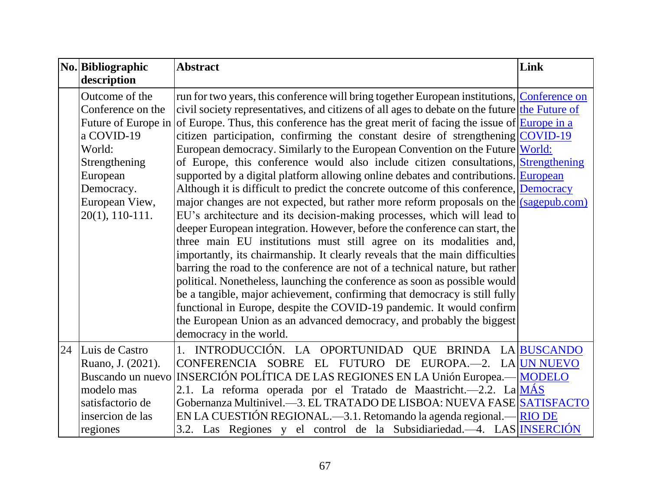| No. Bibliographic   | <b>Abstract</b>                                                                                 | Link |
|---------------------|-------------------------------------------------------------------------------------------------|------|
| description         |                                                                                                 |      |
| Outcome of the      | run for two years, this conference will bring together European institutions, Conference on     |      |
| Conference on the   | civil society representatives, and citizens of all ages to debate on the future the Future of   |      |
| Future of Europe in | of Europe. Thus, this conference has the great merit of facing the issue of <b>Europe</b> in a  |      |
| a COVID-19          | citizen participation, confirming the constant desire of strengthening $\sqrt{\text{CovID-19}}$ |      |
| World:              | European democracy. Similarly to the European Convention on the Future World:                   |      |
| Strengthening       | of Europe, this conference would also include citizen consultations, Strengthening              |      |
| European            | supported by a digital platform allowing online debates and contributions. European             |      |
| Democracy.          | Although it is difficult to predict the concrete outcome of this conference, Democracy          |      |
| European View,      | major changes are not expected, but rather more reform proposals on the $(sagepub.com)$         |      |
| $20(1), 110-111.$   | EU's architecture and its decision-making processes, which will lead to                         |      |
|                     | deeper European integration. However, before the conference can start, the                      |      |
|                     | three main EU institutions must still agree on its modalities and,                              |      |
|                     | importantly, its chairmanship. It clearly reveals that the main difficulties                    |      |
|                     | barring the road to the conference are not of a technical nature, but rather                    |      |
|                     | political. Nonetheless, launching the conference as soon as possible would                      |      |
|                     | be a tangible, major achievement, confirming that democracy is still fully                      |      |
|                     | functional in Europe, despite the COVID-19 pandemic. It would confirm                           |      |
|                     | the European Union as an advanced democracy, and probably the biggest                           |      |
|                     | democracy in the world.                                                                         |      |
| 24 Luis de Castro   | 1. INTRODUCCIÓN. LA OPORTUNIDAD QUE BRINDA LA BUSCANDO                                          |      |
| Ruano, J. (2021).   | CONFERENCIA SOBRE EL FUTURO DE EUROPA.—2. LA UN NUEVO                                           |      |
| Buscando un nuevo   | INSERCIÓN POLÍTICA DE LAS REGIONES EN LA Unión Europea.— MODELO                                 |      |
| modelo mas          | 2.1. La reforma operada por el Tratado de Maastricht.—2.2. La MÁS                               |      |
| satisfactorio de    | Gobernanza Multinivel.—3. EL TRATADO DE LISBOA: NUEVA FASE SATISFACTO                           |      |
| insercion de las    | EN LA CUESTIÓN REGIONAL.—3.1. Retomando la agenda regional.— RIO DE                             |      |
| regiones            | 3.2. Las Regiones y el control de la Subsidiariedad.—4. LAS NSERCIÓN                            |      |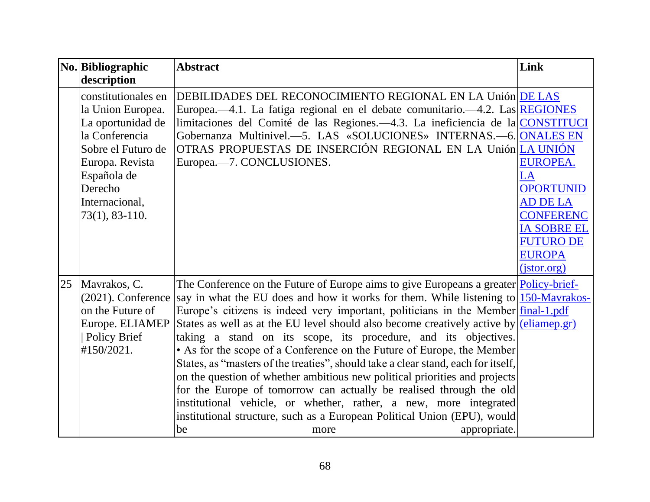|    | No. Bibliographic                                                                                                                                                                        | <b>Abstract</b>                                                                                                                                                                                                                                                                                                                                                                                                                                                                                                                                                                                                                                                                                                                                                                                                                                                                                                                                                  | Link                                                                                                                                        |
|----|------------------------------------------------------------------------------------------------------------------------------------------------------------------------------------------|------------------------------------------------------------------------------------------------------------------------------------------------------------------------------------------------------------------------------------------------------------------------------------------------------------------------------------------------------------------------------------------------------------------------------------------------------------------------------------------------------------------------------------------------------------------------------------------------------------------------------------------------------------------------------------------------------------------------------------------------------------------------------------------------------------------------------------------------------------------------------------------------------------------------------------------------------------------|---------------------------------------------------------------------------------------------------------------------------------------------|
|    | description                                                                                                                                                                              |                                                                                                                                                                                                                                                                                                                                                                                                                                                                                                                                                                                                                                                                                                                                                                                                                                                                                                                                                                  |                                                                                                                                             |
|    | constitutionales en<br>la Union Europea.<br>La oportunidad de<br>la Conferencia<br>Sobre el Futuro de<br>Europa. Revista<br>Española de<br>Derecho<br>Internacional,<br>$73(1), 83-110.$ | DEBILIDADES DEL RECONOCIMIENTO REGIONAL EN LA Unión DE LAS<br>Europea.—4.1. La fatiga regional en el debate comunitario.—4.2. Las REGIONES<br>limitaciones del Comité de las Regiones. -4.3. La ineficiencia de la CONSTITUCI<br>Gobernanza Multinivel.-5. LAS «SOLUCIONES» INTERNAS.-6. ONALES EN<br>OTRAS PROPUESTAS DE INSERCIÓN REGIONAL EN LA Unión LA UNIÓN<br>Europea.—7. CONCLUSIONES.                                                                                                                                                                                                                                                                                                                                                                                                                                                                                                                                                                   | <b>EUROPEA.</b><br>LA<br><b>OPORTUNID</b><br><b>AD DE LA</b><br><b>CONFERENC</b><br><b>IA SOBRE EL</b><br><b>FUTURO DE</b><br><b>EUROPA</b> |
| 25 | Mavrakos, C.<br>$(2021)$ . Conference<br>on the Future of<br>Europe. ELIAMEP<br><b>Policy Brief</b><br>#150/2021.                                                                        | The Conference on the Future of Europe aims to give Europeans a greater <b>Policy-brief-</b><br>say in what the EU does and how it works for them. While listening to 150-Mavrakos-<br>Europe's citizens is indeed very important, politicians in the Member final-1.pdf<br>States as well as at the EU level should also become creatively active by $\sqrt{\text{eliam}(\text{ep. gr})}$<br>taking a stand on its scope, its procedure, and its objectives.<br>• As for the scope of a Conference on the Future of Europe, the Member<br>States, as "masters of the treaties", should take a clear stand, each for itself,<br>on the question of whether ambitious new political priorities and projects<br>for the Europe of tomorrow can actually be realised through the old<br>institutional vehicle, or whether, rather, a new, more integrated<br>institutional structure, such as a European Political Union (EPU), would<br>appropriate.<br>be<br>more | (jstor.org)                                                                                                                                 |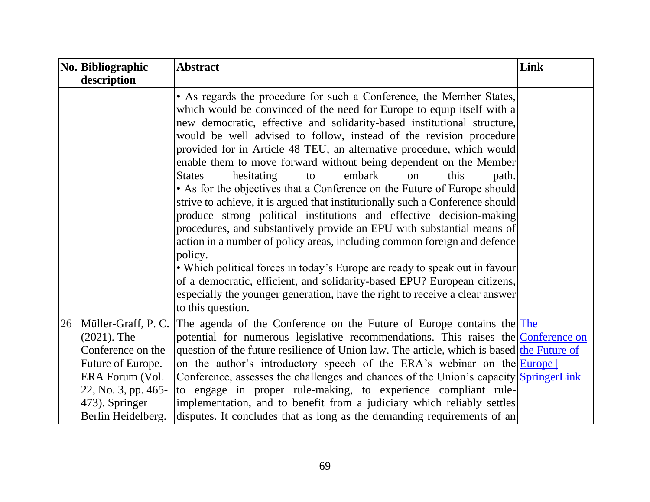|    | No. Bibliographic   | <b>Abstract</b>                                                                                                                                                                                                                                                                                                                                                                                                                                                                                                                                                                                                                                                                                                                                                                                                                                                                                                                                                                                                                                                                                                                                                             | Link |
|----|---------------------|-----------------------------------------------------------------------------------------------------------------------------------------------------------------------------------------------------------------------------------------------------------------------------------------------------------------------------------------------------------------------------------------------------------------------------------------------------------------------------------------------------------------------------------------------------------------------------------------------------------------------------------------------------------------------------------------------------------------------------------------------------------------------------------------------------------------------------------------------------------------------------------------------------------------------------------------------------------------------------------------------------------------------------------------------------------------------------------------------------------------------------------------------------------------------------|------|
|    | description         |                                                                                                                                                                                                                                                                                                                                                                                                                                                                                                                                                                                                                                                                                                                                                                                                                                                                                                                                                                                                                                                                                                                                                                             |      |
|    |                     | • As regards the procedure for such a Conference, the Member States,<br>which would be convinced of the need for Europe to equip itself with a<br>new democratic, effective and solidarity-based institutional structure,<br>would be well advised to follow, instead of the revision procedure<br>provided for in Article 48 TEU, an alternative procedure, which would<br>enable them to move forward without being dependent on the Member<br>hesitating<br>embark<br><b>States</b><br>this<br>path.<br>to<br>$_{\rm on}$<br>• As for the objectives that a Conference on the Future of Europe should<br>strive to achieve, it is argued that institutionally such a Conference should<br>produce strong political institutions and effective decision-making<br>procedures, and substantively provide an EPU with substantial means of<br>action in a number of policy areas, including common foreign and defence<br>policy.<br>• Which political forces in today's Europe are ready to speak out in favour<br>of a democratic, efficient, and solidarity-based EPU? European citizens,<br>especially the younger generation, have the right to receive a clear answer |      |
| 26 | Müller-Graff, P. C. | to this question.<br>The agenda of the Conference on the Future of Europe contains the $The$                                                                                                                                                                                                                                                                                                                                                                                                                                                                                                                                                                                                                                                                                                                                                                                                                                                                                                                                                                                                                                                                                |      |
|    | $(2021)$ . The      | potential for numerous legislative recommendations. This raises the Conference on                                                                                                                                                                                                                                                                                                                                                                                                                                                                                                                                                                                                                                                                                                                                                                                                                                                                                                                                                                                                                                                                                           |      |
|    | Conference on the   | question of the future resilience of Union law. The article, which is based the Future of                                                                                                                                                                                                                                                                                                                                                                                                                                                                                                                                                                                                                                                                                                                                                                                                                                                                                                                                                                                                                                                                                   |      |
|    | Future of Europe.   | on the author's introductory speech of the ERA's webinar on the Europe                                                                                                                                                                                                                                                                                                                                                                                                                                                                                                                                                                                                                                                                                                                                                                                                                                                                                                                                                                                                                                                                                                      |      |
|    | ERA Forum (Vol.     | Conference, assesses the challenges and chances of the Union's capacity SpringerLink                                                                                                                                                                                                                                                                                                                                                                                                                                                                                                                                                                                                                                                                                                                                                                                                                                                                                                                                                                                                                                                                                        |      |
|    | 22, No. 3, pp. 465- | to engage in proper rule-making, to experience compliant rule-                                                                                                                                                                                                                                                                                                                                                                                                                                                                                                                                                                                                                                                                                                                                                                                                                                                                                                                                                                                                                                                                                                              |      |
|    | 473). Springer      | implementation, and to benefit from a judiciary which reliably settles                                                                                                                                                                                                                                                                                                                                                                                                                                                                                                                                                                                                                                                                                                                                                                                                                                                                                                                                                                                                                                                                                                      |      |
|    | Berlin Heidelberg.  | disputes. It concludes that as long as the demanding requirements of an                                                                                                                                                                                                                                                                                                                                                                                                                                                                                                                                                                                                                                                                                                                                                                                                                                                                                                                                                                                                                                                                                                     |      |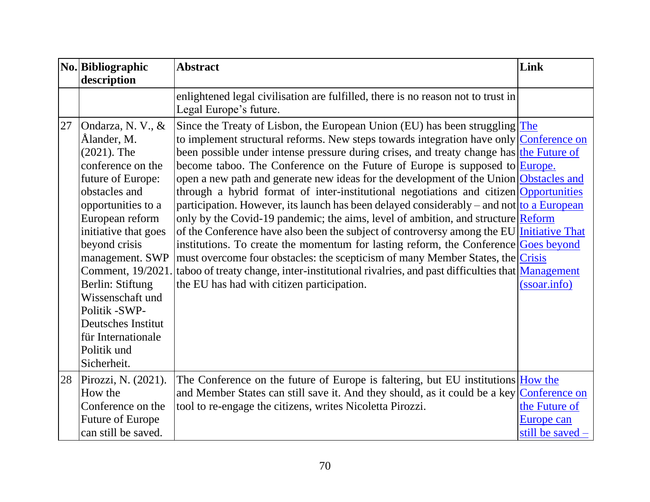|    | No. Bibliographic<br>description                                                                                                                                                                                                                                                                                                                                                  | <b>Abstract</b>                                                                                                                                                                                                                                                                                                                                                                                                                                                                                                                                                                                                                                                                                                                                                                                                                                                                                                                                                                                                                                                                                                                               | Link                                              |
|----|-----------------------------------------------------------------------------------------------------------------------------------------------------------------------------------------------------------------------------------------------------------------------------------------------------------------------------------------------------------------------------------|-----------------------------------------------------------------------------------------------------------------------------------------------------------------------------------------------------------------------------------------------------------------------------------------------------------------------------------------------------------------------------------------------------------------------------------------------------------------------------------------------------------------------------------------------------------------------------------------------------------------------------------------------------------------------------------------------------------------------------------------------------------------------------------------------------------------------------------------------------------------------------------------------------------------------------------------------------------------------------------------------------------------------------------------------------------------------------------------------------------------------------------------------|---------------------------------------------------|
|    |                                                                                                                                                                                                                                                                                                                                                                                   | enlightened legal civilisation are fulfilled, there is no reason not to trust in<br>Legal Europe's future.                                                                                                                                                                                                                                                                                                                                                                                                                                                                                                                                                                                                                                                                                                                                                                                                                                                                                                                                                                                                                                    |                                                   |
| 27 | Ondarza, N. V., &<br>Ålander, M.<br>$(2021)$ . The<br>conference on the<br>future of Europe:<br>obstacles and<br>opportunities to a<br>European reform<br>initiative that goes<br>beyond crisis<br>management. SWP<br>Comment, 19/2021.<br>Berlin: Stiftung<br>Wissenschaft und<br>Politik -SWP-<br><b>Deutsches Institut</b><br>für Internationale<br>Politik und<br>Sicherheit. | Since the Treaty of Lisbon, the European Union (EU) has been struggling $The$<br>to implement structural reforms. New steps towards integration have only Conference on<br>been possible under intense pressure during crises, and treaty change has the Future of<br>become taboo. The Conference on the Future of Europe is supposed to Europe.<br>open a new path and generate new ideas for the development of the Union Obstacles and<br>through a hybrid format of inter-institutional negotiations and citizen Opportunities<br>participation. However, its launch has been delayed considerably – and not to a European<br>only by the Covid-19 pandemic; the aims, level of ambition, and structure Reform<br>of the Conference have also been the subject of controversy among the EU Initiative That<br>institutions. To create the momentum for lasting reform, the Conference Goes beyond<br>must overcome four obstacles: the scepticism of many Member States, the Crisis<br>taboo of treaty change, inter-institutional rivalries, and past difficulties that <b>Management</b><br>the EU has had with citizen participation. | (ssoar.info)                                      |
| 28 | Pirozzi, N. (2021).<br>How the<br>Conference on the<br><b>Future of Europe</b><br>can still be saved.                                                                                                                                                                                                                                                                             | The Conference on the future of Europe is faltering, but EU institutions How the<br>and Member States can still save it. And they should, as it could be a key Conference on<br>tool to re-engage the citizens, writes Nicoletta Pirozzi.                                                                                                                                                                                                                                                                                                                                                                                                                                                                                                                                                                                                                                                                                                                                                                                                                                                                                                     | the Future of<br>Europe can<br>still be saved $-$ |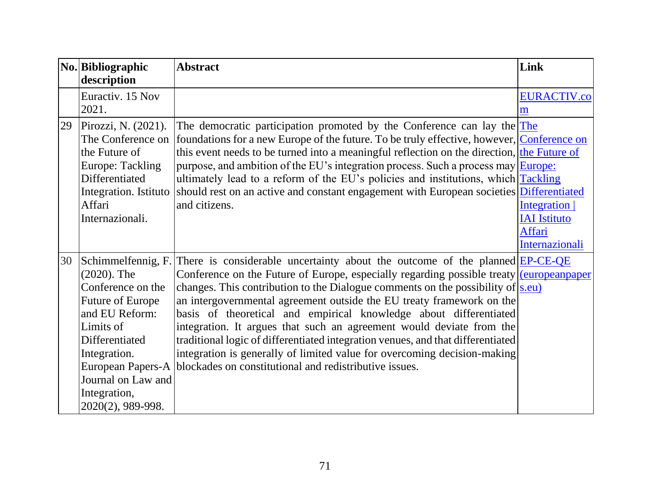|    | No. Bibliographic       | <b>Abstract</b>                                                                            | Link                |
|----|-------------------------|--------------------------------------------------------------------------------------------|---------------------|
|    | description             |                                                                                            |                     |
|    | Euractiv. 15 Nov        |                                                                                            | <b>EURACTIV.co</b>  |
|    | 2021.                   |                                                                                            | m                   |
| 29 | Pirozzi, N. (2021).     | The democratic participation promoted by the Conference can lay the $The$                  |                     |
|    | The Conference on       | foundations for a new Europe of the future. To be truly effective, however, Conference on  |                     |
|    | the Future of           | this event needs to be turned into a meaningful reflection on the direction, the Future of |                     |
|    | <b>Europe: Tackling</b> | purpose, and ambition of the EU's integration process. Such a process may <b>Europe</b> :  |                     |
|    | Differentiated          | ultimately lead to a reform of the EU's policies and institutions, which Tackling          |                     |
|    | Integration. Istituto   | should rest on an active and constant engagement with European societies Differentiated    |                     |
|    | Affari                  | and citizens.                                                                              | Integration         |
|    | Internazionali.         |                                                                                            | <b>IAI</b> Istituto |
|    |                         |                                                                                            | Affari              |
|    |                         |                                                                                            | Internazionali      |
| 30 | Schimmelfennig, F.      | There is considerable uncertainty about the outcome of the planned EP-CE-QE                |                     |
|    | $(2020)$ . The          | Conference on the Future of Europe, especially regarding possible treaty (europeanpaper    |                     |
|    | Conference on the       | changes. This contribution to the Dialogue comments on the possibility of $ s.eu\rangle$   |                     |
|    | Future of Europe        | an intergovernmental agreement outside the EU treaty framework on the                      |                     |
|    | and EU Reform:          | basis of theoretical and empirical knowledge about differentiated                          |                     |
|    | Limits of               | integration. It argues that such an agreement would deviate from the                       |                     |
|    | Differentiated          | traditional logic of differentiated integration venues, and that differentiated            |                     |
|    | Integration.            | integration is generally of limited value for overcoming decision-making                   |                     |
|    | European Papers-A       | blockades on constitutional and redistributive issues.                                     |                     |
|    | Journal on Law and      |                                                                                            |                     |
|    | Integration,            |                                                                                            |                     |
|    | 2020(2), 989-998.       |                                                                                            |                     |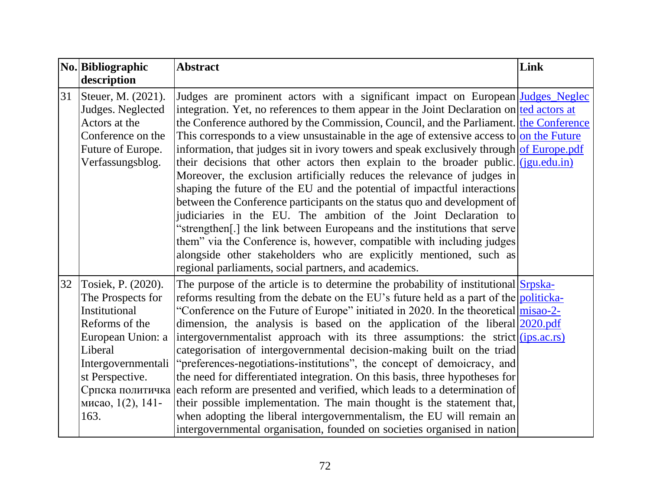|    | No. Bibliographic                          | <b>Abstract</b>                                                                                                                                                                       | Link |
|----|--------------------------------------------|---------------------------------------------------------------------------------------------------------------------------------------------------------------------------------------|------|
|    | description                                |                                                                                                                                                                                       |      |
|    | 31 Steuer, M. (2021).<br>Judges. Neglected | Judges are prominent actors with a significant impact on European Judges Neglec<br>integration. Yet, no references to them appear in the Joint Declaration on $\text{ted actors at }$ |      |
|    | Actors at the                              | the Conference authored by the Commission, Council, and the Parliament. the Conference                                                                                                |      |
|    | Conference on the                          | This corresponds to a view unsustainable in the age of extensive access to on the Future                                                                                              |      |
|    | Future of Europe.                          | information, that judges sit in ivory towers and speak exclusively through of Europe.pdf                                                                                              |      |
|    | Verfassungsblog.                           | their decisions that other actors then explain to the broader public. ( <i>jgu.edu.in</i> )                                                                                           |      |
|    |                                            | Moreover, the exclusion artificially reduces the relevance of judges in                                                                                                               |      |
|    |                                            | shaping the future of the EU and the potential of impactful interactions                                                                                                              |      |
|    |                                            | between the Conference participants on the status quo and development of                                                                                                              |      |
|    |                                            | judiciaries in the EU. The ambition of the Joint Declaration to                                                                                                                       |      |
|    |                                            | 'strengthen[.] the link between Europeans and the institutions that serve                                                                                                             |      |
|    |                                            | them" via the Conference is, however, compatible with including judges                                                                                                                |      |
|    |                                            | alongside other stakeholders who are explicitly mentioned, such as                                                                                                                    |      |
|    |                                            | regional parliaments, social partners, and academics.                                                                                                                                 |      |
| 32 | Tosiek, P. (2020).                         | The purpose of the article is to determine the probability of institutional Srpska-                                                                                                   |      |
|    | The Prospects for                          | reforms resulting from the debate on the EU's future held as a part of the politicka-                                                                                                 |      |
|    | Institutional                              | "Conference on the Future of Europe" initiated in 2020. In the theoretical misao-2-                                                                                                   |      |
|    | Reforms of the                             | dimension, the analysis is based on the application of the liberal $\sqrt{2020 \text{ndf}}$                                                                                           |      |
|    | European Union: a                          | intergovernmentalist approach with its three assumptions: the strict (ips.ac.rs)                                                                                                      |      |
|    | Liberal                                    | categorisation of intergovernmental decision-making built on the triad                                                                                                                |      |
|    | Intergovernmentali                         | "preferences-negotiations-institutions", the concept of demoicracy, and                                                                                                               |      |
|    | st Perspective.                            | the need for differentiated integration. On this basis, three hypotheses for                                                                                                          |      |
|    |                                            | Српска политичка each reform are presented and verified, which leads to a determination of                                                                                            |      |
|    | мисао, 1(2), 141-                          | their possible implementation. The main thought is the statement that,                                                                                                                |      |
|    | 163.                                       | when adopting the liberal intergovernmentalism, the EU will remain an                                                                                                                 |      |
|    |                                            | intergovernmental organisation, founded on societies organised in nation                                                                                                              |      |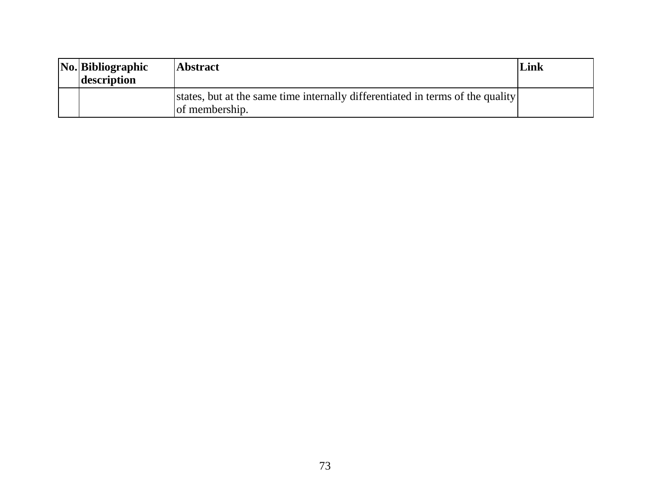| $\vert$ No. Bibliographic<br>description | Abstract                                                                                         | Link |
|------------------------------------------|--------------------------------------------------------------------------------------------------|------|
|                                          | states, but at the same time internally differentiated in terms of the quality<br>of membership. |      |